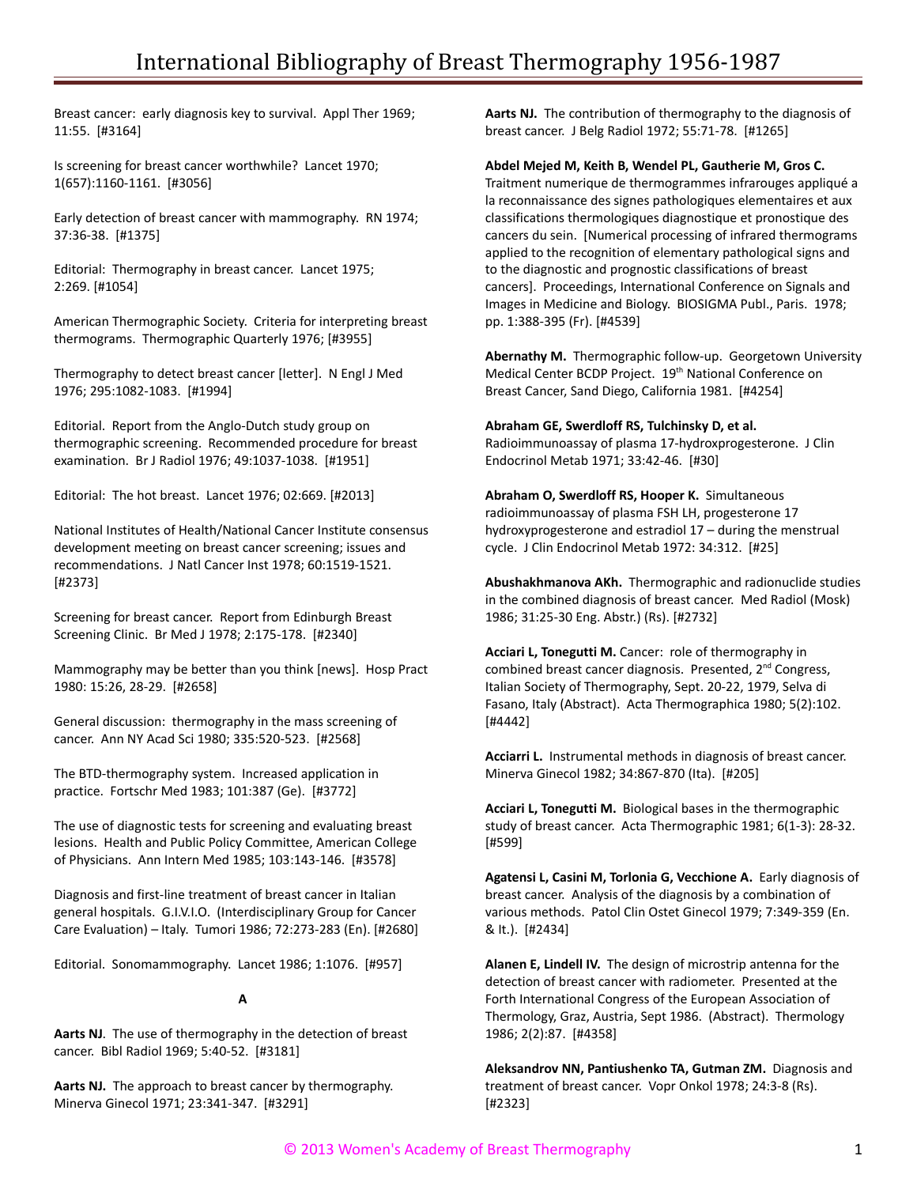Breast cancer: early diagnosis key to survival. Appl Ther 1969; 11:55. [#3164]

Is screening for breast cancer worthwhile? Lancet 1970; 1(657):1160-1161. [#3056]

Early detection of breast cancer with mammography. RN 1974; 37:36-38. [#1375]

Editorial: Thermography in breast cancer. Lancet 1975; 2:269. [#1054]

American Thermographic Society. Criteria for interpreting breast thermograms. Thermographic Quarterly 1976; [#3955]

Thermography to detect breast cancer [letter]. N Engl J Med 1976; 295:1082-1083. [#1994]

Editorial. Report from the Anglo-Dutch study group on thermographic screening. Recommended procedure for breast examination. Br J Radiol 1976; 49:1037-1038. [#1951]

Editorial: The hot breast. Lancet 1976; 02:669. [#2013]

National Institutes of Health/National Cancer Institute consensus development meeting on breast cancer screening; issues and recommendations. J Natl Cancer Inst 1978; 60:1519-1521. [#2373]

Screening for breast cancer. Report from Edinburgh Breast Screening Clinic. Br Med J 1978; 2:175-178. [#2340]

Mammography may be better than you think [news]. Hosp Pract 1980: 15:26, 28-29. [#2658]

General discussion: thermography in the mass screening of cancer. Ann NY Acad Sci 1980; 335:520-523. [#2568]

The BTD-thermography system. Increased application in practice. Fortschr Med 1983; 101:387 (Ge). [#3772]

The use of diagnostic tests for screening and evaluating breast lesions. Health and Public Policy Committee, American College of Physicians. Ann Intern Med 1985; 103:143-146. [#3578]

Diagnosis and first-line treatment of breast cancer in Italian general hospitals. G.I.V.I.O. (Interdisciplinary Group for Cancer Care Evaluation) – Italy. Tumori 1986; 72:273-283 (En). [#2680]

Editorial. Sonomammography. Lancet 1986; 1:1076. [#957]

## **A**

**Aarts NJ**. The use of thermography in the detection of breast cancer. Bibl Radiol 1969; 5:40-52. [#3181]

**Aarts NJ.** The approach to breast cancer by thermography. Minerva Ginecol 1971; 23:341-347. [#3291]

**Aarts NJ.** The contribution of thermography to the diagnosis of breast cancer. J Belg Radiol 1972; 55:71-78. [#1265]

#### **Abdel Mejed M, Keith B, Wendel PL, Gautherie M, Gros C.**

Traitment numerique de thermogrammes infrarouges appliqué a la reconnaissance des signes pathologiques elementaires et aux classifications thermologiques diagnostique et pronostique des cancers du sein. [Numerical processing of infrared thermograms applied to the recognition of elementary pathological signs and to the diagnostic and prognostic classifications of breast cancers]. Proceedings, International Conference on Signals and Images in Medicine and Biology. BIOSIGMA Publ., Paris. 1978; pp. 1:388-395 (Fr). [#4539]

**Abernathy M.** Thermographic follow-up. Georgetown University Medical Center BCDP Project. 19<sup>th</sup> National Conference on Breast Cancer, Sand Diego, California 1981. [#4254]

**Abraham GE, Swerdloff RS, Tulchinsky D, et al.** Radioimmunoassay of plasma 17-hydroxprogesterone. J Clin Endocrinol Metab 1971; 33:42-46. [#30]

**Abraham O, Swerdloff RS, Hooper K.** Simultaneous radioimmunoassay of plasma FSH LH, progesterone 17 hydroxyprogesterone and estradiol 17 – during the menstrual cycle. J Clin Endocrinol Metab 1972: 34:312. [#25]

**Abushakhmanova AKh.** Thermographic and radionuclide studies in the combined diagnosis of breast cancer. Med Radiol (Mosk) 1986; 31:25-30 Eng. Abstr.) (Rs). [#2732]

**Acciari L, Tonegutti M.** Cancer: role of thermography in combined breast cancer diagnosis. Presented, 2<sup>nd</sup> Congress, Italian Society of Thermography, Sept. 20-22, 1979, Selva di Fasano, Italy (Abstract). Acta Thermographica 1980; 5(2):102. [#4442]

**Acciarri L.** Instrumental methods in diagnosis of breast cancer. Minerva Ginecol 1982; 34:867-870 (Ita). [#205]

**Acciari L, Tonegutti M.** Biological bases in the thermographic study of breast cancer. Acta Thermographic 1981; 6(1-3): 28-32. [#599]

**Agatensi L, Casini M, Torlonia G, Vecchione A.** Early diagnosis of breast cancer. Analysis of the diagnosis by a combination of various methods. Patol Clin Ostet Ginecol 1979; 7:349-359 (En. & It.). [#2434]

**Alanen E, Lindell IV.** The design of microstrip antenna for the detection of breast cancer with radiometer. Presented at the Forth International Congress of the European Association of Thermology, Graz, Austria, Sept 1986. (Abstract). Thermology 1986; 2(2):87. [#4358]

**Aleksandrov NN, Pantiushenko TA, Gutman ZM.** Diagnosis and treatment of breast cancer. Vopr Onkol 1978; 24:3-8 (Rs). [#2323]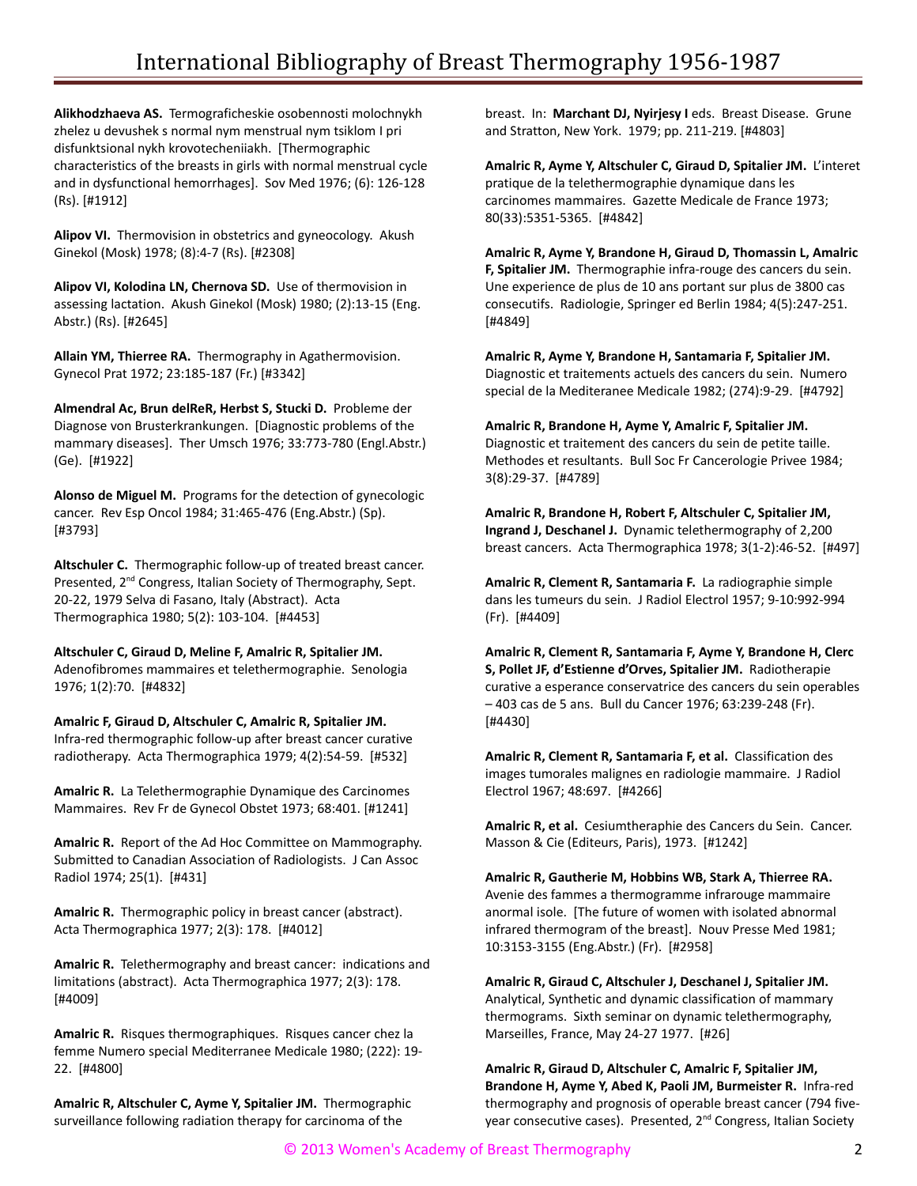**Alikhodzhaeva AS.** Termograficheskie osobennosti molochnykh zhelez u devushek s normal nym menstrual nym tsiklom I pri disfunktsional nykh krovotecheniiakh. [Thermographic characteristics of the breasts in girls with normal menstrual cycle and in dysfunctional hemorrhages]. Sov Med 1976; (6): 126-128 (Rs). [#1912]

**Alipov VI.** Thermovision in obstetrics and gyneocology. Akush Ginekol (Mosk) 1978; (8):4-7 (Rs). [#2308]

**Alipov VI, Kolodina LN, Chernova SD.** Use of thermovision in assessing lactation. Akush Ginekol (Mosk) 1980; (2):13-15 (Eng. Abstr.) (Rs). [#2645]

**Allain YM, Thierree RA.** Thermography in Agathermovision. Gynecol Prat 1972; 23:185-187 (Fr.) [#3342]

**Almendral Ac, Brun delReR, Herbst S, Stucki D.** Probleme der Diagnose von Brusterkrankungen. [Diagnostic problems of the mammary diseases]. Ther Umsch 1976; 33:773-780 (Engl.Abstr.) (Ge). [#1922]

**Alonso de Miguel M.** Programs for the detection of gynecologic cancer. Rev Esp Oncol 1984; 31:465-476 (Eng.Abstr.) (Sp). [#3793]

**Altschuler C.** Thermographic follow-up of treated breast cancer. Presented, 2<sup>nd</sup> Congress, Italian Society of Thermography, Sept. 20-22, 1979 Selva di Fasano, Italy (Abstract). Acta Thermographica 1980; 5(2): 103-104. [#4453]

**Altschuler C, Giraud D, Meline F, Amalric R, Spitalier JM.** Adenofibromes mammaires et telethermographie. Senologia 1976; 1(2):70. [#4832]

**Amalric F, Giraud D, Altschuler C, Amalric R, Spitalier JM.**  Infra-red thermographic follow-up after breast cancer curative radiotherapy. Acta Thermographica 1979; 4(2):54-59. [#532]

**Amalric R.** La Telethermographie Dynamique des Carcinomes Mammaires. Rev Fr de Gynecol Obstet 1973; 68:401. [#1241]

**Amalric R.** Report of the Ad Hoc Committee on Mammography. Submitted to Canadian Association of Radiologists. J Can Assoc Radiol 1974; 25(1). [#431]

**Amalric R.** Thermographic policy in breast cancer (abstract). Acta Thermographica 1977; 2(3): 178. [#4012]

**Amalric R.** Telethermography and breast cancer: indications and limitations (abstract). Acta Thermographica 1977; 2(3): 178. [#4009]

**Amalric R.** Risques thermographiques. Risques cancer chez la femme Numero special Mediterranee Medicale 1980; (222): 19- 22. [#4800]

**Amalric R, Altschuler C, Ayme Y, Spitalier JM.** Thermographic surveillance following radiation therapy for carcinoma of the

breast. In: **Marchant DJ, Nyirjesy I** eds. Breast Disease. Grune and Stratton, New York. 1979; pp. 211-219. [#4803]

**Amalric R, Ayme Y, Altschuler C, Giraud D, Spitalier JM.** L'interet pratique de la telethermographie dynamique dans les carcinomes mammaires. Gazette Medicale de France 1973; 80(33):5351-5365. [#4842]

**Amalric R, Ayme Y, Brandone H, Giraud D, Thomassin L, Amalric F, Spitalier JM.** Thermographie infra-rouge des cancers du sein. Une experience de plus de 10 ans portant sur plus de 3800 cas consecutifs. Radiologie, Springer ed Berlin 1984; 4(5):247-251. [#4849]

**Amalric R, Ayme Y, Brandone H, Santamaria F, Spitalier JM.** Diagnostic et traitements actuels des cancers du sein. Numero special de la Mediteranee Medicale 1982; (274):9-29. [#4792]

**Amalric R, Brandone H, Ayme Y, Amalric F, Spitalier JM.** Diagnostic et traitement des cancers du sein de petite taille. Methodes et resultants. Bull Soc Fr Cancerologie Privee 1984; 3(8):29-37. [#4789]

**Amalric R, Brandone H, Robert F, Altschuler C, Spitalier JM, Ingrand J, Deschanel J.** Dynamic telethermography of 2,200 breast cancers. Acta Thermographica 1978; 3(1-2):46-52. [#497]

**Amalric R, Clement R, Santamaria F.** La radiographie simple dans les tumeurs du sein. J Radiol Electrol 1957; 9-10:992-994 (Fr). [#4409]

**Amalric R, Clement R, Santamaria F, Ayme Y, Brandone H, Clerc S, Pollet JF, d'Estienne d'Orves, Spitalier JM.** Radiotherapie curative a esperance conservatrice des cancers du sein operables – 403 cas de 5 ans. Bull du Cancer 1976; 63:239-248 (Fr). [#4430]

**Amalric R, Clement R, Santamaria F, et al.** Classification des images tumorales malignes en radiologie mammaire. J Radiol Electrol 1967; 48:697. [#4266]

**Amalric R, et al.** Cesiumtheraphie des Cancers du Sein. Cancer. Masson & Cie (Editeurs, Paris), 1973. [#1242]

**Amalric R, Gautherie M, Hobbins WB, Stark A, Thierree RA.** Avenie des fammes a thermogramme infrarouge mammaire anormal isole. [The future of women with isolated abnormal infrared thermogram of the breast]. Nouv Presse Med 1981; 10:3153-3155 (Eng.Abstr.) (Fr). [#2958]

**Amalric R, Giraud C, Altschuler J, Deschanel J, Spitalier JM.** Analytical, Synthetic and dynamic classification of mammary thermograms. Sixth seminar on dynamic telethermography, Marseilles, France, May 24-27 1977. [#26]

**Amalric R, Giraud D, Altschuler C, Amalric F, Spitalier JM, Brandone H, Ayme Y, Abed K, Paoli JM, Burmeister R.** Infra-red thermography and prognosis of operable breast cancer (794 fiveyear consecutive cases). Presented, 2<sup>nd</sup> Congress, Italian Society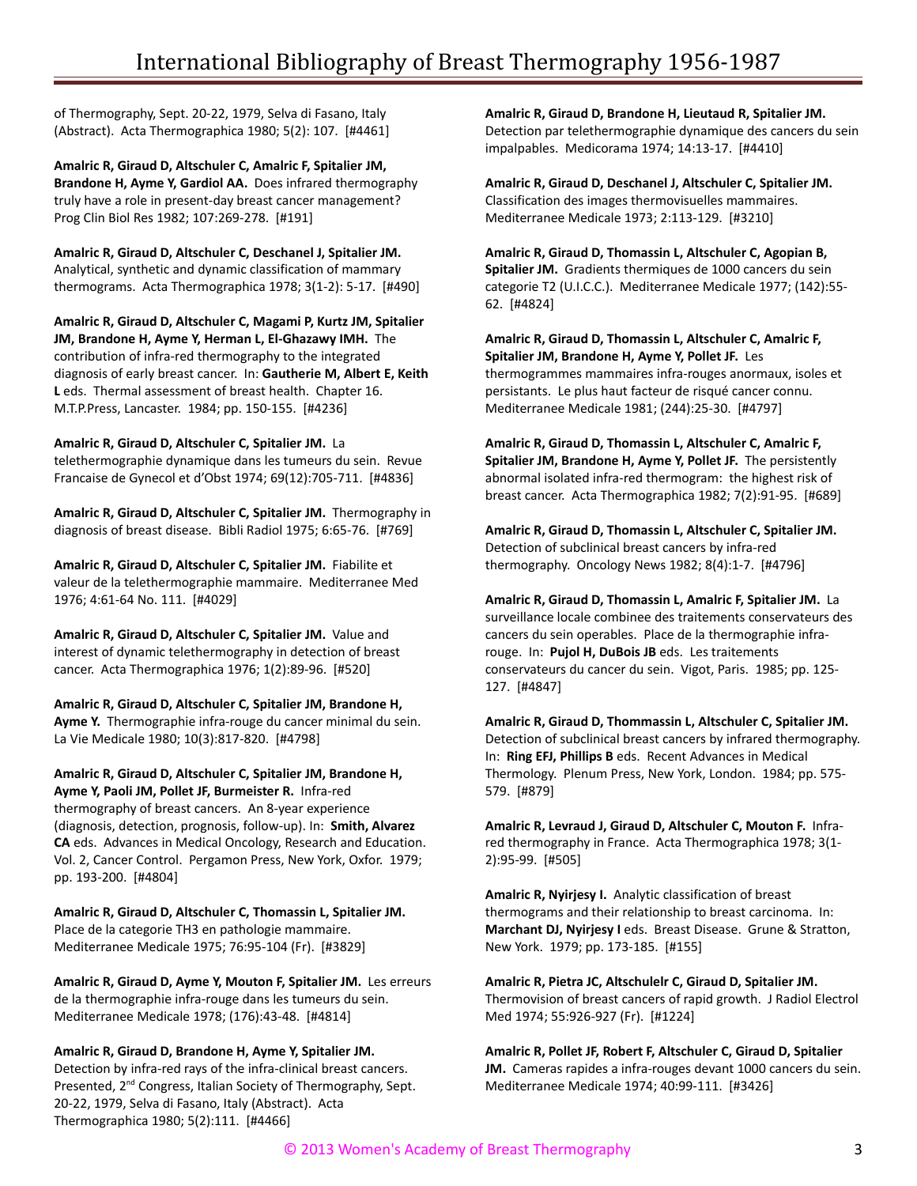of Thermography, Sept. 20-22, 1979, Selva di Fasano, Italy (Abstract). Acta Thermographica 1980; 5(2): 107. [#4461]

**Amalric R, Giraud D, Altschuler C, Amalric F, Spitalier JM, Brandone H, Ayme Y, Gardiol AA.** Does infrared thermography truly have a role in present-day breast cancer management? Prog Clin Biol Res 1982; 107:269-278. [#191]

**Amalric R, Giraud D, Altschuler C, Deschanel J, Spitalier JM.** Analytical, synthetic and dynamic classification of mammary thermograms. Acta Thermographica 1978; 3(1-2): 5-17. [#490]

**Amalric R, Giraud D, Altschuler C, Magami P, Kurtz JM, Spitalier JM, Brandone H, Ayme Y, Herman L, El-Ghazawy IMH.** The contribution of infra-red thermography to the integrated diagnosis of early breast cancer. In: **Gautherie M, Albert E, Keith L** eds. Thermal assessment of breast health. Chapter 16. M.T.P.Press, Lancaster. 1984; pp. 150-155. [#4236]

**Amalric R, Giraud D, Altschuler C, Spitalier JM.** La telethermographie dynamique dans les tumeurs du sein. Revue Francaise de Gynecol et d'Obst 1974; 69(12):705-711. [#4836]

**Amalric R, Giraud D, Altschuler C, Spitalier JM.** Thermography in diagnosis of breast disease. Bibli Radiol 1975; 6:65-76. [#769]

**Amalric R, Giraud D, Altschuler C, Spitalier JM.** Fiabilite et valeur de la telethermographie mammaire. Mediterranee Med 1976; 4:61-64 No. 111. [#4029]

**Amalric R, Giraud D, Altschuler C, Spitalier JM.** Value and interest of dynamic telethermography in detection of breast cancer. Acta Thermographica 1976; 1(2):89-96. [#520]

**Amalric R, Giraud D, Altschuler C, Spitalier JM, Brandone H, Ayme Y.** Thermographie infra-rouge du cancer minimal du sein. La Vie Medicale 1980; 10(3):817-820. [#4798]

**Amalric R, Giraud D, Altschuler C, Spitalier JM, Brandone H, Ayme Y, Paoli JM, Pollet JF, Burmeister R.** Infra-red thermography of breast cancers. An 8-year experience (diagnosis, detection, prognosis, follow-up). In: **Smith, Alvarez CA** eds. Advances in Medical Oncology, Research and Education. Vol. 2, Cancer Control. Pergamon Press, New York, Oxfor. 1979; pp. 193-200. [#4804]

**Amalric R, Giraud D, Altschuler C, Thomassin L, Spitalier JM.** Place de la categorie TH3 en pathologie mammaire. Mediterranee Medicale 1975; 76:95-104 (Fr). [#3829]

**Amalric R, Giraud D, Ayme Y, Mouton F, Spitalier JM.** Les erreurs de la thermographie infra-rouge dans les tumeurs du sein. Mediterranee Medicale 1978; (176):43-48. [#4814]

## **Amalric R, Giraud D, Brandone H, Ayme Y, Spitalier JM.**

Detection by infra-red rays of the infra-clinical breast cancers. Presented, 2<sup>nd</sup> Congress, Italian Society of Thermography, Sept. 20-22, 1979, Selva di Fasano, Italy (Abstract). Acta Thermographica 1980; 5(2):111. [#4466]

**Amalric R, Giraud D, Brandone H, Lieutaud R, Spitalier JM.** Detection par telethermographie dynamique des cancers du sein impalpables. Medicorama 1974; 14:13-17. [#4410]

**Amalric R, Giraud D, Deschanel J, Altschuler C, Spitalier JM.** Classification des images thermovisuelles mammaires. Mediterranee Medicale 1973; 2:113-129. [#3210]

**Amalric R, Giraud D, Thomassin L, Altschuler C, Agopian B, Spitalier JM.** Gradients thermiques de 1000 cancers du sein categorie T2 (U.I.C.C.). Mediterranee Medicale 1977; (142):55- 62. [#4824]

**Amalric R, Giraud D, Thomassin L, Altschuler C, Amalric F, Spitalier JM, Brandone H, Ayme Y, Pollet JF.** Les thermogrammes mammaires infra-rouges anormaux, isoles et persistants. Le plus haut facteur de risqué cancer connu. Mediterranee Medicale 1981; (244):25-30. [#4797]

**Amalric R, Giraud D, Thomassin L, Altschuler C, Amalric F, Spitalier JM, Brandone H, Ayme Y, Pollet JF.** The persistently abnormal isolated infra-red thermogram: the highest risk of breast cancer. Acta Thermographica 1982; 7(2):91-95. [#689]

**Amalric R, Giraud D, Thomassin L, Altschuler C, Spitalier JM.** Detection of subclinical breast cancers by infra-red thermography. Oncology News 1982; 8(4):1-7. [#4796]

**Amalric R, Giraud D, Thomassin L, Amalric F, Spitalier JM.** La surveillance locale combinee des traitements conservateurs des cancers du sein operables. Place de la thermographie infrarouge. In: **Pujol H, DuBois JB** eds. Les traitements conservateurs du cancer du sein. Vigot, Paris. 1985; pp. 125- 127. [#4847]

**Amalric R, Giraud D, Thommassin L, Altschuler C, Spitalier JM.** Detection of subclinical breast cancers by infrared thermography. In: **Ring EFJ, Phillips B** eds. Recent Advances in Medical Thermology. Plenum Press, New York, London. 1984; pp. 575- 579. [#879]

**Amalric R, Levraud J, Giraud D, Altschuler C, Mouton F.** Infrared thermography in France. Acta Thermographica 1978; 3(1- 2):95-99. [#505]

**Amalric R, Nyirjesy I.** Analytic classification of breast thermograms and their relationship to breast carcinoma. In: **Marchant DJ, Nyirjesy I** eds. Breast Disease. Grune & Stratton, New York. 1979; pp. 173-185. [#155]

**Amalric R, Pietra JC, Altschulelr C, Giraud D, Spitalier JM.** Thermovision of breast cancers of rapid growth. J Radiol Electrol Med 1974; 55:926-927 (Fr). [#1224]

**Amalric R, Pollet JF, Robert F, Altschuler C, Giraud D, Spitalier**

**JM.** Cameras rapides a infra-rouges devant 1000 cancers du sein. Mediterranee Medicale 1974; 40:99-111. [#3426]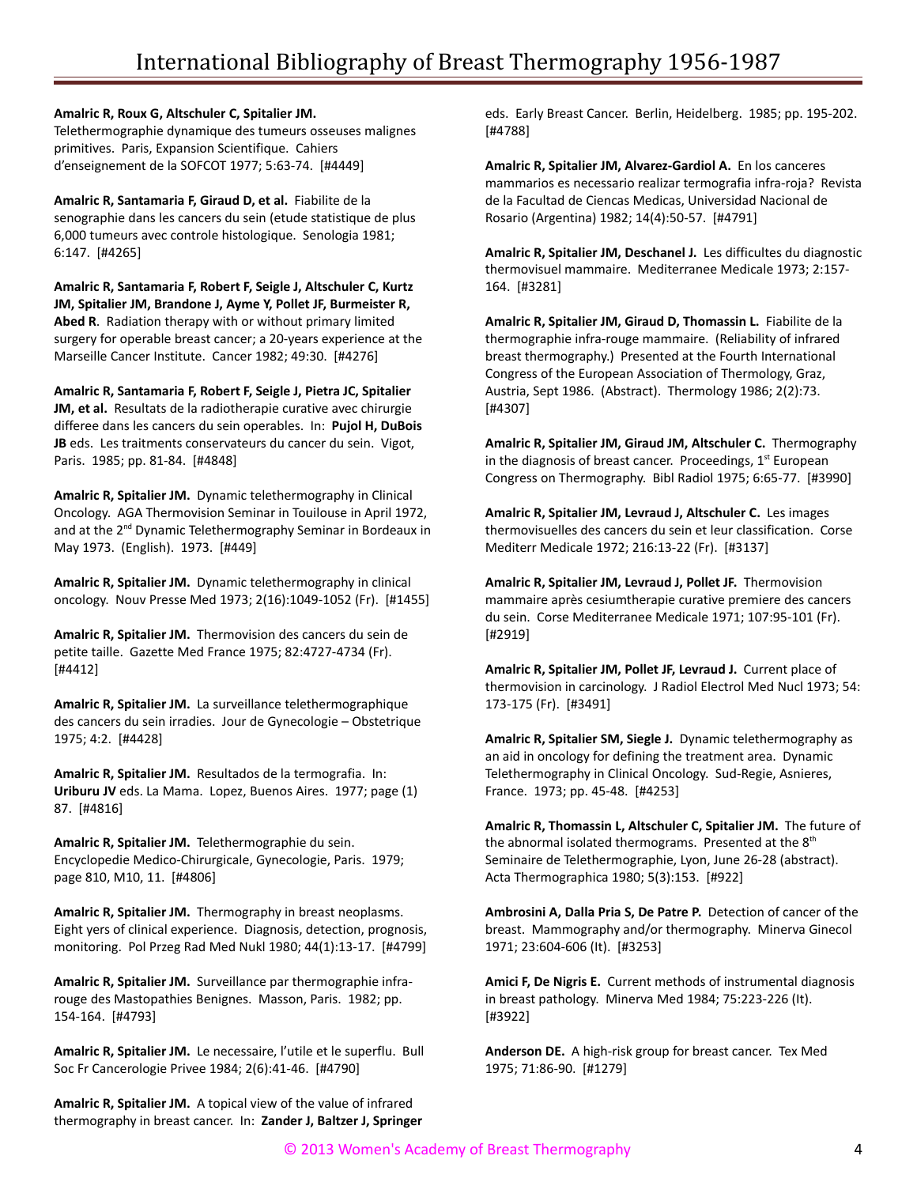#### **Amalric R, Roux G, Altschuler C, Spitalier JM.**

Telethermographie dynamique des tumeurs osseuses malignes primitives. Paris, Expansion Scientifique. Cahiers d'enseignement de la SOFCOT 1977; 5:63-74. [#4449]

**Amalric R, Santamaria F, Giraud D, et al.** Fiabilite de la senographie dans les cancers du sein (etude statistique de plus 6,000 tumeurs avec controle histologique. Senologia 1981; 6:147. [#4265]

**Amalric R, Santamaria F, Robert F, Seigle J, Altschuler C, Kurtz JM, Spitalier JM, Brandone J, Ayme Y, Pollet JF, Burmeister R, Abed R**. Radiation therapy with or without primary limited surgery for operable breast cancer; a 20-years experience at the Marseille Cancer Institute. Cancer 1982; 49:30. [#4276]

**Amalric R, Santamaria F, Robert F, Seigle J, Pietra JC, Spitalier JM, et al.** Resultats de la radiotherapie curative avec chirurgie differee dans les cancers du sein operables. In: **Pujol H, DuBois JB** eds. Les traitments conservateurs du cancer du sein. Vigot, Paris. 1985; pp. 81-84. [#4848]

**Amalric R, Spitalier JM.** Dynamic telethermography in Clinical Oncology. AGA Thermovision Seminar in Touilouse in April 1972, and at the 2<sup>nd</sup> Dynamic Telethermography Seminar in Bordeaux in May 1973. (English). 1973. [#449]

**Amalric R, Spitalier JM.** Dynamic telethermography in clinical oncology. Nouv Presse Med 1973; 2(16):1049-1052 (Fr). [#1455]

**Amalric R, Spitalier JM.** Thermovision des cancers du sein de petite taille. Gazette Med France 1975; 82:4727-4734 (Fr). [#4412]

**Amalric R, Spitalier JM.** La surveillance telethermographique des cancers du sein irradies. Jour de Gynecologie – Obstetrique 1975; 4:2. [#4428]

**Amalric R, Spitalier JM.** Resultados de la termografia. In: **Uriburu JV** eds. La Mama. Lopez, Buenos Aires. 1977; page (1) 87. [#4816]

**Amalric R, Spitalier JM.** Telethermographie du sein. Encyclopedie Medico-Chirurgicale, Gynecologie, Paris. 1979; page 810, M10, 11. [#4806]

**Amalric R, Spitalier JM.** Thermography in breast neoplasms. Eight yers of clinical experience. Diagnosis, detection, prognosis, monitoring. Pol Przeg Rad Med Nukl 1980; 44(1):13-17. [#4799]

**Amalric R, Spitalier JM.** Surveillance par thermographie infrarouge des Mastopathies Benignes. Masson, Paris. 1982; pp. 154-164. [#4793]

**Amalric R, Spitalier JM.** Le necessaire, l'utile et le superflu. Bull Soc Fr Cancerologie Privee 1984; 2(6):41-46. [#4790]

**Amalric R, Spitalier JM.** A topical view of the value of infrared thermography in breast cancer. In: **Zander J, Baltzer J, Springer** eds. Early Breast Cancer. Berlin, Heidelberg. 1985; pp. 195-202. [#4788]

**Amalric R, Spitalier JM, Alvarez-Gardiol A.** En los canceres mammarios es necessario realizar termografia infra-roja? Revista de la Facultad de Ciencas Medicas, Universidad Nacional de Rosario (Argentina) 1982; 14(4):50-57. [#4791]

**Amalric R, Spitalier JM, Deschanel J.** Les difficultes du diagnostic thermovisuel mammaire. Mediterranee Medicale 1973; 2:157- 164. [#3281]

**Amalric R, Spitalier JM, Giraud D, Thomassin L.** Fiabilite de la thermographie infra-rouge mammaire. (Reliability of infrared breast thermography.) Presented at the Fourth International Congress of the European Association of Thermology, Graz, Austria, Sept 1986. (Abstract). Thermology 1986; 2(2):73. [#4307]

**Amalric R, Spitalier JM, Giraud JM, Altschuler C.** Thermography in the diagnosis of breast cancer. Proceedings,  $1<sup>st</sup>$  European Congress on Thermography. Bibl Radiol 1975; 6:65-77. [#3990]

**Amalric R, Spitalier JM, Levraud J, Altschuler C.** Les images thermovisuelles des cancers du sein et leur classification. Corse Mediterr Medicale 1972; 216:13-22 (Fr). [#3137]

**Amalric R, Spitalier JM, Levraud J, Pollet JF.** Thermovision mammaire après cesiumtherapie curative premiere des cancers du sein. Corse Mediterranee Medicale 1971; 107:95-101 (Fr). [#2919]

**Amalric R, Spitalier JM, Pollet JF, Levraud J.** Current place of thermovision in carcinology. J Radiol Electrol Med Nucl 1973; 54: 173-175 (Fr). [#3491]

**Amalric R, Spitalier SM, Siegle J.** Dynamic telethermography as an aid in oncology for defining the treatment area. Dynamic Telethermography in Clinical Oncology. Sud-Regie, Asnieres, France. 1973; pp. 45-48. [#4253]

**Amalric R, Thomassin L, Altschuler C, Spitalier JM.** The future of the abnormal isolated thermograms. Presented at the  $8<sup>th</sup>$ Seminaire de Telethermographie, Lyon, June 26-28 (abstract). Acta Thermographica 1980; 5(3):153. [#922]

**Ambrosini A, Dalla Pria S, De Patre P.** Detection of cancer of the breast. Mammography and/or thermography. Minerva Ginecol 1971; 23:604-606 (It). [#3253]

**Amici F, De Nigris E.** Current methods of instrumental diagnosis in breast pathology. Minerva Med 1984; 75:223-226 (It). [#3922]

**Anderson DE.** A high-risk group for breast cancer. Tex Med 1975; 71:86-90. [#1279]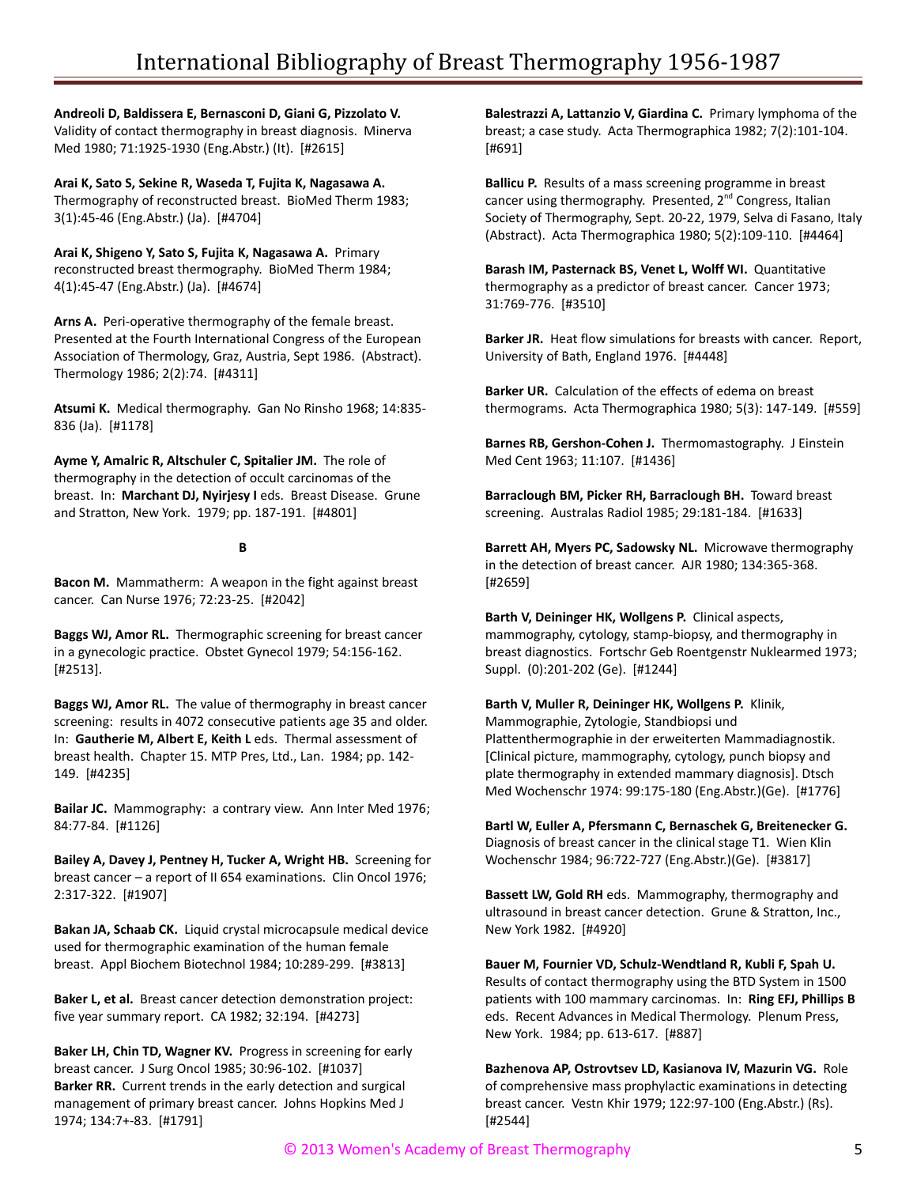**Andreoli D, Baldissera E, Bernasconi D, Giani G, Pizzolato V.** Validity of contact thermography in breast diagnosis. Minerva Med 1980; 71:1925-1930 (Eng.Abstr.) (It). [#2615]

**Arai K, Sato S, Sekine R, Waseda T, Fujita K, Nagasawa A.** Thermography of reconstructed breast. BioMed Therm 1983; 3(1):45-46 (Eng.Abstr.) (Ja). [#4704]

**Arai K, Shigeno Y, Sato S, Fujita K, Nagasawa A.** Primary reconstructed breast thermography. BioMed Therm 1984; 4(1):45-47 (Eng.Abstr.) (Ja). [#4674]

**Arns A.** Peri-operative thermography of the female breast. Presented at the Fourth International Congress of the European Association of Thermology, Graz, Austria, Sept 1986. (Abstract). Thermology 1986; 2(2):74. [#4311]

**Atsumi K.** Medical thermography. Gan No Rinsho 1968; 14:835- 836 (Ja). [#1178]

**Ayme Y, Amalric R, Altschuler C, Spitalier JM.** The role of thermography in the detection of occult carcinomas of the breast. In: **Marchant DJ, Nyirjesy I** eds. Breast Disease. Grune and Stratton, New York. 1979; pp. 187-191. [#4801]

#### **B**

**Bacon M.** Mammatherm: A weapon in the fight against breast cancer. Can Nurse 1976; 72:23-25. [#2042]

**Baggs WJ, Amor RL.** Thermographic screening for breast cancer in a gynecologic practice. Obstet Gynecol 1979; 54:156-162. [#2513].

**Baggs WJ, Amor RL.** The value of thermography in breast cancer screening: results in 4072 consecutive patients age 35 and older. In: **Gautherie M, Albert E, Keith L** eds. Thermal assessment of breast health. Chapter 15. MTP Pres, Ltd., Lan. 1984; pp. 142- 149. [#4235]

**Bailar JC.** Mammography: a contrary view. Ann Inter Med 1976; 84:77-84. [#1126]

**Bailey A, Davey J, Pentney H, Tucker A, Wright HB.** Screening for breast cancer – a report of II 654 examinations. Clin Oncol 1976; 2:317-322. [#1907]

**Bakan JA, Schaab CK.** Liquid crystal microcapsule medical device used for thermographic examination of the human female breast. Appl Biochem Biotechnol 1984; 10:289-299. [#3813]

**Baker L, et al.** Breast cancer detection demonstration project: five year summary report. CA 1982; 32:194. [#4273]

**Baker LH, Chin TD, Wagner KV.** Progress in screening for early breast cancer. J Surg Oncol 1985; 30:96-102. [#1037] **Barker RR.** Current trends in the early detection and surgical management of primary breast cancer. Johns Hopkins Med J 1974; 134:7+-83. [#1791]

**Balestrazzi A, Lattanzio V, Giardina C.** Primary lymphoma of the breast; a case study. Acta Thermographica 1982; 7(2):101-104. [#691]

**Ballicu P.** Results of a mass screening programme in breast cancer using thermography. Presented, 2<sup>nd</sup> Congress, Italian Society of Thermography, Sept. 20-22, 1979, Selva di Fasano, Italy (Abstract). Acta Thermographica 1980; 5(2):109-110. [#4464]

**Barash IM, Pasternack BS, Venet L, Wolff WI.** Quantitative thermography as a predictor of breast cancer. Cancer 1973; 31:769-776. [#3510]

**Barker JR.** Heat flow simulations for breasts with cancer. Report, University of Bath, England 1976. [#4448]

**Barker UR.** Calculation of the effects of edema on breast thermograms. Acta Thermographica 1980; 5(3): 147-149. [#559]

**Barnes RB, Gershon-Cohen J.** Thermomastography. J Einstein Med Cent 1963; 11:107. [#1436]

**Barraclough BM, Picker RH, Barraclough BH.** Toward breast screening. Australas Radiol 1985; 29:181-184. [#1633]

**Barrett AH, Myers PC, Sadowsky NL.** Microwave thermography in the detection of breast cancer. AJR 1980; 134:365-368. [#2659]

**Barth V, Deininger HK, Wollgens P.** Clinical aspects, mammography, cytology, stamp-biopsy, and thermography in breast diagnostics. Fortschr Geb Roentgenstr Nuklearmed 1973; Suppl. (0):201-202 (Ge). [#1244]

**Barth V, Muller R, Deininger HK, Wollgens P.** Klinik, Mammographie, Zytologie, Standbiopsi und Plattenthermographie in der erweiterten Mammadiagnostik. [Clinical picture, mammography, cytology, punch biopsy and plate thermography in extended mammary diagnosis]. Dtsch Med Wochenschr 1974: 99:175-180 (Eng.Abstr.)(Ge). [#1776]

**Bartl W, Euller A, Pfersmann C, Bernaschek G, Breitenecker G.** Diagnosis of breast cancer in the clinical stage T1. Wien Klin Wochenschr 1984; 96:722-727 (Eng.Abstr.)(Ge). [#3817]

**Bassett LW, Gold RH** eds. Mammography, thermography and ultrasound in breast cancer detection. Grune & Stratton, Inc., New York 1982. [#4920]

**Bauer M, Fournier VD, Schulz-Wendtland R, Kubli F, Spah U.** Results of contact thermography using the BTD System in 1500 patients with 100 mammary carcinomas. In: **Ring EFJ, Phillips B** eds. Recent Advances in Medical Thermology. Plenum Press, New York. 1984; pp. 613-617. [#887]

**Bazhenova AP, Ostrovtsev LD, Kasianova IV, Mazurin VG.** Role of comprehensive mass prophylactic examinations in detecting breast cancer. Vestn Khir 1979; 122:97-100 (Eng.Abstr.) (Rs). [#2544]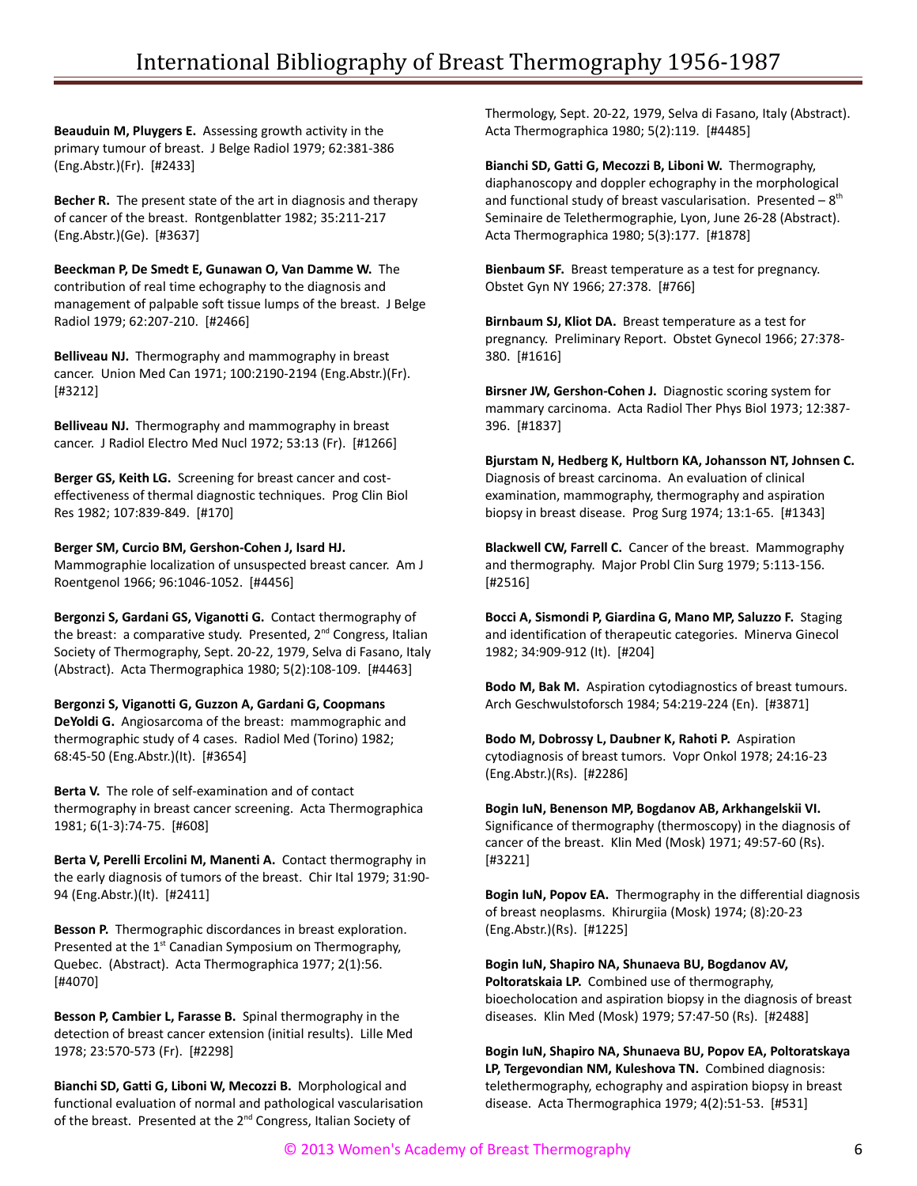**Beauduin M, Pluygers E.** Assessing growth activity in the primary tumour of breast. J Belge Radiol 1979; 62:381-386 (Eng.Abstr.)(Fr). [#2433]

**Becher R.** The present state of the art in diagnosis and therapy of cancer of the breast. Rontgenblatter 1982; 35:211-217 (Eng.Abstr.)(Ge). [#3637]

**Beeckman P, De Smedt E, Gunawan O, Van Damme W.** The contribution of real time echography to the diagnosis and management of palpable soft tissue lumps of the breast. J Belge Radiol 1979; 62:207-210. [#2466]

**Belliveau NJ.** Thermography and mammography in breast cancer. Union Med Can 1971; 100:2190-2194 (Eng.Abstr.)(Fr). [#3212]

**Belliveau NJ.** Thermography and mammography in breast cancer. J Radiol Electro Med Nucl 1972; 53:13 (Fr). [#1266]

**Berger GS, Keith LG.** Screening for breast cancer and costeffectiveness of thermal diagnostic techniques. Prog Clin Biol Res 1982; 107:839-849. [#170]

**Berger SM, Curcio BM, Gershon-Cohen J, Isard HJ.** Mammographie localization of unsuspected breast cancer. Am J Roentgenol 1966; 96:1046-1052. [#4456]

**Bergonzi S, Gardani GS, Viganotti G.** Contact thermography of the breast: a comparative study. Presented, 2<sup>nd</sup> Congress, Italian Society of Thermography, Sept. 20-22, 1979, Selva di Fasano, Italy (Abstract). Acta Thermographica 1980; 5(2):108-109. [#4463]

**Bergonzi S, Viganotti G, Guzzon A, Gardani G, Coopmans DeYoldi G.** Angiosarcoma of the breast: mammographic and thermographic study of 4 cases. Radiol Med (Torino) 1982; 68:45-50 (Eng.Abstr.)(It). [#3654]

**Berta V.** The role of self-examination and of contact thermography in breast cancer screening. Acta Thermographica 1981; 6(1-3):74-75. [#608]

**Berta V, Perelli Ercolini M, Manenti A.** Contact thermography in the early diagnosis of tumors of the breast. Chir Ital 1979; 31:90- 94 (Eng.Abstr.)(It). [#2411]

**Besson P.** Thermographic discordances in breast exploration. Presented at the 1<sup>st</sup> Canadian Symposium on Thermography, Quebec. (Abstract). Acta Thermographica 1977; 2(1):56. [#4070]

**Besson P, Cambier L, Farasse B.** Spinal thermography in the detection of breast cancer extension (initial results). Lille Med 1978; 23:570-573 (Fr). [#2298]

**Bianchi SD, Gatti G, Liboni W, Mecozzi B.** Morphological and functional evaluation of normal and pathological vascularisation of the breast. Presented at the 2<sup>nd</sup> Congress, Italian Society of

Thermology, Sept. 20-22, 1979, Selva di Fasano, Italy (Abstract). Acta Thermographica 1980; 5(2):119. [#4485]

**Bianchi SD, Gatti G, Mecozzi B, Liboni W.** Thermography, diaphanoscopy and doppler echography in the morphological and functional study of breast vascularisation. Presented  $-8$ <sup>th</sup> Seminaire de Telethermographie, Lyon, June 26-28 (Abstract). Acta Thermographica 1980; 5(3):177. [#1878]

**Bienbaum SF.** Breast temperature as a test for pregnancy. Obstet Gyn NY 1966; 27:378. [#766]

**Birnbaum SJ, Kliot DA.** Breast temperature as a test for pregnancy. Preliminary Report. Obstet Gynecol 1966; 27:378- 380. [#1616]

**Birsner JW, Gershon-Cohen J.** Diagnostic scoring system for mammary carcinoma. Acta Radiol Ther Phys Biol 1973; 12:387- 396. [#1837]

**Bjurstam N, Hedberg K, Hultborn KA, Johansson NT, Johnsen C.** Diagnosis of breast carcinoma. An evaluation of clinical examination, mammography, thermography and aspiration biopsy in breast disease. Prog Surg 1974; 13:1-65. [#1343]

**Blackwell CW, Farrell C.** Cancer of the breast. Mammography and thermography. Major Probl Clin Surg 1979; 5:113-156. [#2516]

**Bocci A, Sismondi P, Giardina G, Mano MP, Saluzzo F.** Staging and identification of therapeutic categories. Minerva Ginecol 1982; 34:909-912 (It). [#204]

**Bodo M, Bak M.** Aspiration cytodiagnostics of breast tumours. Arch Geschwulstoforsch 1984; 54:219-224 (En). [#3871]

**Bodo M, Dobrossy L, Daubner K, Rahoti P.** Aspiration cytodiagnosis of breast tumors. Vopr Onkol 1978; 24:16-23 (Eng.Abstr.)(Rs). [#2286]

**Bogin IuN, Benenson MP, Bogdanov AB, Arkhangelskii VI.** Significance of thermography (thermoscopy) in the diagnosis of cancer of the breast. Klin Med (Mosk) 1971; 49:57-60 (Rs). [#3221]

**Bogin IuN, Popov EA.** Thermography in the differential diagnosis of breast neoplasms. Khirurgiia (Mosk) 1974; (8):20-23 (Eng.Abstr.)(Rs). [#1225]

**Bogin IuN, Shapiro NA, Shunaeva BU, Bogdanov AV, Poltoratskaia LP.** Combined use of thermography, bioecholocation and aspiration biopsy in the diagnosis of breast diseases. Klin Med (Mosk) 1979; 57:47-50 (Rs). [#2488]

**Bogin IuN, Shapiro NA, Shunaeva BU, Popov EA, Poltoratskaya LP, Tergevondian NM, Kuleshova TN.** Combined diagnosis: telethermography, echography and aspiration biopsy in breast disease. Acta Thermographica 1979; 4(2):51-53. [#531]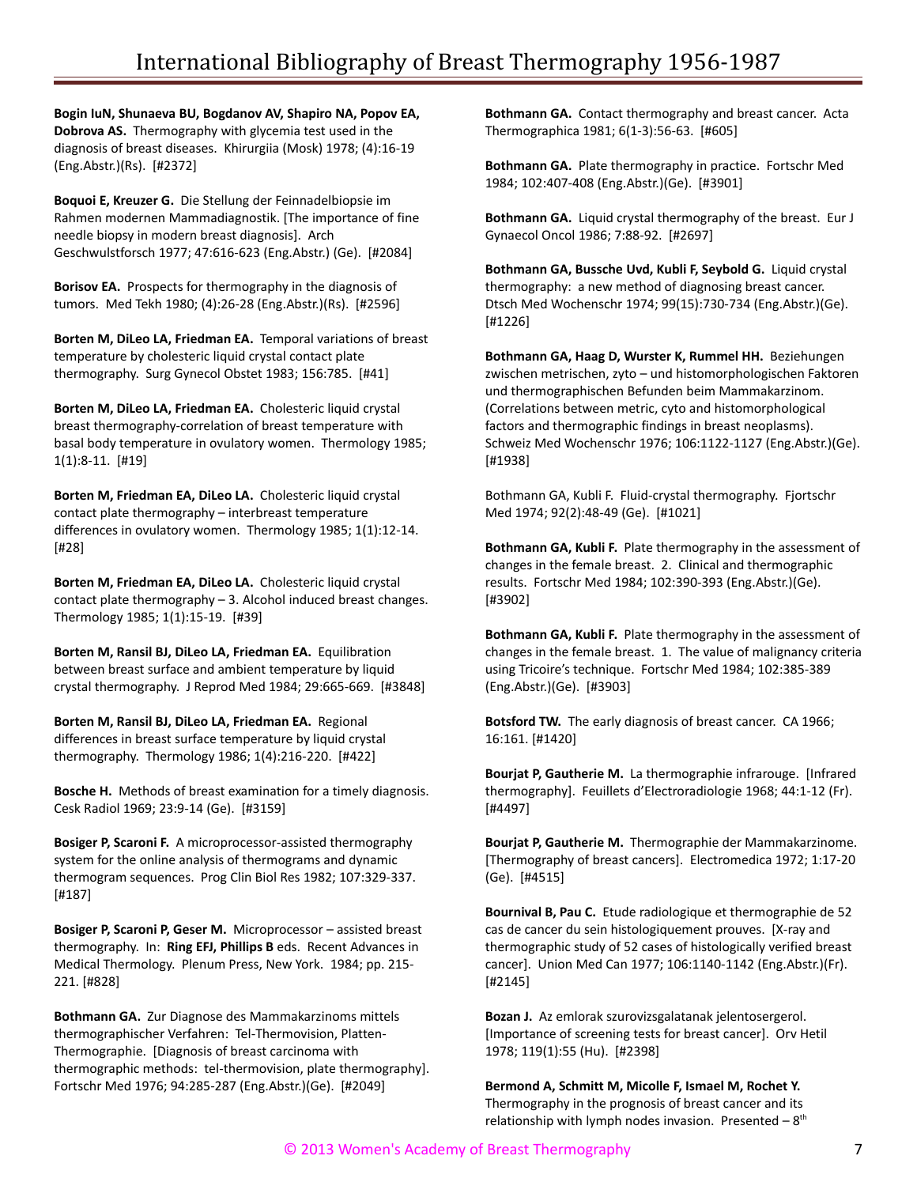**Bogin IuN, Shunaeva BU, Bogdanov AV, Shapiro NA, Popov EA, Dobrova AS.** Thermography with glycemia test used in the diagnosis of breast diseases. Khirurgiia (Mosk) 1978; (4):16-19 (Eng.Abstr.)(Rs). [#2372]

**Boquoi E, Kreuzer G.** Die Stellung der Feinnadelbiopsie im Rahmen modernen Mammadiagnostik. [The importance of fine needle biopsy in modern breast diagnosis]. Arch Geschwulstforsch 1977; 47:616-623 (Eng.Abstr.) (Ge). [#2084]

**Borisov EA.** Prospects for thermography in the diagnosis of tumors. Med Tekh 1980; (4):26-28 (Eng.Abstr.)(Rs). [#2596]

**Borten M, DiLeo LA, Friedman EA.** Temporal variations of breast temperature by cholesteric liquid crystal contact plate thermography. Surg Gynecol Obstet 1983; 156:785. [#41]

**Borten M, DiLeo LA, Friedman EA.** Cholesteric liquid crystal breast thermography-correlation of breast temperature with basal body temperature in ovulatory women. Thermology 1985; 1(1):8-11. [#19]

**Borten M, Friedman EA, DiLeo LA.** Cholesteric liquid crystal contact plate thermography – interbreast temperature differences in ovulatory women. Thermology 1985; 1(1):12-14. [#28]

**Borten M, Friedman EA, DiLeo LA.** Cholesteric liquid crystal contact plate thermography – 3. Alcohol induced breast changes. Thermology 1985; 1(1):15-19. [#39]

**Borten M, Ransil BJ, DiLeo LA, Friedman EA.** Equilibration between breast surface and ambient temperature by liquid crystal thermography. J Reprod Med 1984; 29:665-669. [#3848]

**Borten M, Ransil BJ, DiLeo LA, Friedman EA.** Regional differences in breast surface temperature by liquid crystal thermography. Thermology 1986; 1(4):216-220. [#422]

**Bosche H.** Methods of breast examination for a timely diagnosis. Cesk Radiol 1969; 23:9-14 (Ge). [#3159]

**Bosiger P, Scaroni F.** A microprocessor-assisted thermography system for the online analysis of thermograms and dynamic thermogram sequences. Prog Clin Biol Res 1982; 107:329-337. [#187]

**Bosiger P, Scaroni P, Geser M.** Microprocessor – assisted breast thermography. In: **Ring EFJ, Phillips B** eds. Recent Advances in Medical Thermology. Plenum Press, New York. 1984; pp. 215- 221. [#828]

**Bothmann GA.** Zur Diagnose des Mammakarzinoms mittels thermographischer Verfahren: Tel-Thermovision, Platten-Thermographie. [Diagnosis of breast carcinoma with thermographic methods: tel-thermovision, plate thermography]. Fortschr Med 1976; 94:285-287 (Eng.Abstr.)(Ge). [#2049]

**Bothmann GA.** Contact thermography and breast cancer. Acta Thermographica 1981; 6(1-3):56-63. [#605]

**Bothmann GA.** Plate thermography in practice. Fortschr Med 1984; 102:407-408 (Eng.Abstr.)(Ge). [#3901]

**Bothmann GA.** Liquid crystal thermography of the breast. Eur J Gynaecol Oncol 1986; 7:88-92. [#2697]

**Bothmann GA, Bussche Uvd, Kubli F, Seybold G.** Liquid crystal thermography: a new method of diagnosing breast cancer. Dtsch Med Wochenschr 1974; 99(15):730-734 (Eng.Abstr.)(Ge). [#1226]

**Bothmann GA, Haag D, Wurster K, Rummel HH.** Beziehungen zwischen metrischen, zyto – und histomorphologischen Faktoren und thermographischen Befunden beim Mammakarzinom. (Correlations between metric, cyto and histomorphological factors and thermographic findings in breast neoplasms). Schweiz Med Wochenschr 1976; 106:1122-1127 (Eng.Abstr.)(Ge). [#1938]

Bothmann GA, Kubli F. Fluid-crystal thermography. Fjortschr Med 1974; 92(2):48-49 (Ge). [#1021]

**Bothmann GA, Kubli F.** Plate thermography in the assessment of changes in the female breast. 2. Clinical and thermographic results. Fortschr Med 1984; 102:390-393 (Eng.Abstr.)(Ge). [#3902]

**Bothmann GA, Kubli F.** Plate thermography in the assessment of changes in the female breast. 1. The value of malignancy criteria using Tricoire's technique. Fortschr Med 1984; 102:385-389 (Eng.Abstr.)(Ge). [#3903]

**Botsford TW.** The early diagnosis of breast cancer. CA 1966; 16:161. [#1420]

**Bourjat P, Gautherie M.** La thermographie infrarouge. [Infrared thermography]. Feuillets d'Electroradiologie 1968; 44:1-12 (Fr). [#4497]

**Bourjat P, Gautherie M.** Thermographie der Mammakarzinome. [Thermography of breast cancers]. Electromedica 1972; 1:17-20 (Ge). [#4515]

**Bournival B, Pau C.** Etude radiologique et thermographie de 52 cas de cancer du sein histologiquement prouves. [X-ray and thermographic study of 52 cases of histologically verified breast cancer]. Union Med Can 1977; 106:1140-1142 (Eng.Abstr.)(Fr). [#2145]

**Bozan J.** Az emlorak szurovizsgalatanak jelentosergerol. [Importance of screening tests for breast cancer]. Orv Hetil 1978; 119(1):55 (Hu). [#2398]

**Bermond A, Schmitt M, Micolle F, Ismael M, Rochet Y.** Thermography in the prognosis of breast cancer and its relationship with lymph nodes invasion. Presented  $-8$ <sup>th</sup>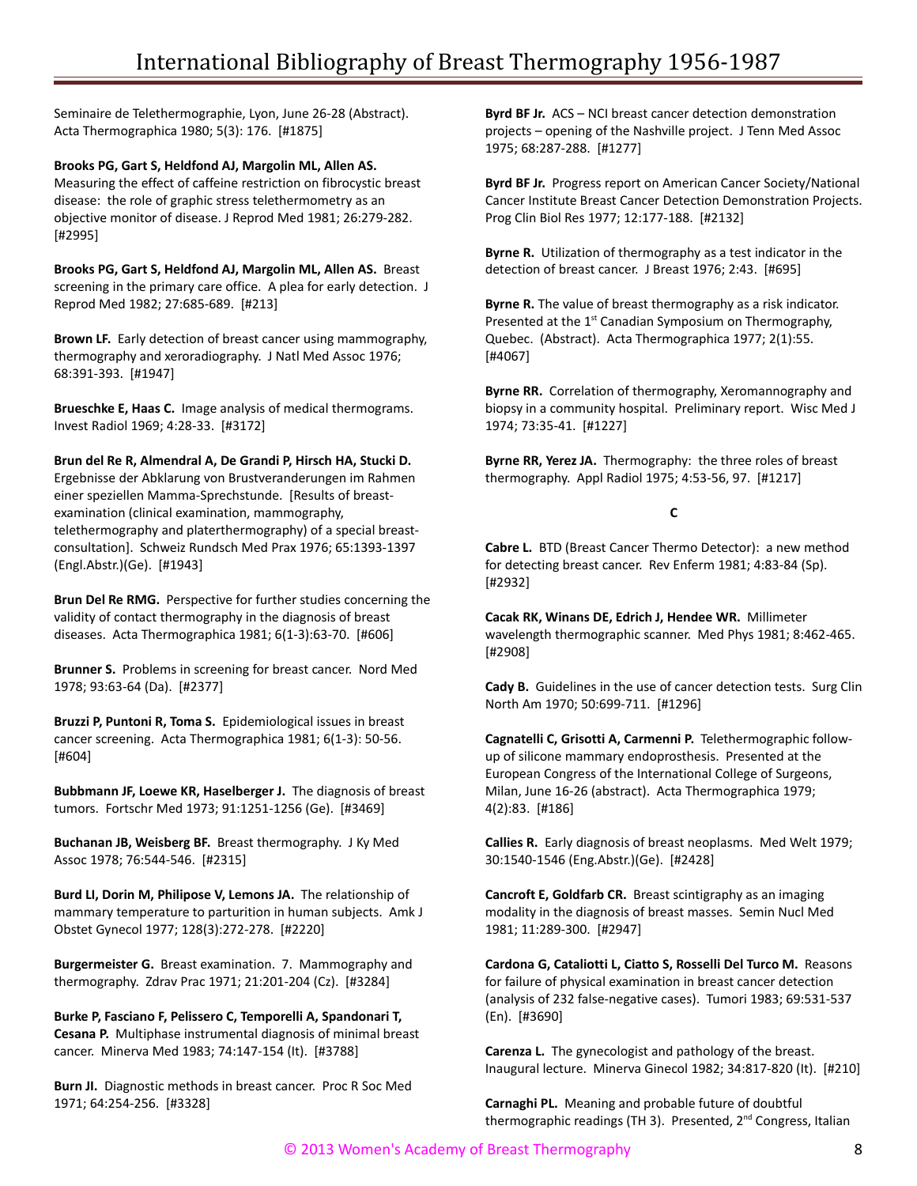Seminaire de Telethermographie, Lyon, June 26-28 (Abstract). Acta Thermographica 1980; 5(3): 176. [#1875]

**Brooks PG, Gart S, Heldfond AJ, Margolin ML, Allen AS.** Measuring the effect of caffeine restriction on fibrocystic breast disease: the role of graphic stress telethermometry as an objective monitor of disease. J Reprod Med 1981; 26:279-282. [#2995]

**Brooks PG, Gart S, Heldfond AJ, Margolin ML, Allen AS.** Breast screening in the primary care office. A plea for early detection. J Reprod Med 1982; 27:685-689. [#213]

**Brown LF.** Early detection of breast cancer using mammography, thermography and xeroradiography. J Natl Med Assoc 1976; 68:391-393. [#1947]

**Brueschke E, Haas C.** Image analysis of medical thermograms. Invest Radiol 1969; 4:28-33. [#3172]

**Brun del Re R, Almendral A, De Grandi P, Hirsch HA, Stucki D.** Ergebnisse der Abklarung von Brustveranderungen im Rahmen einer speziellen Mamma-Sprechstunde. [Results of breastexamination (clinical examination, mammography, telethermography and platerthermography) of a special breastconsultation]. Schweiz Rundsch Med Prax 1976; 65:1393-1397 (Engl.Abstr.)(Ge). [#1943]

**Brun Del Re RMG.** Perspective for further studies concerning the validity of contact thermography in the diagnosis of breast diseases. Acta Thermographica 1981; 6(1-3):63-70. [#606]

**Brunner S.** Problems in screening for breast cancer. Nord Med 1978; 93:63-64 (Da). [#2377]

**Bruzzi P, Puntoni R, Toma S.** Epidemiological issues in breast cancer screening. Acta Thermographica 1981; 6(1-3): 50-56. [#604]

**Bubbmann JF, Loewe KR, Haselberger J.** The diagnosis of breast tumors. Fortschr Med 1973; 91:1251-1256 (Ge). [#3469]

**Buchanan JB, Weisberg BF.** Breast thermography. J Ky Med Assoc 1978; 76:544-546. [#2315]

**Burd LI, Dorin M, Philipose V, Lemons JA.** The relationship of mammary temperature to parturition in human subjects. Amk J Obstet Gynecol 1977; 128(3):272-278. [#2220]

**Burgermeister G.** Breast examination. 7. Mammography and thermography. Zdrav Prac 1971; 21:201-204 (Cz). [#3284]

**Burke P, Fasciano F, Pelissero C, Temporelli A, Spandonari T, Cesana P.** Multiphase instrumental diagnosis of minimal breast cancer. Minerva Med 1983; 74:147-154 (It). [#3788]

**Burn JI.** Diagnostic methods in breast cancer. Proc R Soc Med 1971; 64:254-256. [#3328]

**Byrd BF Jr.** ACS – NCI breast cancer detection demonstration projects – opening of the Nashville project. J Tenn Med Assoc 1975; 68:287-288. [#1277]

**Byrd BF Jr.** Progress report on American Cancer Society/National Cancer Institute Breast Cancer Detection Demonstration Projects. Prog Clin Biol Res 1977; 12:177-188. [#2132]

**Byrne R.** Utilization of thermography as a test indicator in the detection of breast cancer. J Breast 1976; 2:43. [#695]

**Byrne R.** The value of breast thermography as a risk indicator. Presented at the 1<sup>st</sup> Canadian Symposium on Thermography, Quebec. (Abstract). Acta Thermographica 1977; 2(1):55. [#4067]

**Byrne RR.** Correlation of thermography, Xeromannography and biopsy in a community hospital. Preliminary report. Wisc Med J 1974; 73:35-41. [#1227]

**Byrne RR, Yerez JA.** Thermography: the three roles of breast thermography. Appl Radiol 1975; 4:53-56, 97. [#1217]

## **C**

**Cabre L.** BTD (Breast Cancer Thermo Detector): a new method for detecting breast cancer. Rev Enferm 1981; 4:83-84 (Sp). [#2932]

**Cacak RK, Winans DE, Edrich J, Hendee WR.** Millimeter wavelength thermographic scanner. Med Phys 1981; 8:462-465. [#2908]

**Cady B.** Guidelines in the use of cancer detection tests. Surg Clin North Am 1970; 50:699-711. [#1296]

**Cagnatelli C, Grisotti A, Carmenni P.** Telethermographic followup of silicone mammary endoprosthesis. Presented at the European Congress of the International College of Surgeons, Milan, June 16-26 (abstract). Acta Thermographica 1979; 4(2):83. [#186]

**Callies R.** Early diagnosis of breast neoplasms. Med Welt 1979; 30:1540-1546 (Eng.Abstr.)(Ge). [#2428]

**Cancroft E, Goldfarb CR.** Breast scintigraphy as an imaging modality in the diagnosis of breast masses. Semin Nucl Med 1981; 11:289-300. [#2947]

**Cardona G, Cataliotti L, Ciatto S, Rosselli Del Turco M.** Reasons for failure of physical examination in breast cancer detection (analysis of 232 false-negative cases). Tumori 1983; 69:531-537 (En). [#3690]

**Carenza L.** The gynecologist and pathology of the breast. Inaugural lecture. Minerva Ginecol 1982; 34:817-820 (It). [#210]

**Carnaghi PL.** Meaning and probable future of doubtful thermographic readings (TH 3). Presented, 2<sup>nd</sup> Congress, Italian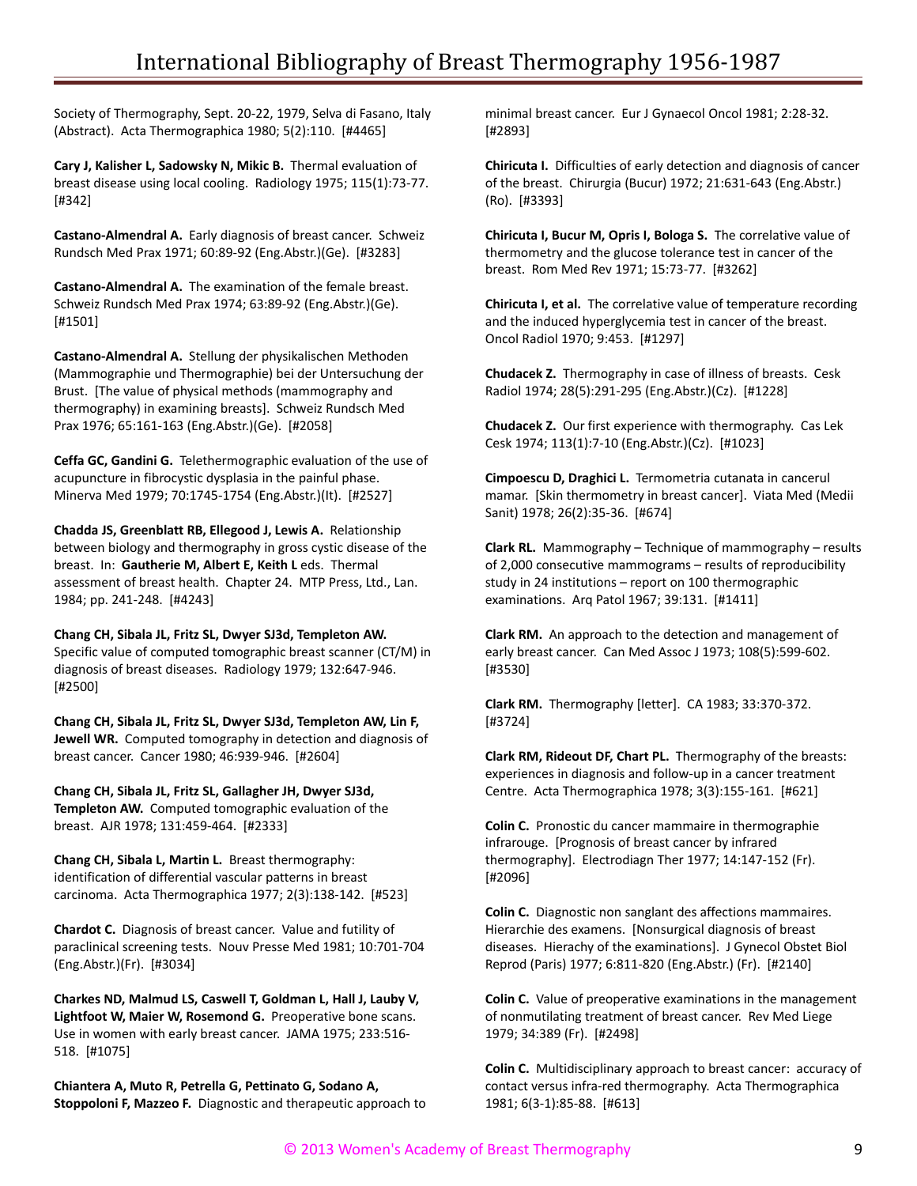Society of Thermography, Sept. 20-22, 1979, Selva di Fasano, Italy (Abstract). Acta Thermographica 1980; 5(2):110. [#4465]

**Cary J, Kalisher L, Sadowsky N, Mikic B.** Thermal evaluation of breast disease using local cooling. Radiology 1975; 115(1):73-77. [#342]

**Castano-Almendral A.** Early diagnosis of breast cancer. Schweiz Rundsch Med Prax 1971; 60:89-92 (Eng.Abstr.)(Ge). [#3283]

**Castano-Almendral A.** The examination of the female breast. Schweiz Rundsch Med Prax 1974; 63:89-92 (Eng.Abstr.)(Ge). [#1501]

**Castano-Almendral A.** Stellung der physikalischen Methoden (Mammographie und Thermographie) bei der Untersuchung der Brust. [The value of physical methods (mammography and thermography) in examining breasts]. Schweiz Rundsch Med Prax 1976; 65:161-163 (Eng.Abstr.)(Ge). [#2058]

**Ceffa GC, Gandini G.** Telethermographic evaluation of the use of acupuncture in fibrocystic dysplasia in the painful phase. Minerva Med 1979; 70:1745-1754 (Eng.Abstr.)(It). [#2527]

**Chadda JS, Greenblatt RB, Ellegood J, Lewis A.** Relationship between biology and thermography in gross cystic disease of the breast. In: **Gautherie M, Albert E, Keith L** eds. Thermal assessment of breast health. Chapter 24. MTP Press, Ltd., Lan. 1984; pp. 241-248. [#4243]

**Chang CH, Sibala JL, Fritz SL, Dwyer SJ3d, Templeton AW.** Specific value of computed tomographic breast scanner (CT/M) in diagnosis of breast diseases. Radiology 1979; 132:647-946. [#2500]

**Chang CH, Sibala JL, Fritz SL, Dwyer SJ3d, Templeton AW, Lin F, Jewell WR.** Computed tomography in detection and diagnosis of breast cancer. Cancer 1980; 46:939-946. [#2604]

**Chang CH, Sibala JL, Fritz SL, Gallagher JH, Dwyer SJ3d, Templeton AW.** Computed tomographic evaluation of the breast. AJR 1978; 131:459-464. [#2333]

**Chang CH, Sibala L, Martin L.** Breast thermography: identification of differential vascular patterns in breast carcinoma. Acta Thermographica 1977; 2(3):138-142. [#523]

**Chardot C.** Diagnosis of breast cancer. Value and futility of paraclinical screening tests. Nouv Presse Med 1981; 10:701-704 (Eng.Abstr.)(Fr). [#3034]

**Charkes ND, Malmud LS, Caswell T, Goldman L, Hall J, Lauby V, Lightfoot W, Maier W, Rosemond G.** Preoperative bone scans. Use in women with early breast cancer. JAMA 1975; 233:516- 518. [#1075]

**Chiantera A, Muto R, Petrella G, Pettinato G, Sodano A, Stoppoloni F, Mazzeo F.** Diagnostic and therapeutic approach to minimal breast cancer. Eur J Gynaecol Oncol 1981; 2:28-32. [#2893]

**Chiricuta I.** Difficulties of early detection and diagnosis of cancer of the breast. Chirurgia (Bucur) 1972; 21:631-643 (Eng.Abstr.) (Ro). [#3393]

**Chiricuta I, Bucur M, Opris I, Bologa S.** The correlative value of thermometry and the glucose tolerance test in cancer of the breast. Rom Med Rev 1971; 15:73-77. [#3262]

**Chiricuta I, et al.** The correlative value of temperature recording and the induced hyperglycemia test in cancer of the breast. Oncol Radiol 1970; 9:453. [#1297]

**Chudacek Z.** Thermography in case of illness of breasts. Cesk Radiol 1974; 28(5):291-295 (Eng.Abstr.)(Cz). [#1228]

**Chudacek Z.** Our first experience with thermography. Cas Lek Cesk 1974; 113(1):7-10 (Eng.Abstr.)(Cz). [#1023]

**Cimpoescu D, Draghici L.** Termometria cutanata in cancerul mamar. [Skin thermometry in breast cancer]. Viata Med (Medii Sanit) 1978; 26(2):35-36. [#674]

**Clark RL.** Mammography – Technique of mammography – results of 2,000 consecutive mammograms – results of reproducibility study in 24 institutions – report on 100 thermographic examinations. Arq Patol 1967; 39:131. [#1411]

**Clark RM.** An approach to the detection and management of early breast cancer. Can Med Assoc J 1973; 108(5):599-602. [#3530]

**Clark RM.** Thermography [letter]. CA 1983; 33:370-372. [#3724]

**Clark RM, Rideout DF, Chart PL.** Thermography of the breasts: experiences in diagnosis and follow-up in a cancer treatment Centre. Acta Thermographica 1978; 3(3):155-161. [#621]

**Colin C.** Pronostic du cancer mammaire in thermographie infrarouge. [Prognosis of breast cancer by infrared thermography]. Electrodiagn Ther 1977; 14:147-152 (Fr). [#2096]

**Colin C.** Diagnostic non sanglant des affections mammaires. Hierarchie des examens. [Nonsurgical diagnosis of breast diseases. Hierachy of the examinations]. J Gynecol Obstet Biol Reprod (Paris) 1977; 6:811-820 (Eng.Abstr.) (Fr). [#2140]

**Colin C.** Value of preoperative examinations in the management of nonmutilating treatment of breast cancer. Rev Med Liege 1979; 34:389 (Fr). [#2498]

**Colin C.** Multidisciplinary approach to breast cancer: accuracy of contact versus infra-red thermography. Acta Thermographica 1981; 6(3-1):85-88. [#613]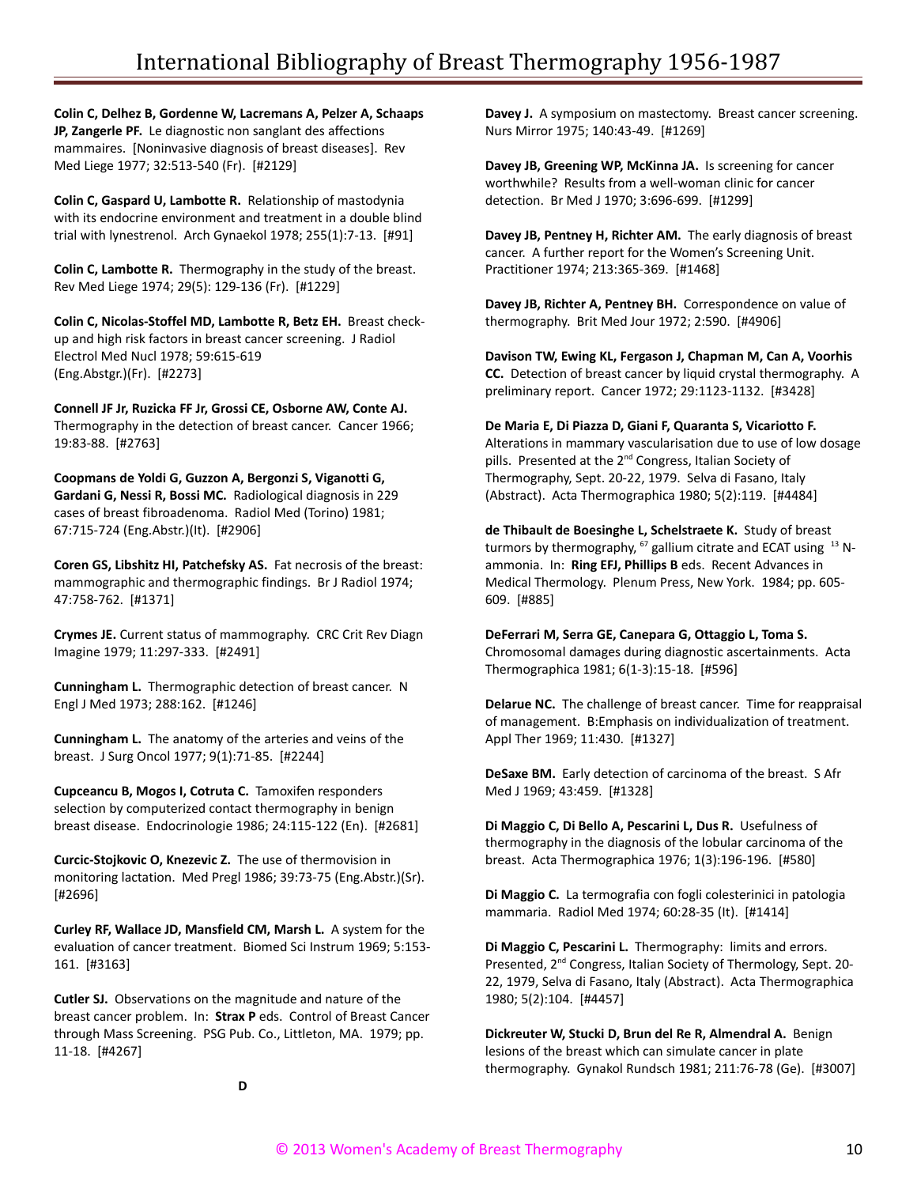**Colin C, Delhez B, Gordenne W, Lacremans A, Pelzer A, Schaaps JP, Zangerle PF.** Le diagnostic non sanglant des affections mammaires. [Noninvasive diagnosis of breast diseases]. Rev Med Liege 1977; 32:513-540 (Fr). [#2129]

**Colin C, Gaspard U, Lambotte R.** Relationship of mastodynia with its endocrine environment and treatment in a double blind trial with lynestrenol. Arch Gynaekol 1978; 255(1):7-13. [#91]

**Colin C, Lambotte R.** Thermography in the study of the breast. Rev Med Liege 1974; 29(5): 129-136 (Fr). [#1229]

**Colin C, Nicolas-Stoffel MD, Lambotte R, Betz EH.** Breast checkup and high risk factors in breast cancer screening. J Radiol Electrol Med Nucl 1978; 59:615-619 (Eng.Abstgr.)(Fr). [#2273]

**Connell JF Jr, Ruzicka FF Jr, Grossi CE, Osborne AW, Conte AJ.** Thermography in the detection of breast cancer. Cancer 1966; 19:83-88. [#2763]

**Coopmans de Yoldi G, Guzzon A, Bergonzi S, Viganotti G, Gardani G, Nessi R, Bossi MC.** Radiological diagnosis in 229 cases of breast fibroadenoma. Radiol Med (Torino) 1981; 67:715-724 (Eng.Abstr.)(It). [#2906]

**Coren GS, Libshitz HI, Patchefsky AS.** Fat necrosis of the breast: mammographic and thermographic findings. Br J Radiol 1974; 47:758-762. [#1371]

**Crymes JE.** Current status of mammography. CRC Crit Rev Diagn Imagine 1979; 11:297-333. [#2491]

**Cunningham L.** Thermographic detection of breast cancer. N Engl J Med 1973; 288:162. [#1246]

**Cunningham L.** The anatomy of the arteries and veins of the breast. J Surg Oncol 1977; 9(1):71-85. [#2244]

**Cupceancu B, Mogos I, Cotruta C.** Tamoxifen responders selection by computerized contact thermography in benign breast disease. Endocrinologie 1986; 24:115-122 (En). [#2681]

**Curcic-Stojkovic O, Knezevic Z.** The use of thermovision in monitoring lactation. Med Pregl 1986; 39:73-75 (Eng.Abstr.)(Sr). [#2696]

**Curley RF, Wallace JD, Mansfield CM, Marsh L.** A system for the evaluation of cancer treatment. Biomed Sci Instrum 1969; 5:153- 161. [#3163]

**Cutler SJ.** Observations on the magnitude and nature of the breast cancer problem. In: **Strax P** eds. Control of Breast Cancer through Mass Screening. PSG Pub. Co., Littleton, MA. 1979; pp. 11-18. [#4267]

**Davey J.** A symposium on mastectomy. Breast cancer screening. Nurs Mirror 1975; 140:43-49. [#1269]

**Davey JB, Greening WP, McKinna JA.** Is screening for cancer worthwhile? Results from a well-woman clinic for cancer detection. Br Med J 1970; 3:696-699. [#1299]

**Davey JB, Pentney H, Richter AM.** The early diagnosis of breast cancer. A further report for the Women's Screening Unit. Practitioner 1974; 213:365-369. [#1468]

**Davey JB, Richter A, Pentney BH.** Correspondence on value of thermography. Brit Med Jour 1972; 2:590. [#4906]

**Davison TW, Ewing KL, Fergason J, Chapman M, Can A, Voorhis CC.** Detection of breast cancer by liquid crystal thermography. A preliminary report. Cancer 1972; 29:1123-1132. [#3428]

**De Maria E, Di Piazza D, Giani F, Quaranta S, Vicariotto F.** Alterations in mammary vascularisation due to use of low dosage pills. Presented at the 2<sup>nd</sup> Congress, Italian Society of Thermography, Sept. 20-22, 1979. Selva di Fasano, Italy (Abstract). Acta Thermographica 1980; 5(2):119. [#4484]

**de Thibault de Boesinghe L, Schelstraete K.** Study of breast turmors by thermography,  $^{67}$  gallium citrate and ECAT using  $^{13}$  Nammonia. In: **Ring EFJ, Phillips B** eds. Recent Advances in Medical Thermology. Plenum Press, New York. 1984; pp. 605- 609. [#885]

**DeFerrari M, Serra GE, Canepara G, Ottaggio L, Toma S.** Chromosomal damages during diagnostic ascertainments. Acta Thermographica 1981; 6(1-3):15-18. [#596]

**Delarue NC.** The challenge of breast cancer. Time for reappraisal of management. B:Emphasis on individualization of treatment. Appl Ther 1969; 11:430. [#1327]

**DeSaxe BM.** Early detection of carcinoma of the breast. S Afr Med J 1969; 43:459. [#1328]

**Di Maggio C, Di Bello A, Pescarini L, Dus R.** Usefulness of thermography in the diagnosis of the lobular carcinoma of the breast. Acta Thermographica 1976; 1(3):196-196. [#580]

**Di Maggio C.** La termografia con fogli colesterinici in patologia mammaria. Radiol Med 1974; 60:28-35 (It). [#1414]

**Di Maggio C, Pescarini L.** Thermography: limits and errors. Presented, 2<sup>nd</sup> Congress, Italian Society of Thermology, Sept. 20-22, 1979, Selva di Fasano, Italy (Abstract). Acta Thermographica 1980; 5(2):104. [#4457]

**Dickreuter W, Stucki D, Brun del Re R, Almendral A.** Benign lesions of the breast which can simulate cancer in plate thermography. Gynakol Rundsch 1981; 211:76-78 (Ge). [#3007]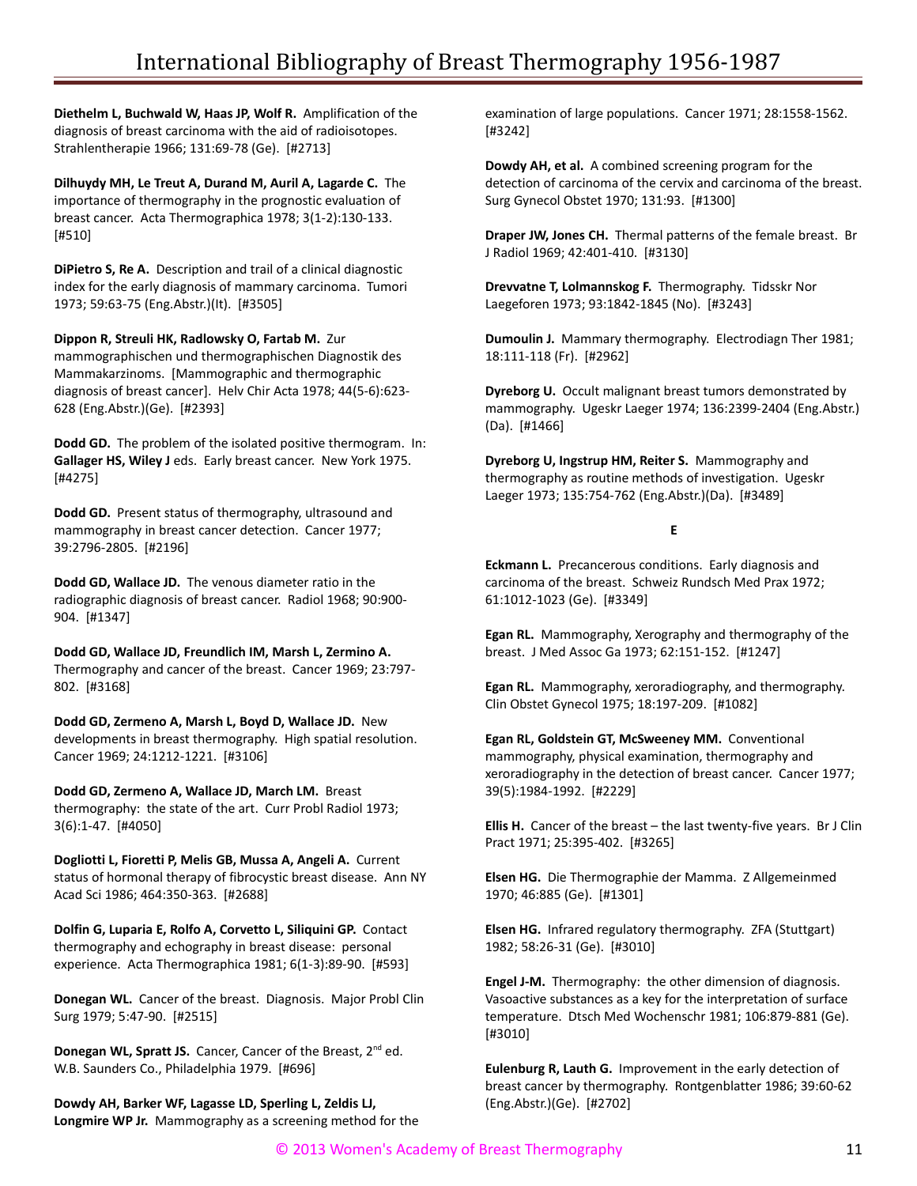**Diethelm L, Buchwald W, Haas JP, Wolf R.** Amplification of the diagnosis of breast carcinoma with the aid of radioisotopes. Strahlentherapie 1966; 131:69-78 (Ge). [#2713]

**Dilhuydy MH, Le Treut A, Durand M, Auril A, Lagarde C.** The importance of thermography in the prognostic evaluation of breast cancer. Acta Thermographica 1978; 3(1-2):130-133. [#510]

**DiPietro S, Re A.** Description and trail of a clinical diagnostic index for the early diagnosis of mammary carcinoma. Tumori 1973; 59:63-75 (Eng.Abstr.)(It). [#3505]

**Dippon R, Streuli HK, Radlowsky O, Fartab M.** Zur

mammographischen und thermographischen Diagnostik des Mammakarzinoms. [Mammographic and thermographic diagnosis of breast cancer]. Helv Chir Acta 1978; 44(5-6):623- 628 (Eng.Abstr.)(Ge). [#2393]

**Dodd GD.** The problem of the isolated positive thermogram. In: **Gallager HS, Wiley J** eds. Early breast cancer. New York 1975. [#4275]

**Dodd GD.** Present status of thermography, ultrasound and mammography in breast cancer detection. Cancer 1977; 39:2796-2805. [#2196]

**Dodd GD, Wallace JD.** The venous diameter ratio in the radiographic diagnosis of breast cancer. Radiol 1968; 90:900- 904. [#1347]

**Dodd GD, Wallace JD, Freundlich IM, Marsh L, Zermino A.** Thermography and cancer of the breast. Cancer 1969; 23:797- 802. [#3168]

**Dodd GD, Zermeno A, Marsh L, Boyd D, Wallace JD.** New developments in breast thermography. High spatial resolution. Cancer 1969; 24:1212-1221. [#3106]

**Dodd GD, Zermeno A, Wallace JD, March LM.** Breast thermography: the state of the art. Curr Probl Radiol 1973; 3(6):1-47. [#4050]

**Dogliotti L, Fioretti P, Melis GB, Mussa A, Angeli A.** Current status of hormonal therapy of fibrocystic breast disease. Ann NY Acad Sci 1986; 464:350-363. [#2688]

**Dolfin G, Luparia E, Rolfo A, Corvetto L, Siliquini GP.** Contact thermography and echography in breast disease: personal experience. Acta Thermographica 1981; 6(1-3):89-90. [#593]

**Donegan WL.** Cancer of the breast. Diagnosis. Major Probl Clin Surg 1979; 5:47-90. [#2515]

**Donegan WL, Spratt JS.** Cancer, Cancer of the Breast, 2<sup>nd</sup> ed. W.B. Saunders Co., Philadelphia 1979. [#696]

**Dowdy AH, Barker WF, Lagasse LD, Sperling L, Zeldis LJ, Longmire WP Jr.** Mammography as a screening method for the examination of large populations. Cancer 1971; 28:1558-1562. [#3242]

**Dowdy AH, et al.** A combined screening program for the detection of carcinoma of the cervix and carcinoma of the breast. Surg Gynecol Obstet 1970; 131:93. [#1300]

**Draper JW, Jones CH.** Thermal patterns of the female breast. Br J Radiol 1969; 42:401-410. [#3130]

**Drevvatne T, Lolmannskog F.** Thermography. Tidsskr Nor Laegeforen 1973; 93:1842-1845 (No). [#3243]

**Dumoulin J.** Mammary thermography. Electrodiagn Ther 1981; 18:111-118 (Fr). [#2962]

**Dyreborg U.** Occult malignant breast tumors demonstrated by mammography. Ugeskr Laeger 1974; 136:2399-2404 (Eng.Abstr.) (Da). [#1466]

**Dyreborg U, Ingstrup HM, Reiter S.** Mammography and thermography as routine methods of investigation. Ugeskr Laeger 1973; 135:754-762 (Eng.Abstr.)(Da). [#3489]

## **E**

**Eckmann L.** Precancerous conditions. Early diagnosis and carcinoma of the breast. Schweiz Rundsch Med Prax 1972; 61:1012-1023 (Ge). [#3349]

**Egan RL.** Mammography, Xerography and thermography of the breast. J Med Assoc Ga 1973; 62:151-152. [#1247]

**Egan RL.** Mammography, xeroradiography, and thermography. Clin Obstet Gynecol 1975; 18:197-209. [#1082]

**Egan RL, Goldstein GT, McSweeney MM.** Conventional mammography, physical examination, thermography and xeroradiography in the detection of breast cancer. Cancer 1977; 39(5):1984-1992. [#2229]

**Ellis H.** Cancer of the breast – the last twenty-five years. Br J Clin Pract 1971; 25:395-402. [#3265]

**Elsen HG.** Die Thermographie der Mamma. Z Allgemeinmed 1970; 46:885 (Ge). [#1301]

**Elsen HG.** Infrared regulatory thermography. ZFA (Stuttgart) 1982; 58:26-31 (Ge). [#3010]

**Engel J-M.** Thermography: the other dimension of diagnosis. Vasoactive substances as a key for the interpretation of surface temperature. Dtsch Med Wochenschr 1981; 106:879-881 (Ge). [#3010]

**Eulenburg R, Lauth G.** Improvement in the early detection of breast cancer by thermography. Rontgenblatter 1986; 39:60-62 (Eng.Abstr.)(Ge). [#2702]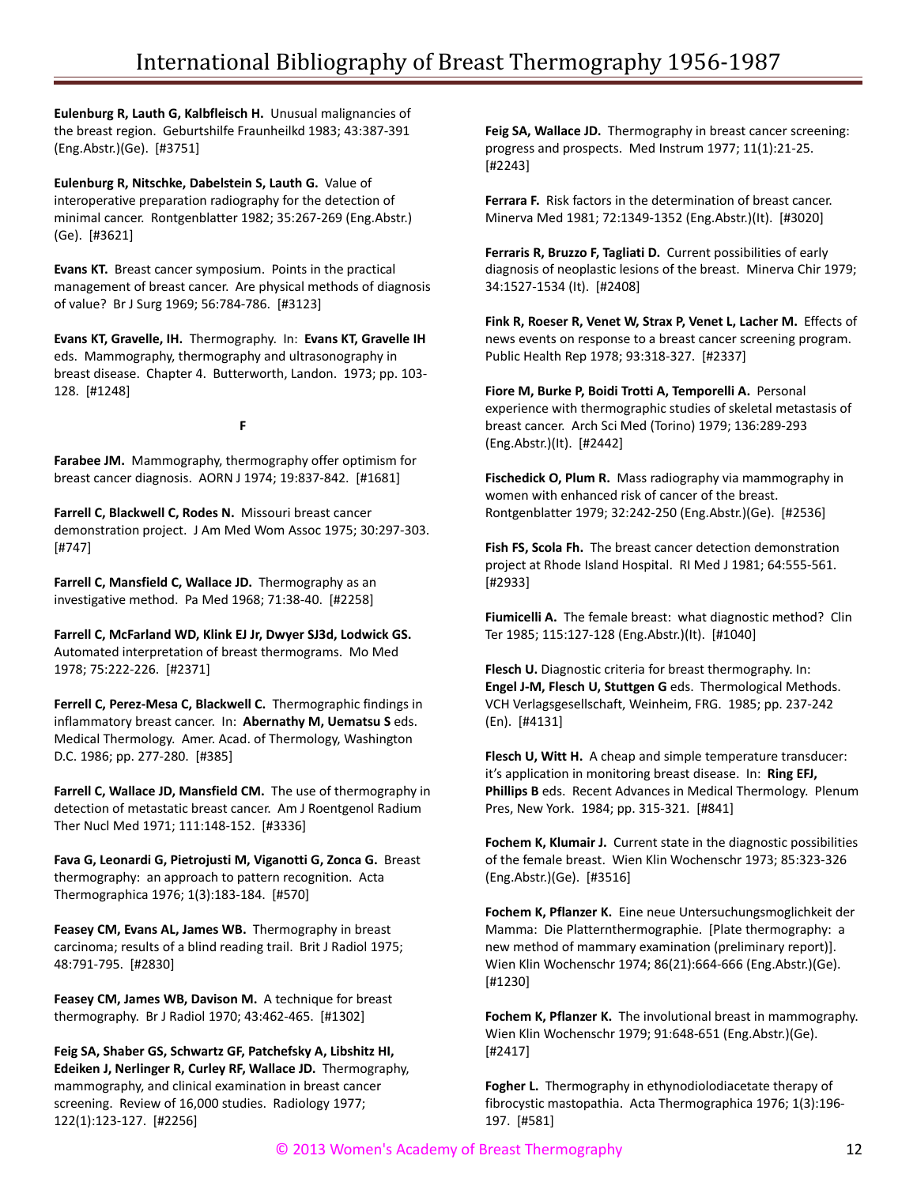**Eulenburg R, Lauth G, Kalbfleisch H.** Unusual malignancies of the breast region. Geburtshilfe Fraunheilkd 1983; 43:387-391 (Eng.Abstr.)(Ge). [#3751]

**Eulenburg R, Nitschke, Dabelstein S, Lauth G.** Value of interoperative preparation radiography for the detection of minimal cancer. Rontgenblatter 1982; 35:267-269 (Eng.Abstr.) (Ge). [#3621]

**Evans KT.** Breast cancer symposium. Points in the practical management of breast cancer. Are physical methods of diagnosis of value? Br J Surg 1969; 56:784-786. [#3123]

**Evans KT, Gravelle, IH.** Thermography. In: **Evans KT, Gravelle IH** eds. Mammography, thermography and ultrasonography in breast disease. Chapter 4. Butterworth, Landon. 1973; pp. 103- 128. [#1248]

**F**

**Farabee JM.** Mammography, thermography offer optimism for breast cancer diagnosis. AORN J 1974; 19:837-842. [#1681]

**Farrell C, Blackwell C, Rodes N.** Missouri breast cancer demonstration project. J Am Med Wom Assoc 1975; 30:297-303. [#747]

**Farrell C, Mansfield C, Wallace JD.** Thermography as an investigative method. Pa Med 1968; 71:38-40. [#2258]

**Farrell C, McFarland WD, Klink EJ Jr, Dwyer SJ3d, Lodwick GS.** Automated interpretation of breast thermograms. Mo Med 1978; 75:222-226. [#2371]

**Ferrell C, Perez-Mesa C, Blackwell C.** Thermographic findings in inflammatory breast cancer. In: **Abernathy M, Uematsu S** eds. Medical Thermology. Amer. Acad. of Thermology, Washington D.C. 1986; pp. 277-280. [#385]

**Farrell C, Wallace JD, Mansfield CM.** The use of thermography in detection of metastatic breast cancer. Am J Roentgenol Radium Ther Nucl Med 1971; 111:148-152. [#3336]

**Fava G, Leonardi G, Pietrojusti M, Viganotti G, Zonca G.** Breast thermography: an approach to pattern recognition. Acta Thermographica 1976; 1(3):183-184. [#570]

**Feasey CM, Evans AL, James WB.** Thermography in breast carcinoma; results of a blind reading trail. Brit J Radiol 1975; 48:791-795. [#2830]

**Feasey CM, James WB, Davison M.** A technique for breast thermography. Br J Radiol 1970; 43:462-465. [#1302]

**Feig SA, Shaber GS, Schwartz GF, Patchefsky A, Libshitz HI, Edeiken J, Nerlinger R, Curley RF, Wallace JD.** Thermography, mammography, and clinical examination in breast cancer screening. Review of 16,000 studies. Radiology 1977; 122(1):123-127. [#2256]

**Feig SA, Wallace JD.** Thermography in breast cancer screening: progress and prospects. Med Instrum 1977; 11(1):21-25. [#2243]

**Ferrara F.** Risk factors in the determination of breast cancer. Minerva Med 1981; 72:1349-1352 (Eng.Abstr.)(It). [#3020]

**Ferraris R, Bruzzo F, Tagliati D.** Current possibilities of early diagnosis of neoplastic lesions of the breast. Minerva Chir 1979; 34:1527-1534 (It). [#2408]

**Fink R, Roeser R, Venet W, Strax P, Venet L, Lacher M.** Effects of news events on response to a breast cancer screening program. Public Health Rep 1978; 93:318-327. [#2337]

**Fiore M, Burke P, Boidi Trotti A, Temporelli A.** Personal experience with thermographic studies of skeletal metastasis of breast cancer. Arch Sci Med (Torino) 1979; 136:289-293 (Eng.Abstr.)(It). [#2442]

**Fischedick O, Plum R.** Mass radiography via mammography in women with enhanced risk of cancer of the breast. Rontgenblatter 1979; 32:242-250 (Eng.Abstr.)(Ge). [#2536]

**Fish FS, Scola Fh.** The breast cancer detection demonstration project at Rhode Island Hospital. RI Med J 1981; 64:555-561. [#2933]

**Fiumicelli A.** The female breast: what diagnostic method? Clin Ter 1985; 115:127-128 (Eng.Abstr.)(It). [#1040]

**Flesch U.** Diagnostic criteria for breast thermography. In: **Engel J-M, Flesch U, Stuttgen G** eds. Thermological Methods. VCH Verlagsgesellschaft, Weinheim, FRG. 1985; pp. 237-242 (En). [#4131]

**Flesch U, Witt H.** A cheap and simple temperature transducer: it's application in monitoring breast disease. In: **Ring EFJ, Phillips B** eds. Recent Advances in Medical Thermology. Plenum Pres, New York. 1984; pp. 315-321. [#841]

**Fochem K, Klumair J.** Current state in the diagnostic possibilities of the female breast. Wien Klin Wochenschr 1973; 85:323-326 (Eng.Abstr.)(Ge). [#3516]

**Fochem K, Pflanzer K.** Eine neue Untersuchungsmoglichkeit der Mamma: Die Platternthermographie. [Plate thermography: a new method of mammary examination (preliminary report)]. Wien Klin Wochenschr 1974; 86(21):664-666 (Eng.Abstr.)(Ge). [#1230]

**Fochem K, Pflanzer K.** The involutional breast in mammography. Wien Klin Wochenschr 1979; 91:648-651 (Eng.Abstr.)(Ge). [#2417]

**Fogher L.** Thermography in ethynodiolodiacetate therapy of fibrocystic mastopathia. Acta Thermographica 1976; 1(3):196- 197. [#581]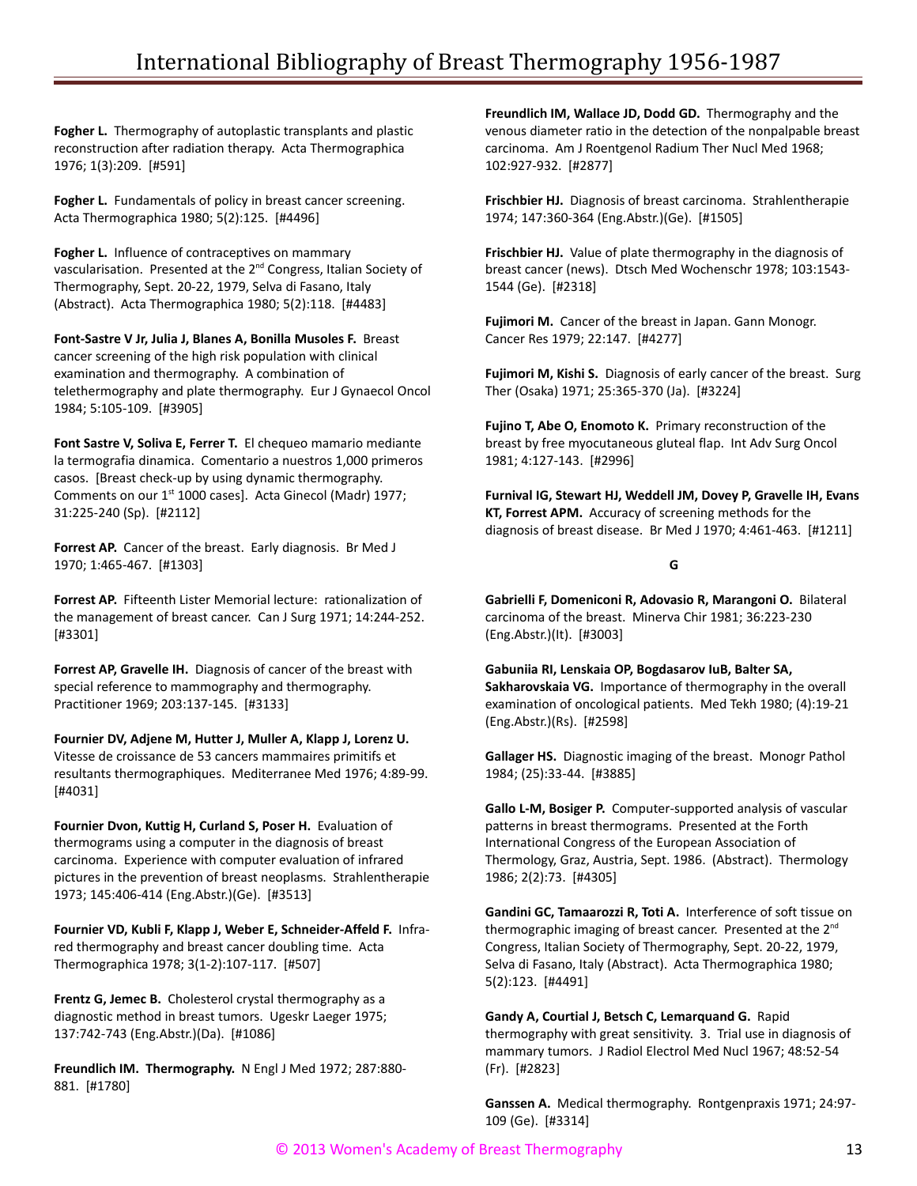**Fogher L.** Thermography of autoplastic transplants and plastic reconstruction after radiation therapy. Acta Thermographica 1976; 1(3):209. [#591]

**Fogher L.** Fundamentals of policy in breast cancer screening. Acta Thermographica 1980; 5(2):125. [#4496]

**Fogher L.** Influence of contraceptives on mammary vascularisation. Presented at the 2<sup>nd</sup> Congress, Italian Society of Thermography, Sept. 20-22, 1979, Selva di Fasano, Italy (Abstract). Acta Thermographica 1980; 5(2):118. [#4483]

**Font-Sastre V Jr, Julia J, Blanes A, Bonilla Musoles F.** Breast cancer screening of the high risk population with clinical examination and thermography. A combination of telethermography and plate thermography. Eur J Gynaecol Oncol 1984; 5:105-109. [#3905]

**Font Sastre V, Soliva E, Ferrer T.** El chequeo mamario mediante la termografia dinamica. Comentario a nuestros 1,000 primeros casos. [Breast check-up by using dynamic thermography. Comments on our 1<sup>st</sup> 1000 cases]. Acta Ginecol (Madr) 1977; 31:225-240 (Sp). [#2112]

**Forrest AP.** Cancer of the breast. Early diagnosis. Br Med J 1970; 1:465-467. [#1303]

**Forrest AP.** Fifteenth Lister Memorial lecture: rationalization of the management of breast cancer. Can J Surg 1971; 14:244-252. [#3301]

**Forrest AP, Gravelle IH.** Diagnosis of cancer of the breast with special reference to mammography and thermography. Practitioner 1969; 203:137-145. [#3133]

**Fournier DV, Adjene M, Hutter J, Muller A, Klapp J, Lorenz U.** Vitesse de croissance de 53 cancers mammaires primitifs et resultants thermographiques. Mediterranee Med 1976; 4:89-99. [#4031]

**Fournier Dvon, Kuttig H, Curland S, Poser H.** Evaluation of thermograms using a computer in the diagnosis of breast carcinoma. Experience with computer evaluation of infrared pictures in the prevention of breast neoplasms. Strahlentherapie 1973; 145:406-414 (Eng.Abstr.)(Ge). [#3513]

**Fournier VD, Kubli F, Klapp J, Weber E, Schneider-Affeld F.** Infrared thermography and breast cancer doubling time. Acta Thermographica 1978; 3(1-2):107-117. [#507]

**Frentz G, Jemec B.** Cholesterol crystal thermography as a diagnostic method in breast tumors. Ugeskr Laeger 1975; 137:742-743 (Eng.Abstr.)(Da). [#1086]

**Freundlich IM. Thermography.** N Engl J Med 1972; 287:880- 881. [#1780]

**Freundlich IM, Wallace JD, Dodd GD.** Thermography and the venous diameter ratio in the detection of the nonpalpable breast carcinoma. Am J Roentgenol Radium Ther Nucl Med 1968; 102:927-932. [#2877]

**Frischbier HJ.** Diagnosis of breast carcinoma. Strahlentherapie 1974; 147:360-364 (Eng.Abstr.)(Ge). [#1505]

**Frischbier HJ.** Value of plate thermography in the diagnosis of breast cancer (news). Dtsch Med Wochenschr 1978; 103:1543- 1544 (Ge). [#2318]

**Fujimori M.** Cancer of the breast in Japan. Gann Monogr. Cancer Res 1979; 22:147. [#4277]

**Fujimori M, Kishi S.** Diagnosis of early cancer of the breast. Surg Ther (Osaka) 1971; 25:365-370 (Ja). [#3224]

**Fujino T, Abe O, Enomoto K.** Primary reconstruction of the breast by free myocutaneous gluteal flap. Int Adv Surg Oncol 1981; 4:127-143. [#2996]

**Furnival IG, Stewart HJ, Weddell JM, Dovey P, Gravelle IH, Evans KT, Forrest APM.** Accuracy of screening methods for the diagnosis of breast disease. Br Med J 1970; 4:461-463. [#1211]

## **G**

**Gabrielli F, Domeniconi R, Adovasio R, Marangoni O.** Bilateral carcinoma of the breast. Minerva Chir 1981; 36:223-230 (Eng.Abstr.)(It). [#3003]

**Gabuniia RI, Lenskaia OP, Bogdasarov IuB, Balter SA, Sakharovskaia VG.** Importance of thermography in the overall examination of oncological patients. Med Tekh 1980; (4):19-21 (Eng.Abstr.)(Rs). [#2598]

**Gallager HS.** Diagnostic imaging of the breast. Monogr Pathol 1984; (25):33-44. [#3885]

**Gallo L-M, Bosiger P.** Computer-supported analysis of vascular patterns in breast thermograms. Presented at the Forth International Congress of the European Association of Thermology, Graz, Austria, Sept. 1986. (Abstract). Thermology 1986; 2(2):73. [#4305]

**Gandini GC, Tamaarozzi R, Toti A.** Interference of soft tissue on thermographic imaging of breast cancer. Presented at the 2<sup>nd</sup> Congress, Italian Society of Thermography, Sept. 20-22, 1979, Selva di Fasano, Italy (Abstract). Acta Thermographica 1980; 5(2):123. [#4491]

**Gandy A, Courtial J, Betsch C, Lemarquand G.** Rapid thermography with great sensitivity. 3. Trial use in diagnosis of mammary tumors. J Radiol Electrol Med Nucl 1967; 48:52-54 (Fr). [#2823]

**Ganssen A.** Medical thermography. Rontgenpraxis 1971; 24:97- 109 (Ge). [#3314]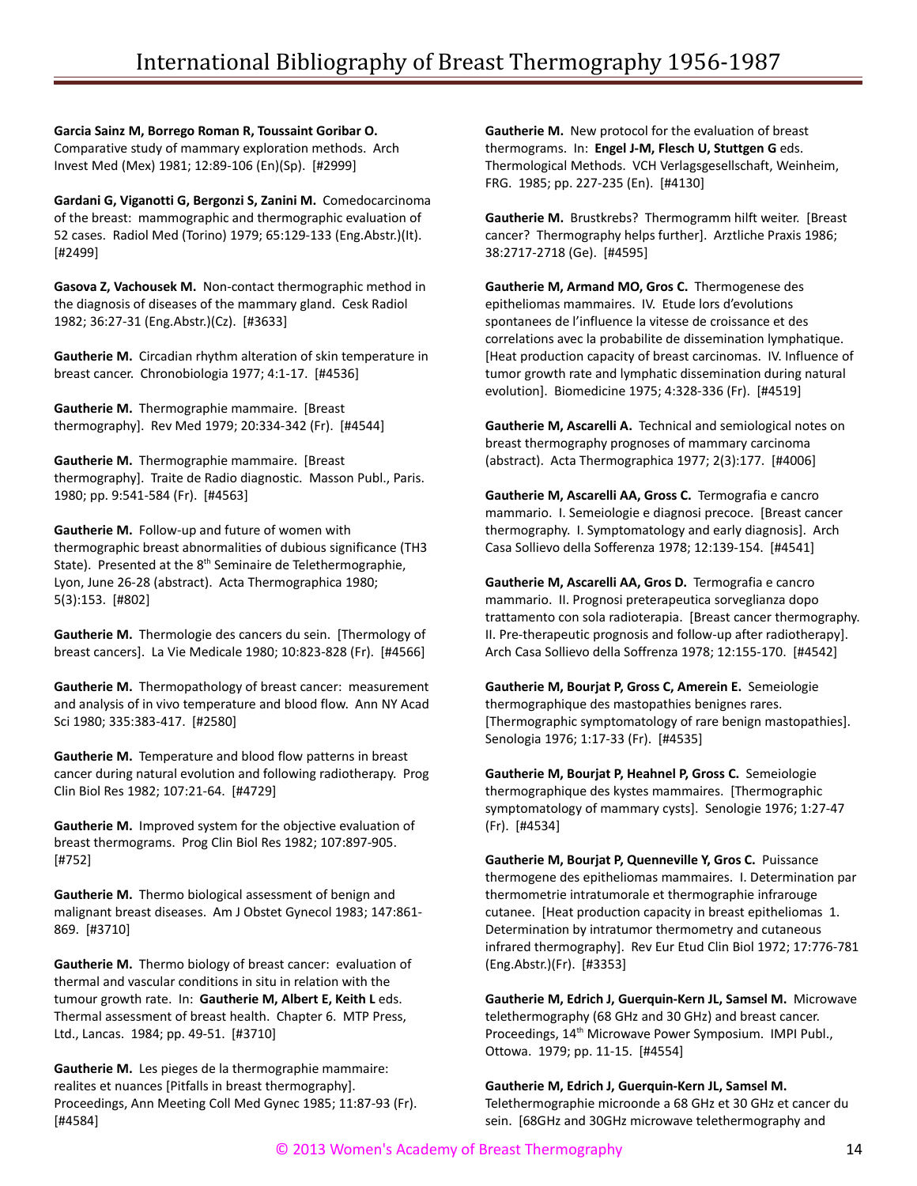**Garcia Sainz M, Borrego Roman R, Toussaint Goribar O.** Comparative study of mammary exploration methods. Arch Invest Med (Mex) 1981; 12:89-106 (En)(Sp). [#2999]

**Gardani G, Viganotti G, Bergonzi S, Zanini M.** Comedocarcinoma of the breast: mammographic and thermographic evaluation of 52 cases. Radiol Med (Torino) 1979; 65:129-133 (Eng.Abstr.)(It). [#2499]

**Gasova Z, Vachousek M.** Non-contact thermographic method in the diagnosis of diseases of the mammary gland. Cesk Radiol 1982; 36:27-31 (Eng.Abstr.)(Cz). [#3633]

**Gautherie M.** Circadian rhythm alteration of skin temperature in breast cancer. Chronobiologia 1977; 4:1-17. [#4536]

**Gautherie M.** Thermographie mammaire. [Breast thermography]. Rev Med 1979; 20:334-342 (Fr). [#4544]

**Gautherie M.** Thermographie mammaire. [Breast thermography]. Traite de Radio diagnostic. Masson Publ., Paris. 1980; pp. 9:541-584 (Fr). [#4563]

**Gautherie M.** Follow-up and future of women with thermographic breast abnormalities of dubious significance (TH3 State). Presented at the  $8<sup>th</sup>$  Seminaire de Telethermographie, Lyon, June 26-28 (abstract). Acta Thermographica 1980; 5(3):153. [#802]

**Gautherie M.** Thermologie des cancers du sein. [Thermology of breast cancers]. La Vie Medicale 1980; 10:823-828 (Fr). [#4566]

**Gautherie M.** Thermopathology of breast cancer: measurement and analysis of in vivo temperature and blood flow. Ann NY Acad Sci 1980; 335:383-417. [#2580]

**Gautherie M.** Temperature and blood flow patterns in breast cancer during natural evolution and following radiotherapy. Prog Clin Biol Res 1982; 107:21-64. [#4729]

**Gautherie M.** Improved system for the objective evaluation of breast thermograms. Prog Clin Biol Res 1982; 107:897-905. [#752]

**Gautherie M.** Thermo biological assessment of benign and malignant breast diseases. Am J Obstet Gynecol 1983; 147:861- 869. [#3710]

**Gautherie M.** Thermo biology of breast cancer: evaluation of thermal and vascular conditions in situ in relation with the tumour growth rate. In: **Gautherie M, Albert E, Keith L** eds. Thermal assessment of breast health. Chapter 6. MTP Press, Ltd., Lancas. 1984; pp. 49-51. [#3710]

**Gautherie M.** Les pieges de la thermographie mammaire: realites et nuances [Pitfalls in breast thermography]. Proceedings, Ann Meeting Coll Med Gynec 1985; 11:87-93 (Fr). [#4584]

**Gautherie M.** New protocol for the evaluation of breast thermograms. In: **Engel J-M, Flesch U, Stuttgen G** eds. Thermological Methods. VCH Verlagsgesellschaft, Weinheim, FRG. 1985; pp. 227-235 (En). [#4130]

**Gautherie M.** Brustkrebs? Thermogramm hilft weiter. [Breast cancer? Thermography helps further]. Arztliche Praxis 1986; 38:2717-2718 (Ge). [#4595]

**Gautherie M, Armand MO, Gros C.** Thermogenese des epitheliomas mammaires. IV. Etude lors d'evolutions spontanees de l'influence la vitesse de croissance et des correlations avec la probabilite de dissemination lymphatique. [Heat production capacity of breast carcinomas. IV. Influence of tumor growth rate and lymphatic dissemination during natural evolution]. Biomedicine 1975; 4:328-336 (Fr). [#4519]

**Gautherie M, Ascarelli A.** Technical and semiological notes on breast thermography prognoses of mammary carcinoma (abstract). Acta Thermographica 1977; 2(3):177. [#4006]

**Gautherie M, Ascarelli AA, Gross C.** Termografia e cancro mammario. I. Semeiologie e diagnosi precoce. [Breast cancer thermography. I. Symptomatology and early diagnosis]. Arch Casa Sollievo della Sofferenza 1978; 12:139-154. [#4541]

**Gautherie M, Ascarelli AA, Gros D.** Termografia e cancro mammario. II. Prognosi preterapeutica sorveglianza dopo trattamento con sola radioterapia. [Breast cancer thermography. II. Pre-therapeutic prognosis and follow-up after radiotherapy]. Arch Casa Sollievo della Soffrenza 1978; 12:155-170. [#4542]

**Gautherie M, Bourjat P, Gross C, Amerein E.** Semeiologie thermographique des mastopathies benignes rares. [Thermographic symptomatology of rare benign mastopathies]. Senologia 1976; 1:17-33 (Fr). [#4535]

**Gautherie M, Bourjat P, Heahnel P, Gross C.** Semeiologie thermographique des kystes mammaires. [Thermographic symptomatology of mammary cysts]. Senologie 1976; 1:27-47 (Fr). [#4534]

**Gautherie M, Bourjat P, Quenneville Y, Gros C.** Puissance thermogene des epitheliomas mammaires. I. Determination par thermometrie intratumorale et thermographie infrarouge cutanee. [Heat production capacity in breast epitheliomas 1. Determination by intratumor thermometry and cutaneous infrared thermography]. Rev Eur Etud Clin Biol 1972; 17:776-781 (Eng.Abstr.)(Fr). [#3353]

**Gautherie M, Edrich J, Guerquin-Kern JL, Samsel M.** Microwave telethermography (68 GHz and 30 GHz) and breast cancer. Proceedings, 14<sup>th</sup> Microwave Power Symposium. IMPI Publ., Ottowa. 1979; pp. 11-15. [#4554]

**Gautherie M, Edrich J, Guerquin-Kern JL, Samsel M.** Telethermographie microonde a 68 GHz et 30 GHz et cancer du sein. [68GHz and 30GHz microwave telethermography and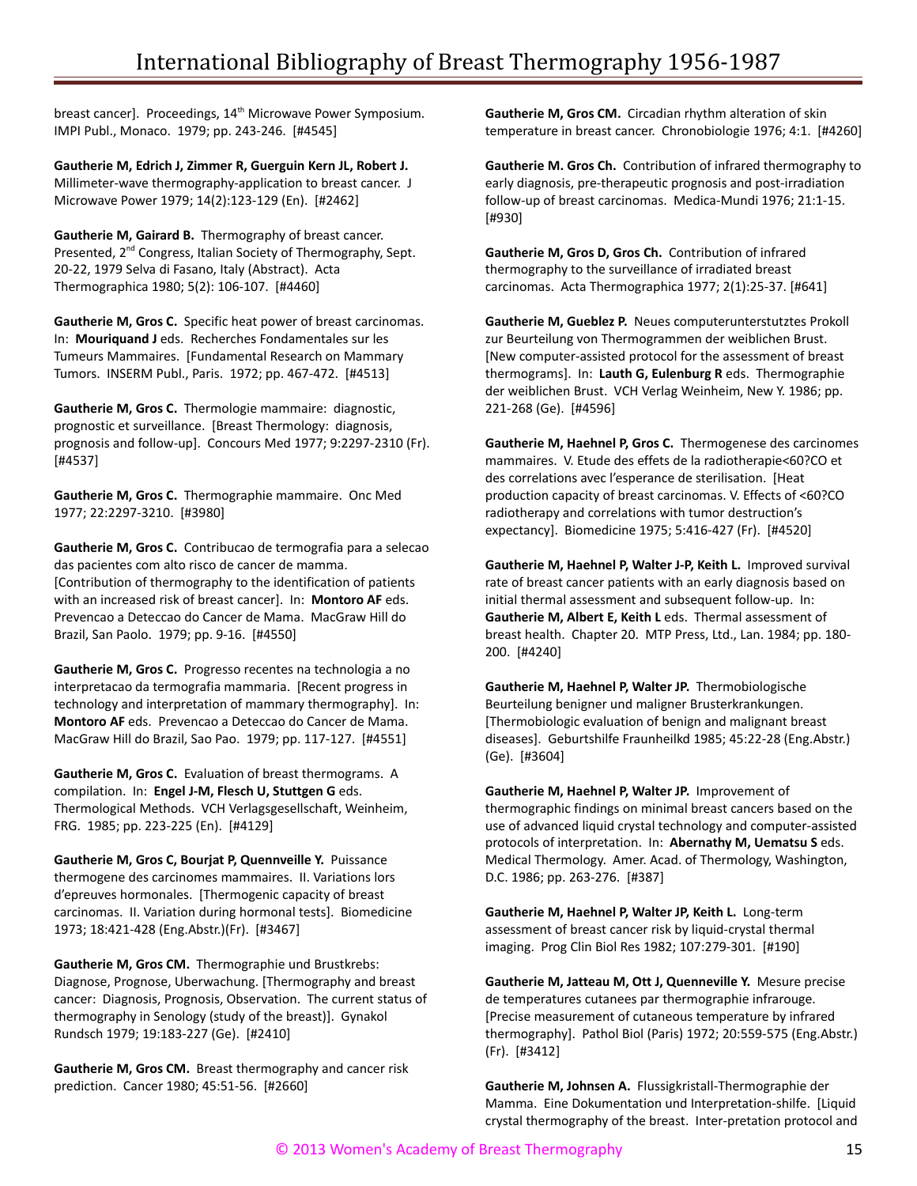breast cancer]. Proceedings, 14<sup>th</sup> Microwave Power Symposium. IMPI Publ., Monaco. 1979; pp. 243-246. [#4545]

**Gautherie M, Edrich J, Zimmer R, Guerguin Kern JL, Robert J.** Millimeter-wave thermography-application to breast cancer. J Microwave Power 1979; 14(2):123-129 (En). [#2462]

**Gautherie M, Gairard B.** Thermography of breast cancer. Presented, 2<sup>nd</sup> Congress, Italian Society of Thermography, Sept. 20-22, 1979 Selva di Fasano, Italy (Abstract). Acta Thermographica 1980; 5(2): 106-107. [#4460]

**Gautherie M, Gros C.** Specific heat power of breast carcinomas. In: **Mouriquand J** eds. Recherches Fondamentales sur les Tumeurs Mammaires. [Fundamental Research on Mammary Tumors. INSERM Publ., Paris. 1972; pp. 467-472. [#4513]

**Gautherie M, Gros C.** Thermologie mammaire: diagnostic, prognostic et surveillance. [Breast Thermology: diagnosis, prognosis and follow-up]. Concours Med 1977; 9:2297-2310 (Fr). [#4537]

**Gautherie M, Gros C.** Thermographie mammaire. Onc Med 1977; 22:2297-3210. [#3980]

**Gautherie M, Gros C.** Contribucao de termografia para a selecao das pacientes com alto risco de cancer de mamma. [Contribution of thermography to the identification of patients with an increased risk of breast cancer]. In: **Montoro AF** eds. Prevencao a Deteccao do Cancer de Mama. MacGraw Hill do Brazil, San Paolo. 1979; pp. 9-16. [#4550]

**Gautherie M, Gros C.** Progresso recentes na technologia a no interpretacao da termografia mammaria. [Recent progress in technology and interpretation of mammary thermography]. In: **Montoro AF** eds. Prevencao a Deteccao do Cancer de Mama. MacGraw Hill do Brazil, Sao Pao. 1979; pp. 117-127. [#4551]

**Gautherie M, Gros C.** Evaluation of breast thermograms. A compilation. In: **Engel J-M, Flesch U, Stuttgen G** eds. Thermological Methods. VCH Verlagsgesellschaft, Weinheim, FRG. 1985; pp. 223-225 (En). [#4129]

**Gautherie M, Gros C, Bourjat P, Quennveille Y.** Puissance thermogene des carcinomes mammaires. II. Variations lors d'epreuves hormonales. [Thermogenic capacity of breast carcinomas. II. Variation during hormonal tests]. Biomedicine 1973; 18:421-428 (Eng.Abstr.)(Fr). [#3467]

**Gautherie M, Gros CM.** Thermographie und Brustkrebs: Diagnose, Prognose, Uberwachung. [Thermography and breast cancer: Diagnosis, Prognosis, Observation. The current status of thermography in Senology (study of the breast)]. Gynakol Rundsch 1979; 19:183-227 (Ge). [#2410]

**Gautherie M, Gros CM.** Breast thermography and cancer risk prediction. Cancer 1980; 45:51-56. [#2660]

**Gautherie M, Gros CM.** Circadian rhythm alteration of skin temperature in breast cancer. Chronobiologie 1976; 4:1. [#4260]

**Gautherie M. Gros Ch.** Contribution of infrared thermography to early diagnosis, pre-therapeutic prognosis and post-irradiation follow-up of breast carcinomas. Medica-Mundi 1976; 21:1-15. [#930]

**Gautherie M, Gros D, Gros Ch.** Contribution of infrared thermography to the surveillance of irradiated breast carcinomas. Acta Thermographica 1977; 2(1):25-37. [#641]

**Gautherie M, Gueblez P.** Neues computerunterstutztes Prokoll zur Beurteilung von Thermogrammen der weiblichen Brust. [New computer-assisted protocol for the assessment of breast thermograms]. In: **Lauth G, Eulenburg R** eds. Thermographie der weiblichen Brust. VCH Verlag Weinheim, New Y. 1986; pp. 221-268 (Ge). [#4596]

**Gautherie M, Haehnel P, Gros C.** Thermogenese des carcinomes mammaires. V. Etude des effets de la radiotherapie<60?CO et des correlations avec l'esperance de sterilisation. [Heat production capacity of breast carcinomas. V. Effects of <60?CO radiotherapy and correlations with tumor destruction's expectancy]. Biomedicine 1975; 5:416-427 (Fr). [#4520]

**Gautherie M, Haehnel P, Walter J-P, Keith L.** Improved survival rate of breast cancer patients with an early diagnosis based on initial thermal assessment and subsequent follow-up. In: **Gautherie M, Albert E, Keith L** eds. Thermal assessment of breast health. Chapter 20. MTP Press, Ltd., Lan. 1984; pp. 180- 200. [#4240]

**Gautherie M, Haehnel P, Walter JP.** Thermobiologische Beurteilung benigner und maligner Brusterkrankungen. [Thermobiologic evaluation of benign and malignant breast diseases]. Geburtshilfe Fraunheilkd 1985; 45:22-28 (Eng.Abstr.) (Ge). [#3604]

**Gautherie M, Haehnel P, Walter JP.** Improvement of thermographic findings on minimal breast cancers based on the use of advanced liquid crystal technology and computer-assisted protocols of interpretation. In: **Abernathy M, Uematsu S** eds. Medical Thermology. Amer. Acad. of Thermology, Washington, D.C. 1986; pp. 263-276. [#387]

**Gautherie M, Haehnel P, Walter JP, Keith L.** Long-term assessment of breast cancer risk by liquid-crystal thermal imaging. Prog Clin Biol Res 1982; 107:279-301. [#190]

**Gautherie M, Jatteau M, Ott J, Quenneville Y.** Mesure precise de temperatures cutanees par thermographie infrarouge. [Precise measurement of cutaneous temperature by infrared thermography]. Pathol Biol (Paris) 1972; 20:559-575 (Eng.Abstr.) (Fr). [#3412]

**Gautherie M, Johnsen A.** Flussigkristall-Thermographie der Mamma. Eine Dokumentation und Interpretation-shilfe. [Liquid crystal thermography of the breast. Inter-pretation protocol and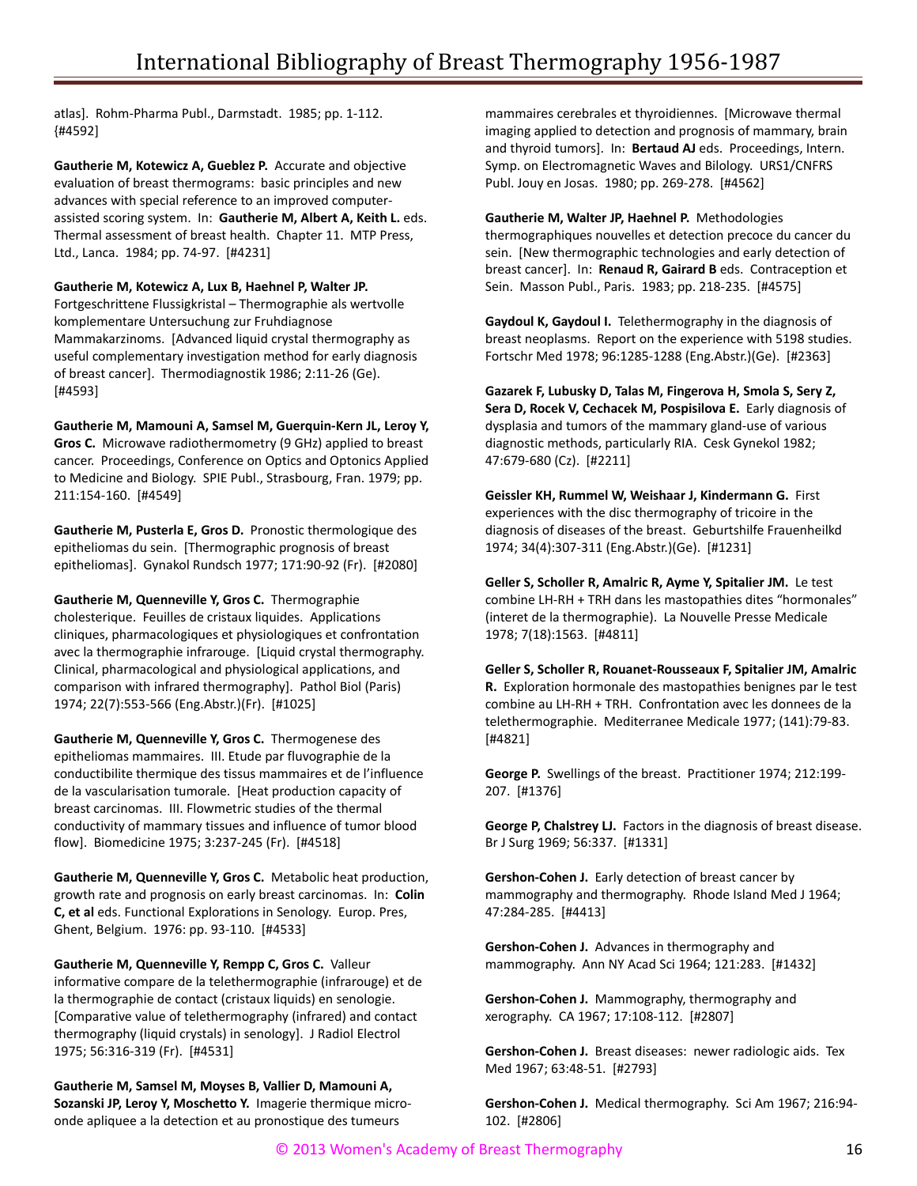atlas]. Rohm-Pharma Publ., Darmstadt. 1985; pp. 1-112. {#4592]

**Gautherie M, Kotewicz A, Gueblez P.** Accurate and objective evaluation of breast thermograms: basic principles and new advances with special reference to an improved computerassisted scoring system. In: **Gautherie M, Albert A, Keith L.** eds. Thermal assessment of breast health. Chapter 11. MTP Press, Ltd., Lanca. 1984; pp. 74-97. [#4231]

**Gautherie M, Kotewicz A, Lux B, Haehnel P, Walter JP.** Fortgeschrittene Flussigkristal – Thermographie als wertvolle komplementare Untersuchung zur Fruhdiagnose Mammakarzinoms. [Advanced liquid crystal thermography as useful complementary investigation method for early diagnosis of breast cancer]. Thermodiagnostik 1986; 2:11-26 (Ge). [#4593]

**Gautherie M, Mamouni A, Samsel M, Guerquin-Kern JL, Leroy Y, Gros C.** Microwave radiothermometry (9 GHz) applied to breast cancer. Proceedings, Conference on Optics and Optonics Applied to Medicine and Biology. SPIE Publ., Strasbourg, Fran. 1979; pp. 211:154-160. [#4549]

**Gautherie M, Pusterla E, Gros D.** Pronostic thermologique des epitheliomas du sein. [Thermographic prognosis of breast epitheliomas]. Gynakol Rundsch 1977; 171:90-92 (Fr). [#2080]

**Gautherie M, Quenneville Y, Gros C.** Thermographie cholesterique. Feuilles de cristaux liquides. Applications cliniques, pharmacologiques et physiologiques et confrontation avec la thermographie infrarouge. [Liquid crystal thermography. Clinical, pharmacological and physiological applications, and comparison with infrared thermography]. Pathol Biol (Paris) 1974; 22(7):553-566 (Eng.Abstr.)(Fr). [#1025]

**Gautherie M, Quenneville Y, Gros C.** Thermogenese des epitheliomas mammaires. III. Etude par fluvographie de la conductibilite thermique des tissus mammaires et de l'influence de la vascularisation tumorale. [Heat production capacity of breast carcinomas. III. Flowmetric studies of the thermal conductivity of mammary tissues and influence of tumor blood flow]. Biomedicine 1975; 3:237-245 (Fr). [#4518]

**Gautherie M, Quenneville Y, Gros C.** Metabolic heat production, growth rate and prognosis on early breast carcinomas. In: **Colin C, et al** eds. Functional Explorations in Senology. Europ. Pres, Ghent, Belgium. 1976: pp. 93-110. [#4533]

**Gautherie M, Quenneville Y, Rempp C, Gros C.** Valleur informative compare de la telethermographie (infrarouge) et de la thermographie de contact (cristaux liquids) en senologie. [Comparative value of telethermography (infrared) and contact thermography (liquid crystals) in senology]. J Radiol Electrol 1975; 56:316-319 (Fr). [#4531]

**Gautherie M, Samsel M, Moyses B, Vallier D, Mamouni A, Sozanski JP, Leroy Y, Moschetto Y.** Imagerie thermique microonde apliquee a la detection et au pronostique des tumeurs

mammaires cerebrales et thyroidiennes. [Microwave thermal imaging applied to detection and prognosis of mammary, brain and thyroid tumors]. In: **Bertaud AJ** eds. Proceedings, Intern. Symp. on Electromagnetic Waves and Bilology. URS1/CNFRS Publ. Jouy en Josas. 1980; pp. 269-278. [#4562]

**Gautherie M, Walter JP, Haehnel P.** Methodologies thermographiques nouvelles et detection precoce du cancer du sein. [New thermographic technologies and early detection of breast cancer]. In: **Renaud R, Gairard B** eds. Contraception et Sein. Masson Publ., Paris. 1983; pp. 218-235. [#4575]

**Gaydoul K, Gaydoul I.** Telethermography in the diagnosis of breast neoplasms. Report on the experience with 5198 studies. Fortschr Med 1978; 96:1285-1288 (Eng.Abstr.)(Ge). [#2363]

**Gazarek F, Lubusky D, Talas M, Fingerova H, Smola S, Sery Z, Sera D, Rocek V, Cechacek M, Pospisilova E.** Early diagnosis of dysplasia and tumors of the mammary gland-use of various diagnostic methods, particularly RIA. Cesk Gynekol 1982; 47:679-680 (Cz). [#2211]

**Geissler KH, Rummel W, Weishaar J, Kindermann G.** First experiences with the disc thermography of tricoire in the diagnosis of diseases of the breast. Geburtshilfe Frauenheilkd 1974; 34(4):307-311 (Eng.Abstr.)(Ge). [#1231]

**Geller S, Scholler R, Amalric R, Ayme Y, Spitalier JM.** Le test combine LH-RH + TRH dans les mastopathies dites "hormonales" (interet de la thermographie). La Nouvelle Presse Medicale 1978; 7(18):1563. [#4811]

**Geller S, Scholler R, Rouanet-Rousseaux F, Spitalier JM, Amalric R.** Exploration hormonale des mastopathies benignes par le test combine au LH-RH + TRH. Confrontation avec les donnees de la telethermographie. Mediterranee Medicale 1977; (141):79-83. [#4821]

**George P.** Swellings of the breast. Practitioner 1974; 212:199- 207. [#1376]

**George P, Chalstrey LJ.** Factors in the diagnosis of breast disease. Br J Surg 1969; 56:337. [#1331]

**Gershon-Cohen J.** Early detection of breast cancer by mammography and thermography. Rhode Island Med J 1964; 47:284-285. [#4413]

**Gershon-Cohen J.** Advances in thermography and mammography. Ann NY Acad Sci 1964; 121:283. [#1432]

**Gershon-Cohen J.** Mammography, thermography and xerography. CA 1967; 17:108-112. [#2807]

**Gershon-Cohen J.** Breast diseases: newer radiologic aids. Tex Med 1967; 63:48-51. [#2793]

**Gershon-Cohen J.** Medical thermography. Sci Am 1967; 216:94- 102. [#2806]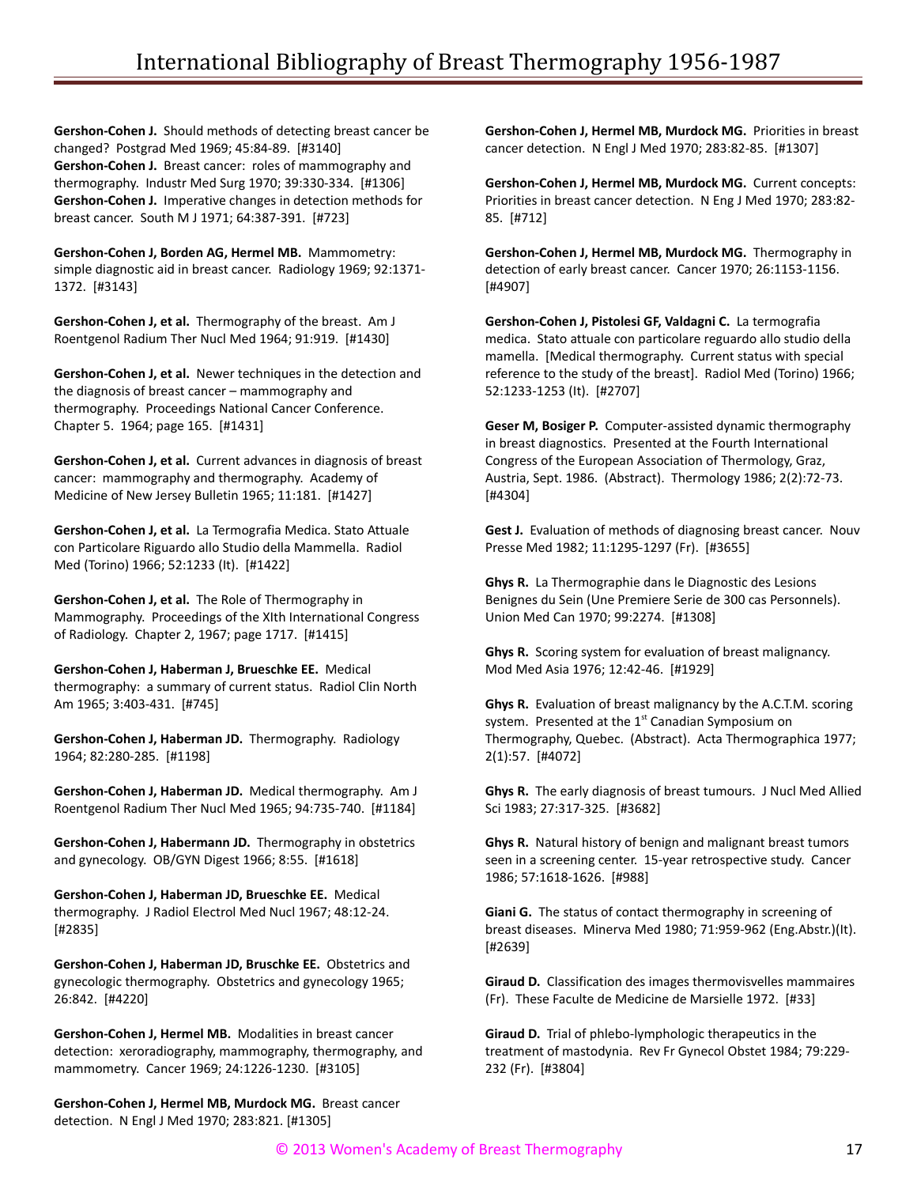**Gershon-Cohen J.** Should methods of detecting breast cancer be changed? Postgrad Med 1969; 45:84-89. [#3140] **Gershon-Cohen J.** Breast cancer: roles of mammography and thermography. Industr Med Surg 1970; 39:330-334. [#1306] **Gershon-Cohen J.** Imperative changes in detection methods for breast cancer. South M J 1971; 64:387-391. [#723]

**Gershon-Cohen J, Borden AG, Hermel MB.** Mammometry: simple diagnostic aid in breast cancer. Radiology 1969; 92:1371- 1372. [#3143]

**Gershon-Cohen J, et al.** Thermography of the breast. Am J Roentgenol Radium Ther Nucl Med 1964; 91:919. [#1430]

**Gershon-Cohen J, et al.** Newer techniques in the detection and the diagnosis of breast cancer – mammography and thermography. Proceedings National Cancer Conference. Chapter 5. 1964; page 165. [#1431]

**Gershon-Cohen J, et al.** Current advances in diagnosis of breast cancer: mammography and thermography. Academy of Medicine of New Jersey Bulletin 1965; 11:181. [#1427]

**Gershon-Cohen J, et al.** La Termografia Medica. Stato Attuale con Particolare Riguardo allo Studio della Mammella. Radiol Med (Torino) 1966; 52:1233 (It). [#1422]

**Gershon-Cohen J, et al.** The Role of Thermography in Mammography. Proceedings of the XIth International Congress of Radiology. Chapter 2, 1967; page 1717. [#1415]

**Gershon-Cohen J, Haberman J, Brueschke EE.** Medical thermography: a summary of current status. Radiol Clin North Am 1965; 3:403-431. [#745]

**Gershon-Cohen J, Haberman JD.** Thermography. Radiology 1964; 82:280-285. [#1198]

**Gershon-Cohen J, Haberman JD.** Medical thermography. Am J Roentgenol Radium Ther Nucl Med 1965; 94:735-740. [#1184]

**Gershon-Cohen J, Habermann JD.** Thermography in obstetrics and gynecology. OB/GYN Digest 1966; 8:55. [#1618]

**Gershon-Cohen J, Haberman JD, Brueschke EE.** Medical thermography. J Radiol Electrol Med Nucl 1967; 48:12-24. [#2835]

**Gershon-Cohen J, Haberman JD, Bruschke EE.** Obstetrics and gynecologic thermography. Obstetrics and gynecology 1965; 26:842. [#4220]

**Gershon-Cohen J, Hermel MB.** Modalities in breast cancer detection: xeroradiography, mammography, thermography, and mammometry. Cancer 1969; 24:1226-1230. [#3105]

**Gershon-Cohen J, Hermel MB, Murdock MG.** Breast cancer detection. N Engl J Med 1970; 283:821. [#1305]

**Gershon-Cohen J, Hermel MB, Murdock MG.** Priorities in breast cancer detection. N Engl J Med 1970; 283:82-85. [#1307]

**Gershon-Cohen J, Hermel MB, Murdock MG.** Current concepts: Priorities in breast cancer detection. N Eng J Med 1970; 283:82- 85. [#712]

**Gershon-Cohen J, Hermel MB, Murdock MG.** Thermography in detection of early breast cancer. Cancer 1970; 26:1153-1156. [#4907]

**Gershon-Cohen J, Pistolesi GF, Valdagni C.** La termografia medica. Stato attuale con particolare reguardo allo studio della mamella. [Medical thermography. Current status with special reference to the study of the breast]. Radiol Med (Torino) 1966; 52:1233-1253 (It). [#2707]

**Geser M, Bosiger P.** Computer-assisted dynamic thermography in breast diagnostics. Presented at the Fourth International Congress of the European Association of Thermology, Graz, Austria, Sept. 1986. (Abstract). Thermology 1986; 2(2):72-73. [#4304]

**Gest J.** Evaluation of methods of diagnosing breast cancer. Nouv Presse Med 1982; 11:1295-1297 (Fr). [#3655]

**Ghys R.** La Thermographie dans le Diagnostic des Lesions Benignes du Sein (Une Premiere Serie de 300 cas Personnels). Union Med Can 1970; 99:2274. [#1308]

**Ghys R.** Scoring system for evaluation of breast malignancy. Mod Med Asia 1976; 12:42-46. [#1929]

**Ghys R.** Evaluation of breast malignancy by the A.C.T.M. scoring system. Presented at the  $1<sup>st</sup>$  Canadian Symposium on Thermography, Quebec. (Abstract). Acta Thermographica 1977; 2(1):57. [#4072]

**Ghys R.** The early diagnosis of breast tumours. J Nucl Med Allied Sci 1983; 27:317-325. [#3682]

**Ghys R.** Natural history of benign and malignant breast tumors seen in a screening center. 15-year retrospective study. Cancer 1986; 57:1618-1626. [#988]

**Giani G.** The status of contact thermography in screening of breast diseases. Minerva Med 1980; 71:959-962 (Eng.Abstr.)(It). [#2639]

**Giraud D.** Classification des images thermovisvelles mammaires (Fr). These Faculte de Medicine de Marsielle 1972. [#33]

**Giraud D.** Trial of phlebo-lymphologic therapeutics in the treatment of mastodynia. Rev Fr Gynecol Obstet 1984; 79:229- 232 (Fr). [#3804]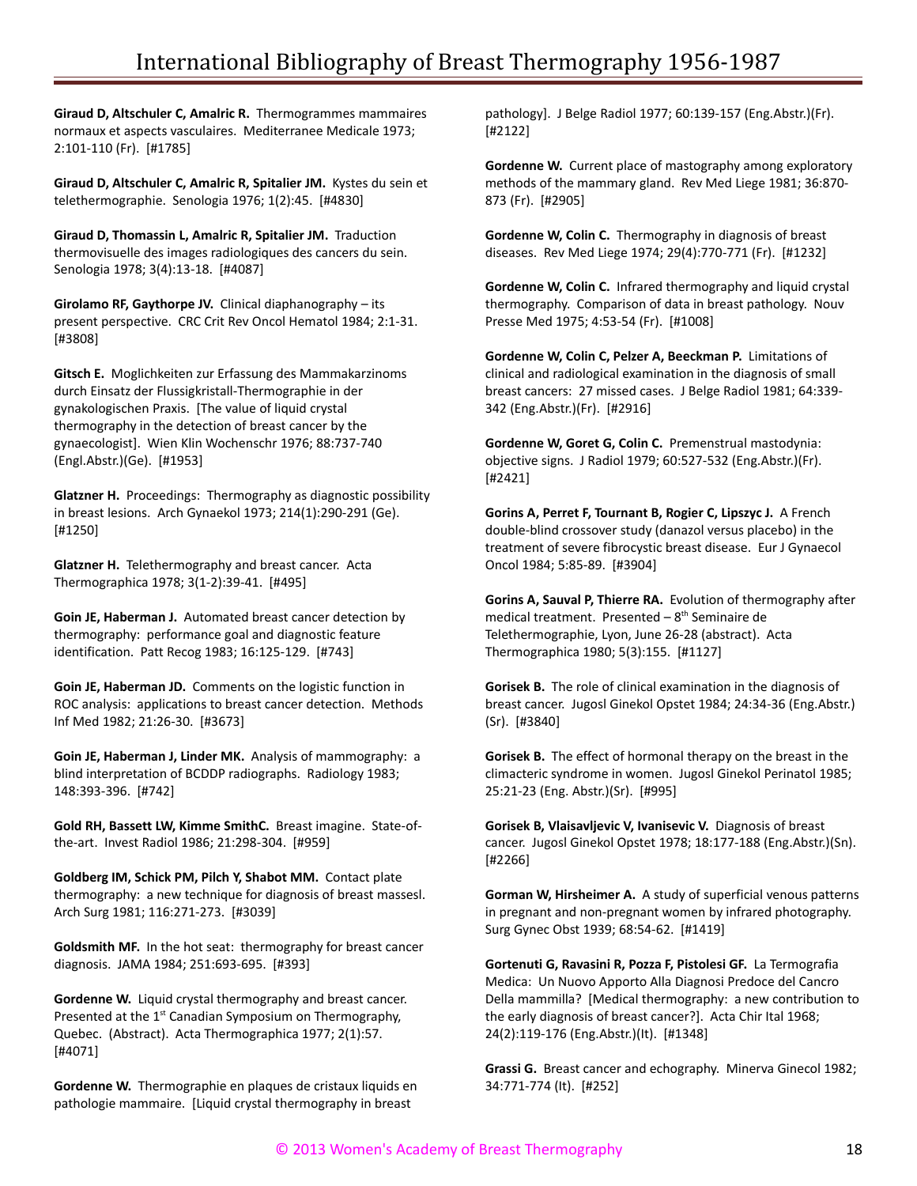**Giraud D, Altschuler C, Amalric R.** Thermogrammes mammaires normaux et aspects vasculaires. Mediterranee Medicale 1973; 2:101-110 (Fr). [#1785]

**Giraud D, Altschuler C, Amalric R, Spitalier JM.** Kystes du sein et telethermographie. Senologia 1976; 1(2):45. [#4830]

**Giraud D, Thomassin L, Amalric R, Spitalier JM.** Traduction thermovisuelle des images radiologiques des cancers du sein. Senologia 1978; 3(4):13-18. [#4087]

**Girolamo RF, Gaythorpe JV.** Clinical diaphanography – its present perspective. CRC Crit Rev Oncol Hematol 1984; 2:1-31. [#3808]

**Gitsch E.** Moglichkeiten zur Erfassung des Mammakarzinoms durch Einsatz der Flussigkristall-Thermographie in der gynakologischen Praxis. [The value of liquid crystal thermography in the detection of breast cancer by the gynaecologist]. Wien Klin Wochenschr 1976; 88:737-740 (Engl.Abstr.)(Ge). [#1953]

**Glatzner H.** Proceedings: Thermography as diagnostic possibility in breast lesions. Arch Gynaekol 1973; 214(1):290-291 (Ge). [#1250]

**Glatzner H.** Telethermography and breast cancer. Acta Thermographica 1978; 3(1-2):39-41. [#495]

**Goin JE, Haberman J.** Automated breast cancer detection by thermography: performance goal and diagnostic feature identification. Patt Recog 1983; 16:125-129. [#743]

**Goin JE, Haberman JD.** Comments on the logistic function in ROC analysis: applications to breast cancer detection. Methods Inf Med 1982; 21:26-30. [#3673]

**Goin JE, Haberman J, Linder MK.** Analysis of mammography: a blind interpretation of BCDDP radiographs. Radiology 1983; 148:393-396. [#742]

**Gold RH, Bassett LW, Kimme SmithC.** Breast imagine. State-ofthe-art. Invest Radiol 1986; 21:298-304. [#959]

**Goldberg IM, Schick PM, Pilch Y, Shabot MM.** Contact plate thermography: a new technique for diagnosis of breast massesl. Arch Surg 1981; 116:271-273. [#3039]

**Goldsmith MF.** In the hot seat: thermography for breast cancer diagnosis. JAMA 1984; 251:693-695. [#393]

**Gordenne W.** Liquid crystal thermography and breast cancer. Presented at the 1<sup>st</sup> Canadian Symposium on Thermography, Quebec. (Abstract). Acta Thermographica 1977; 2(1):57. [#4071]

**Gordenne W.** Thermographie en plaques de cristaux liquids en pathologie mammaire. [Liquid crystal thermography in breast

pathology]. J Belge Radiol 1977; 60:139-157 (Eng.Abstr.)(Fr). [#2122]

**Gordenne W.** Current place of mastography among exploratory methods of the mammary gland. Rev Med Liege 1981; 36:870- 873 (Fr). [#2905]

**Gordenne W, Colin C.** Thermography in diagnosis of breast diseases. Rev Med Liege 1974; 29(4):770-771 (Fr). [#1232]

**Gordenne W, Colin C.** Infrared thermography and liquid crystal thermography. Comparison of data in breast pathology. Nouv Presse Med 1975; 4:53-54 (Fr). [#1008]

**Gordenne W, Colin C, Pelzer A, Beeckman P.** Limitations of clinical and radiological examination in the diagnosis of small breast cancers: 27 missed cases. J Belge Radiol 1981; 64:339- 342 (Eng.Abstr.)(Fr). [#2916]

**Gordenne W, Goret G, Colin C.** Premenstrual mastodynia: objective signs. J Radiol 1979; 60:527-532 (Eng.Abstr.)(Fr). [#2421]

**Gorins A, Perret F, Tournant B, Rogier C, Lipszyc J.** A French double-blind crossover study (danazol versus placebo) in the treatment of severe fibrocystic breast disease. Eur J Gynaecol Oncol 1984; 5:85-89. [#3904]

**Gorins A, Sauval P, Thierre RA.** Evolution of thermography after medical treatment. Presented  $-8<sup>th</sup>$  Seminaire de Telethermographie, Lyon, June 26-28 (abstract). Acta Thermographica 1980; 5(3):155. [#1127]

**Gorisek B.** The role of clinical examination in the diagnosis of breast cancer. Jugosl Ginekol Opstet 1984; 24:34-36 (Eng.Abstr.) (Sr). [#3840]

**Gorisek B.** The effect of hormonal therapy on the breast in the climacteric syndrome in women. Jugosl Ginekol Perinatol 1985; 25:21-23 (Eng. Abstr.)(Sr). [#995]

**Gorisek B, Vlaisavljevic V, Ivanisevic V.** Diagnosis of breast cancer. Jugosl Ginekol Opstet 1978; 18:177-188 (Eng.Abstr.)(Sn). [#2266]

**Gorman W, Hirsheimer A.** A study of superficial venous patterns in pregnant and non-pregnant women by infrared photography. Surg Gynec Obst 1939; 68:54-62. [#1419]

**Gortenuti G, Ravasini R, Pozza F, Pistolesi GF.** La Termografia Medica: Un Nuovo Apporto Alla Diagnosi Predoce del Cancro Della mammilla? [Medical thermography: a new contribution to the early diagnosis of breast cancer?]. Acta Chir Ital 1968; 24(2):119-176 (Eng.Abstr.)(It). [#1348]

**Grassi G.** Breast cancer and echography. Minerva Ginecol 1982; 34:771-774 (It). [#252]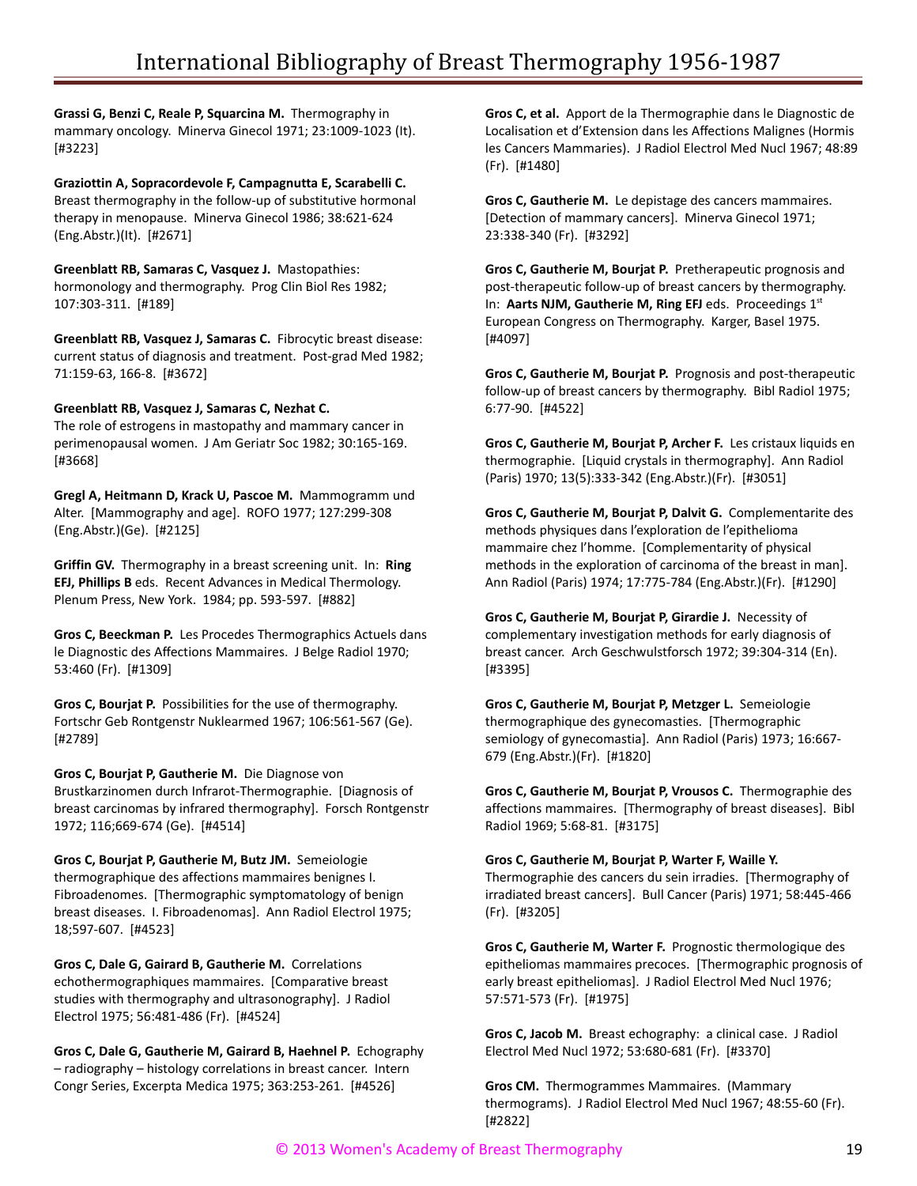**Grassi G, Benzi C, Reale P, Squarcina M.** Thermography in mammary oncology. Minerva Ginecol 1971; 23:1009-1023 (It). [#3223]

**Graziottin A, Sopracordevole F, Campagnutta E, Scarabelli C.** Breast thermography in the follow-up of substitutive hormonal therapy in menopause. Minerva Ginecol 1986; 38:621-624 (Eng.Abstr.)(It). [#2671]

**Greenblatt RB, Samaras C, Vasquez J.** Mastopathies: hormonology and thermography. Prog Clin Biol Res 1982; 107:303-311. [#189]

**Greenblatt RB, Vasquez J, Samaras C.** Fibrocytic breast disease: current status of diagnosis and treatment. Post-grad Med 1982; 71:159-63, 166-8. [#3672]

#### **Greenblatt RB, Vasquez J, Samaras C, Nezhat C.**

The role of estrogens in mastopathy and mammary cancer in perimenopausal women. J Am Geriatr Soc 1982; 30:165-169. [#3668]

**Gregl A, Heitmann D, Krack U, Pascoe M.** Mammogramm und Alter. [Mammography and age]. ROFO 1977; 127:299-308 (Eng.Abstr.)(Ge). [#2125]

**Griffin GV.** Thermography in a breast screening unit. In: **Ring EFJ, Phillips B** eds. Recent Advances in Medical Thermology. Plenum Press, New York. 1984; pp. 593-597. [#882]

**Gros C, Beeckman P.** Les Procedes Thermographics Actuels dans le Diagnostic des Affections Mammaires. J Belge Radiol 1970; 53:460 (Fr). [#1309]

**Gros C, Bourjat P.** Possibilities for the use of thermography. Fortschr Geb Rontgenstr Nuklearmed 1967; 106:561-567 (Ge). [#2789]

**Gros C, Bourjat P, Gautherie M.** Die Diagnose von Brustkarzinomen durch Infrarot-Thermographie. [Diagnosis of breast carcinomas by infrared thermography]. Forsch Rontgenstr 1972; 116;669-674 (Ge). [#4514]

**Gros C, Bourjat P, Gautherie M, Butz JM.** Semeiologie thermographique des affections mammaires benignes I. Fibroadenomes. [Thermographic symptomatology of benign breast diseases. I. Fibroadenomas]. Ann Radiol Electrol 1975; 18;597-607. [#4523]

**Gros C, Dale G, Gairard B, Gautherie M.** Correlations echothermographiques mammaires. [Comparative breast studies with thermography and ultrasonography]. J Radiol Electrol 1975; 56:481-486 (Fr). [#4524]

**Gros C, Dale G, Gautherie M, Gairard B, Haehnel P.** Echography – radiography – histology correlations in breast cancer. Intern Congr Series, Excerpta Medica 1975; 363:253-261. [#4526]

**Gros C, et al.** Apport de la Thermographie dans le Diagnostic de Localisation et d'Extension dans les Affections Malignes (Hormis les Cancers Mammaries). J Radiol Electrol Med Nucl 1967; 48:89 (Fr). [#1480]

**Gros C, Gautherie M.** Le depistage des cancers mammaires. [Detection of mammary cancers]. Minerva Ginecol 1971; 23:338-340 (Fr). [#3292]

**Gros C, Gautherie M, Bourjat P.** Pretherapeutic prognosis and post-therapeutic follow-up of breast cancers by thermography. In: Aarts NJM, Gautherie M, Ring EFJ eds. Proceedings 1st European Congress on Thermography. Karger, Basel 1975. [#4097]

**Gros C, Gautherie M, Bourjat P.** Prognosis and post-therapeutic follow-up of breast cancers by thermography. Bibl Radiol 1975; 6:77-90. [#4522]

**Gros C, Gautherie M, Bourjat P, Archer F.** Les cristaux liquids en thermographie. [Liquid crystals in thermography]. Ann Radiol (Paris) 1970; 13(5):333-342 (Eng.Abstr.)(Fr). [#3051]

**Gros C, Gautherie M, Bourjat P, Dalvit G.** Complementarite des methods physiques dans l'exploration de l'epithelioma mammaire chez l'homme. [Complementarity of physical methods in the exploration of carcinoma of the breast in man]. Ann Radiol (Paris) 1974; 17:775-784 (Eng.Abstr.)(Fr). [#1290]

**Gros C, Gautherie M, Bourjat P, Girardie J.** Necessity of complementary investigation methods for early diagnosis of breast cancer. Arch Geschwulstforsch 1972; 39:304-314 (En). [#3395]

**Gros C, Gautherie M, Bourjat P, Metzger L.** Semeiologie thermographique des gynecomasties. [Thermographic semiology of gynecomastia]. Ann Radiol (Paris) 1973; 16:667- 679 (Eng.Abstr.)(Fr). [#1820]

**Gros C, Gautherie M, Bourjat P, Vrousos C.** Thermographie des affections mammaires. [Thermography of breast diseases]. Bibl Radiol 1969; 5:68-81. [#3175]

## **Gros C, Gautherie M, Bourjat P, Warter F, Waille Y.**

Thermographie des cancers du sein irradies. [Thermography of irradiated breast cancers]. Bull Cancer (Paris) 1971; 58:445-466 (Fr). [#3205]

**Gros C, Gautherie M, Warter F.** Prognostic thermologique des epitheliomas mammaires precoces. [Thermographic prognosis of early breast epitheliomas]. J Radiol Electrol Med Nucl 1976; 57:571-573 (Fr). [#1975]

**Gros C, Jacob M.** Breast echography: a clinical case. J Radiol Electrol Med Nucl 1972; 53:680-681 (Fr). [#3370]

**Gros CM.** Thermogrammes Mammaires. (Mammary thermograms). J Radiol Electrol Med Nucl 1967; 48:55-60 (Fr). [#2822]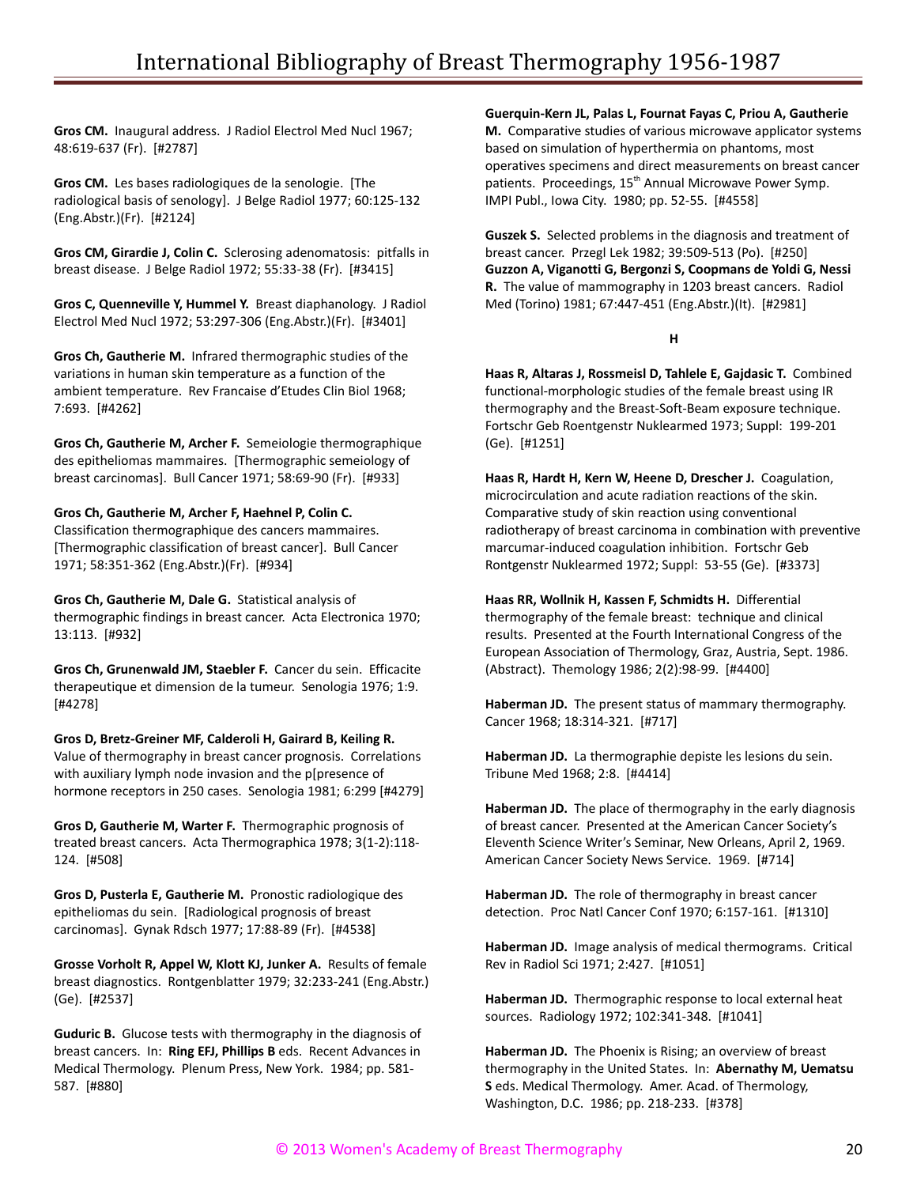**Gros CM.** Inaugural address. J Radiol Electrol Med Nucl 1967; 48:619-637 (Fr). [#2787]

**Gros CM.** Les bases radiologiques de la senologie. [The radiological basis of senology]. J Belge Radiol 1977; 60:125-132 (Eng.Abstr.)(Fr). [#2124]

**Gros CM, Girardie J, Colin C.** Sclerosing adenomatosis: pitfalls in breast disease. J Belge Radiol 1972; 55:33-38 (Fr). [#3415]

**Gros C, Quenneville Y, Hummel Y.** Breast diaphanology. J Radiol Electrol Med Nucl 1972; 53:297-306 (Eng.Abstr.)(Fr). [#3401]

**Gros Ch, Gautherie M.** Infrared thermographic studies of the variations in human skin temperature as a function of the ambient temperature. Rev Francaise d'Etudes Clin Biol 1968; 7:693. [#4262]

**Gros Ch, Gautherie M, Archer F.** Semeiologie thermographique des epitheliomas mammaires. [Thermographic semeiology of breast carcinomas]. Bull Cancer 1971; 58:69-90 (Fr). [#933]

#### **Gros Ch, Gautherie M, Archer F, Haehnel P, Colin C.**

Classification thermographique des cancers mammaires. [Thermographic classification of breast cancer]. Bull Cancer 1971; 58:351-362 (Eng.Abstr.)(Fr). [#934]

**Gros Ch, Gautherie M, Dale G.** Statistical analysis of thermographic findings in breast cancer. Acta Electronica 1970; 13:113. [#932]

**Gros Ch, Grunenwald JM, Staebler F.** Cancer du sein. Efficacite therapeutique et dimension de la tumeur. Senologia 1976; 1:9. [#4278]

**Gros D, Bretz-Greiner MF, Calderoli H, Gairard B, Keiling R.** Value of thermography in breast cancer prognosis. Correlations with auxiliary lymph node invasion and the p[presence of hormone receptors in 250 cases. Senologia 1981; 6:299 [#4279]

**Gros D, Gautherie M, Warter F.** Thermographic prognosis of treated breast cancers. Acta Thermographica 1978; 3(1-2):118- 124. [#508]

**Gros D, Pusterla E, Gautherie M.** Pronostic radiologique des epitheliomas du sein. [Radiological prognosis of breast carcinomas]. Gynak Rdsch 1977; 17:88-89 (Fr). [#4538]

**Grosse Vorholt R, Appel W, Klott KJ, Junker A.** Results of female breast diagnostics. Rontgenblatter 1979; 32:233-241 (Eng.Abstr.) (Ge). [#2537]

**Guduric B.** Glucose tests with thermography in the diagnosis of breast cancers. In: **Ring EFJ, Phillips B** eds. Recent Advances in Medical Thermology. Plenum Press, New York. 1984; pp. 581- 587. [#880]

**Guerquin-Kern JL, Palas L, Fournat Fayas C, Priou A, Gautherie M.** Comparative studies of various microwave applicator systems based on simulation of hyperthermia on phantoms, most operatives specimens and direct measurements on breast cancer patients. Proceedings, 15<sup>th</sup> Annual Microwave Power Symp. IMPI Publ., Iowa City. 1980; pp. 52-55. [#4558]

**Guszek S.** Selected problems in the diagnosis and treatment of breast cancer. Przegl Lek 1982; 39:509-513 (Po). [#250] **Guzzon A, Viganotti G, Bergonzi S, Coopmans de Yoldi G, Nessi R.** The value of mammography in 1203 breast cancers. Radiol Med (Torino) 1981; 67:447-451 (Eng.Abstr.)(It). [#2981]

#### **H**

**Haas R, Altaras J, Rossmeisl D, Tahlele E, Gajdasic T.** Combined functional-morphologic studies of the female breast using IR thermography and the Breast-Soft-Beam exposure technique. Fortschr Geb Roentgenstr Nuklearmed 1973; Suppl: 199-201 (Ge). [#1251]

Haas R, Hardt H, Kern W, Heene D, Drescher J. Coagulation, microcirculation and acute radiation reactions of the skin. Comparative study of skin reaction using conventional radiotherapy of breast carcinoma in combination with preventive marcumar-induced coagulation inhibition. Fortschr Geb Rontgenstr Nuklearmed 1972; Suppl: 53-55 (Ge). [#3373]

**Haas RR, Wollnik H, Kassen F, Schmidts H.** Differential thermography of the female breast: technique and clinical results. Presented at the Fourth International Congress of the European Association of Thermology, Graz, Austria, Sept. 1986. (Abstract). Themology 1986; 2(2):98-99. [#4400]

**Haberman JD.** The present status of mammary thermography. Cancer 1968; 18:314-321. [#717]

**Haberman JD.** La thermographie depiste les lesions du sein. Tribune Med 1968; 2:8. [#4414]

**Haberman JD.** The place of thermography in the early diagnosis of breast cancer. Presented at the American Cancer Society's Eleventh Science Writer's Seminar, New Orleans, April 2, 1969. American Cancer Society News Service. 1969. [#714]

**Haberman JD.** The role of thermography in breast cancer detection. Proc Natl Cancer Conf 1970; 6:157-161. [#1310]

**Haberman JD.** Image analysis of medical thermograms. Critical Rev in Radiol Sci 1971; 2:427. [#1051]

**Haberman JD.** Thermographic response to local external heat sources. Radiology 1972; 102:341-348. [#1041]

**Haberman JD.** The Phoenix is Rising; an overview of breast thermography in the United States. In: **Abernathy M, Uematsu S** eds. Medical Thermology. Amer. Acad. of Thermology, Washington, D.C. 1986; pp. 218-233. [#378]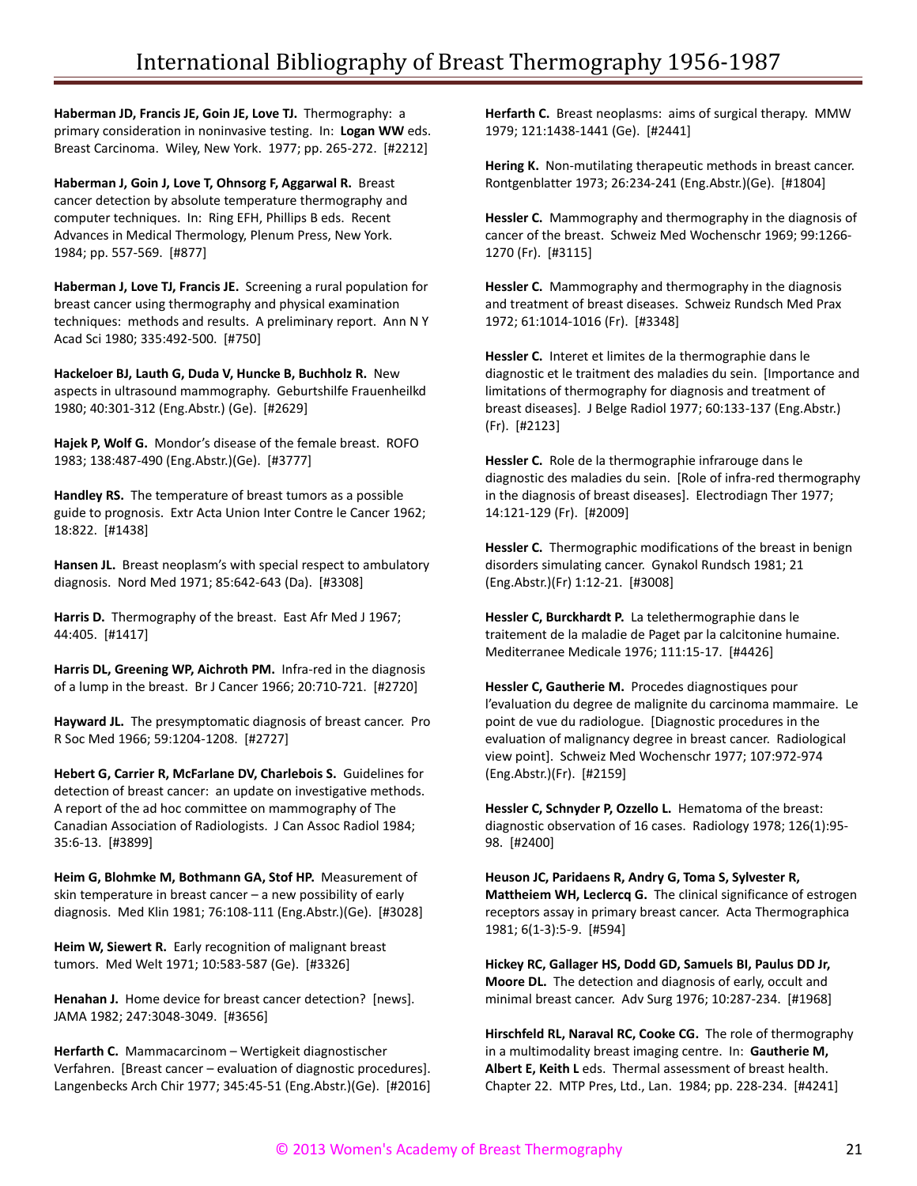**Haberman JD, Francis JE, Goin JE, Love TJ.** Thermography: a primary consideration in noninvasive testing. In: **Logan WW** eds. Breast Carcinoma. Wiley, New York. 1977; pp. 265-272. [#2212]

**Haberman J, Goin J, Love T, Ohnsorg F, Aggarwal R.** Breast cancer detection by absolute temperature thermography and computer techniques. In: Ring EFH, Phillips B eds. Recent Advances in Medical Thermology, Plenum Press, New York. 1984; pp. 557-569. [#877]

**Haberman J, Love TJ, Francis JE.** Screening a rural population for breast cancer using thermography and physical examination techniques: methods and results. A preliminary report. Ann N Y Acad Sci 1980; 335:492-500. [#750]

**Hackeloer BJ, Lauth G, Duda V, Huncke B, Buchholz R.** New aspects in ultrasound mammography. Geburtshilfe Frauenheilkd 1980; 40:301-312 (Eng.Abstr.) (Ge). [#2629]

**Hajek P, Wolf G.** Mondor's disease of the female breast. ROFO 1983; 138:487-490 (Eng.Abstr.)(Ge). [#3777]

**Handley RS.** The temperature of breast tumors as a possible guide to prognosis. Extr Acta Union Inter Contre le Cancer 1962; 18:822. [#1438]

**Hansen JL.** Breast neoplasm's with special respect to ambulatory diagnosis. Nord Med 1971; 85:642-643 (Da). [#3308]

**Harris D.** Thermography of the breast. East Afr Med J 1967; 44:405. [#1417]

**Harris DL, Greening WP, Aichroth PM.** Infra-red in the diagnosis of a lump in the breast. Br J Cancer 1966; 20:710-721. [#2720]

**Hayward JL.** The presymptomatic diagnosis of breast cancer. Pro R Soc Med 1966; 59:1204-1208. [#2727]

**Hebert G, Carrier R, McFarlane DV, Charlebois S.** Guidelines for detection of breast cancer: an update on investigative methods. A report of the ad hoc committee on mammography of The Canadian Association of Radiologists. J Can Assoc Radiol 1984; 35:6-13. [#3899]

**Heim G, Blohmke M, Bothmann GA, Stof HP.** Measurement of skin temperature in breast cancer – a new possibility of early diagnosis. Med Klin 1981; 76:108-111 (Eng.Abstr.)(Ge). [#3028]

**Heim W, Siewert R.** Early recognition of malignant breast tumors. Med Welt 1971; 10:583-587 (Ge). [#3326]

**Henahan J.** Home device for breast cancer detection? [news]. JAMA 1982; 247:3048-3049. [#3656]

**Herfarth C.** Mammacarcinom – Wertigkeit diagnostischer Verfahren. [Breast cancer – evaluation of diagnostic procedures]. Langenbecks Arch Chir 1977; 345:45-51 (Eng.Abstr.)(Ge). [#2016] **Herfarth C.** Breast neoplasms: aims of surgical therapy. MMW 1979; 121:1438-1441 (Ge). [#2441]

**Hering K.** Non-mutilating therapeutic methods in breast cancer. Rontgenblatter 1973; 26:234-241 (Eng.Abstr.)(Ge). [#1804]

**Hessler C.** Mammography and thermography in the diagnosis of cancer of the breast. Schweiz Med Wochenschr 1969; 99:1266- 1270 (Fr). [#3115]

**Hessler C.** Mammography and thermography in the diagnosis and treatment of breast diseases. Schweiz Rundsch Med Prax 1972; 61:1014-1016 (Fr). [#3348]

**Hessler C.** Interet et limites de la thermographie dans le diagnostic et le traitment des maladies du sein. [Importance and limitations of thermography for diagnosis and treatment of breast diseases]. J Belge Radiol 1977; 60:133-137 (Eng.Abstr.) (Fr). [#2123]

**Hessler C.** Role de la thermographie infrarouge dans le diagnostic des maladies du sein. [Role of infra-red thermography in the diagnosis of breast diseases]. Electrodiagn Ther 1977; 14:121-129 (Fr). [#2009]

**Hessler C.** Thermographic modifications of the breast in benign disorders simulating cancer. Gynakol Rundsch 1981; 21 (Eng.Abstr.)(Fr) 1:12-21. [#3008]

**Hessler C, Burckhardt P.** La telethermographie dans le traitement de la maladie de Paget par la calcitonine humaine. Mediterranee Medicale 1976; 111:15-17. [#4426]

**Hessler C, Gautherie M.** Procedes diagnostiques pour l'evaluation du degree de malignite du carcinoma mammaire. Le point de vue du radiologue. [Diagnostic procedures in the evaluation of malignancy degree in breast cancer. Radiological view point]. Schweiz Med Wochenschr 1977; 107:972-974 (Eng.Abstr.)(Fr). [#2159]

**Hessler C, Schnyder P, Ozzello L.** Hematoma of the breast: diagnostic observation of 16 cases. Radiology 1978; 126(1):95- 98. [#2400]

**Heuson JC, Paridaens R, Andry G, Toma S, Sylvester R, Mattheiem WH, Leclercq G.** The clinical significance of estrogen receptors assay in primary breast cancer. Acta Thermographica 1981; 6(1-3):5-9. [#594]

**Hickey RC, Gallager HS, Dodd GD, Samuels BI, Paulus DD Jr, Moore DL.** The detection and diagnosis of early, occult and minimal breast cancer. Adv Surg 1976; 10:287-234. [#1968]

**Hirschfeld RL, Naraval RC, Cooke CG.** The role of thermography in a multimodality breast imaging centre. In: **Gautherie M, Albert E, Keith L** eds. Thermal assessment of breast health. Chapter 22. MTP Pres, Ltd., Lan. 1984; pp. 228-234. [#4241]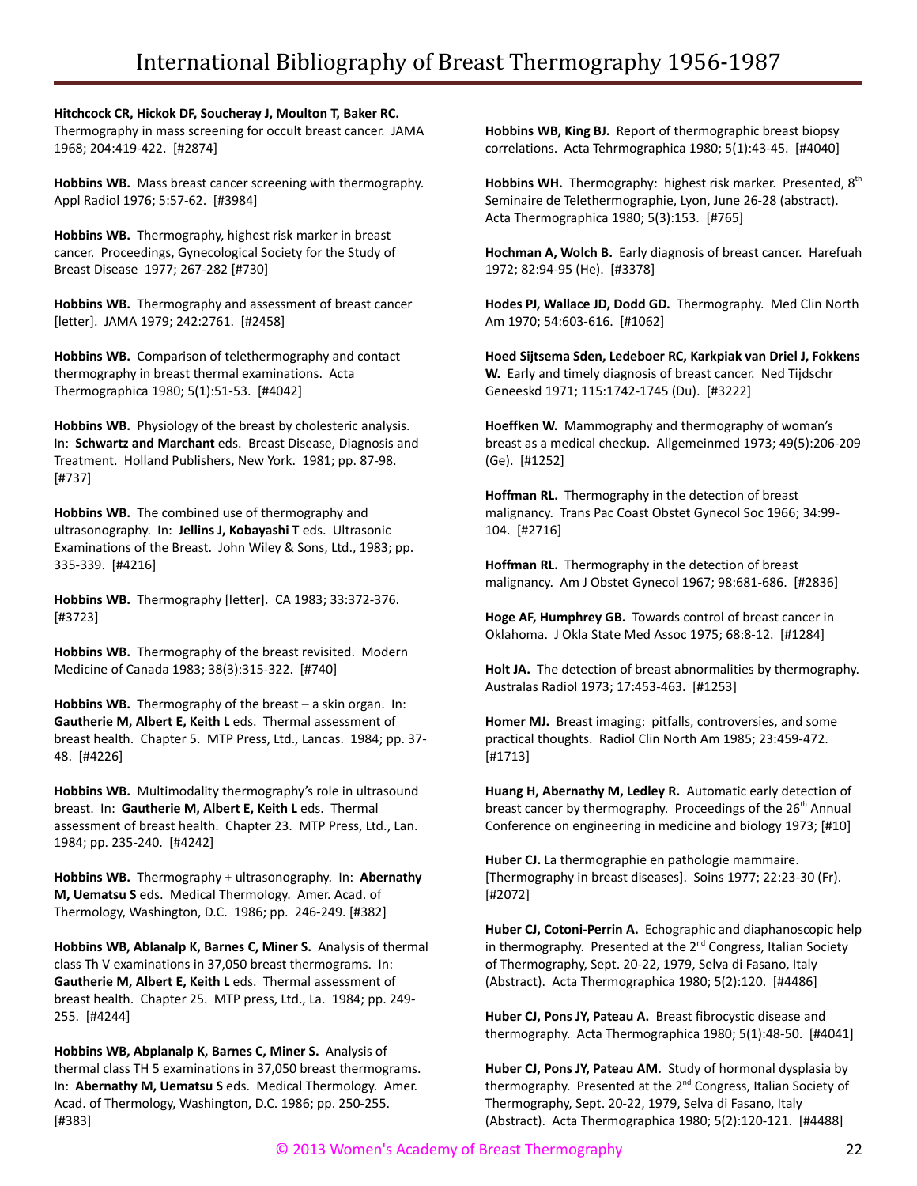**Hitchcock CR, Hickok DF, Soucheray J, Moulton T, Baker RC.** Thermography in mass screening for occult breast cancer. JAMA 1968; 204:419-422. [#2874]

**Hobbins WB.** Mass breast cancer screening with thermography. Appl Radiol 1976; 5:57-62. [#3984]

**Hobbins WB.** Thermography, highest risk marker in breast cancer. Proceedings, Gynecological Society for the Study of Breast Disease 1977; 267-282 [#730]

**Hobbins WB.** Thermography and assessment of breast cancer [letter]. JAMA 1979; 242:2761. [#2458]

**Hobbins WB.** Comparison of telethermography and contact thermography in breast thermal examinations. Acta Thermographica 1980; 5(1):51-53. [#4042]

**Hobbins WB.** Physiology of the breast by cholesteric analysis. In: **Schwartz and Marchant** eds. Breast Disease, Diagnosis and Treatment. Holland Publishers, New York. 1981; pp. 87-98. [#737]

**Hobbins WB.** The combined use of thermography and ultrasonography. In: **Jellins J, Kobayashi T** eds. Ultrasonic Examinations of the Breast. John Wiley & Sons, Ltd., 1983; pp. 335-339. [#4216]

**Hobbins WB.** Thermography [letter]. CA 1983; 33:372-376. [#3723]

**Hobbins WB.** Thermography of the breast revisited. Modern Medicine of Canada 1983; 38(3):315-322. [#740]

**Hobbins WB.** Thermography of the breast – a skin organ. In: **Gautherie M, Albert E, Keith L** eds. Thermal assessment of breast health. Chapter 5. MTP Press, Ltd., Lancas. 1984; pp. 37- 48. [#4226]

**Hobbins WB.** Multimodality thermography's role in ultrasound breast. In: **Gautherie M, Albert E, Keith L** eds. Thermal assessment of breast health. Chapter 23. MTP Press, Ltd., Lan. 1984; pp. 235-240. [#4242]

**Hobbins WB.** Thermography + ultrasonography. In: **Abernathy M, Uematsu S** eds. Medical Thermology. Amer. Acad. of Thermology, Washington, D.C. 1986; pp. 246-249. [#382]

**Hobbins WB, Ablanalp K, Barnes C, Miner S.** Analysis of thermal class Th V examinations in 37,050 breast thermograms. In: **Gautherie M, Albert E, Keith L** eds. Thermal assessment of breast health. Chapter 25. MTP press, Ltd., La. 1984; pp. 249- 255. [#4244]

**Hobbins WB, Abplanalp K, Barnes C, Miner S.** Analysis of thermal class TH 5 examinations in 37,050 breast thermograms. In: **Abernathy M, Uematsu S** eds. Medical Thermology. Amer. Acad. of Thermology, Washington, D.C. 1986; pp. 250-255. [#383]

**Hobbins WB, King BJ.** Report of thermographic breast biopsy correlations. Acta Tehrmographica 1980; 5(1):43-45. [#4040]

**Hobbins WH.** Thermography: highest risk marker. Presented, 8<sup>th</sup> Seminaire de Telethermographie, Lyon, June 26-28 (abstract). Acta Thermographica 1980; 5(3):153. [#765]

**Hochman A, Wolch B.** Early diagnosis of breast cancer. Harefuah 1972; 82:94-95 (He). [#3378]

**Hodes PJ, Wallace JD, Dodd GD.** Thermography. Med Clin North Am 1970; 54:603-616. [#1062]

**Hoed Sijtsema Sden, Ledeboer RC, Karkpiak van Driel J, Fokkens W.** Early and timely diagnosis of breast cancer. Ned Tijdschr Geneeskd 1971; 115:1742-1745 (Du). [#3222]

**Hoeffken W.** Mammography and thermography of woman's breast as a medical checkup. Allgemeinmed 1973; 49(5):206-209 (Ge). [#1252]

**Hoffman RL.** Thermography in the detection of breast malignancy. Trans Pac Coast Obstet Gynecol Soc 1966; 34:99- 104. [#2716]

**Hoffman RL.** Thermography in the detection of breast malignancy. Am J Obstet Gynecol 1967; 98:681-686. [#2836]

**Hoge AF, Humphrey GB.** Towards control of breast cancer in Oklahoma. J Okla State Med Assoc 1975; 68:8-12. [#1284]

**Holt JA.** The detection of breast abnormalities by thermography. Australas Radiol 1973; 17:453-463. [#1253]

**Homer MJ.** Breast imaging: pitfalls, controversies, and some practical thoughts. Radiol Clin North Am 1985; 23:459-472. [#1713]

**Huang H, Abernathy M, Ledley R.** Automatic early detection of breast cancer by thermography. Proceedings of the 26<sup>th</sup> Annual Conference on engineering in medicine and biology 1973; [#10]

**Huber CJ.** La thermographie en pathologie mammaire. [Thermography in breast diseases]. Soins 1977; 22:23-30 (Fr). [#2072]

**Huber CJ, Cotoni-Perrin A.** Echographic and diaphanoscopic help in thermography. Presented at the 2<sup>nd</sup> Congress, Italian Society of Thermography, Sept. 20-22, 1979, Selva di Fasano, Italy (Abstract). Acta Thermographica 1980; 5(2):120. [#4486]

**Huber CJ, Pons JY, Pateau A.** Breast fibrocystic disease and thermography. Acta Thermographica 1980; 5(1):48-50. [#4041]

**Huber CJ, Pons JY, Pateau AM.** Study of hormonal dysplasia by thermography. Presented at the 2<sup>nd</sup> Congress, Italian Society of Thermography, Sept. 20-22, 1979, Selva di Fasano, Italy (Abstract). Acta Thermographica 1980; 5(2):120-121. [#4488]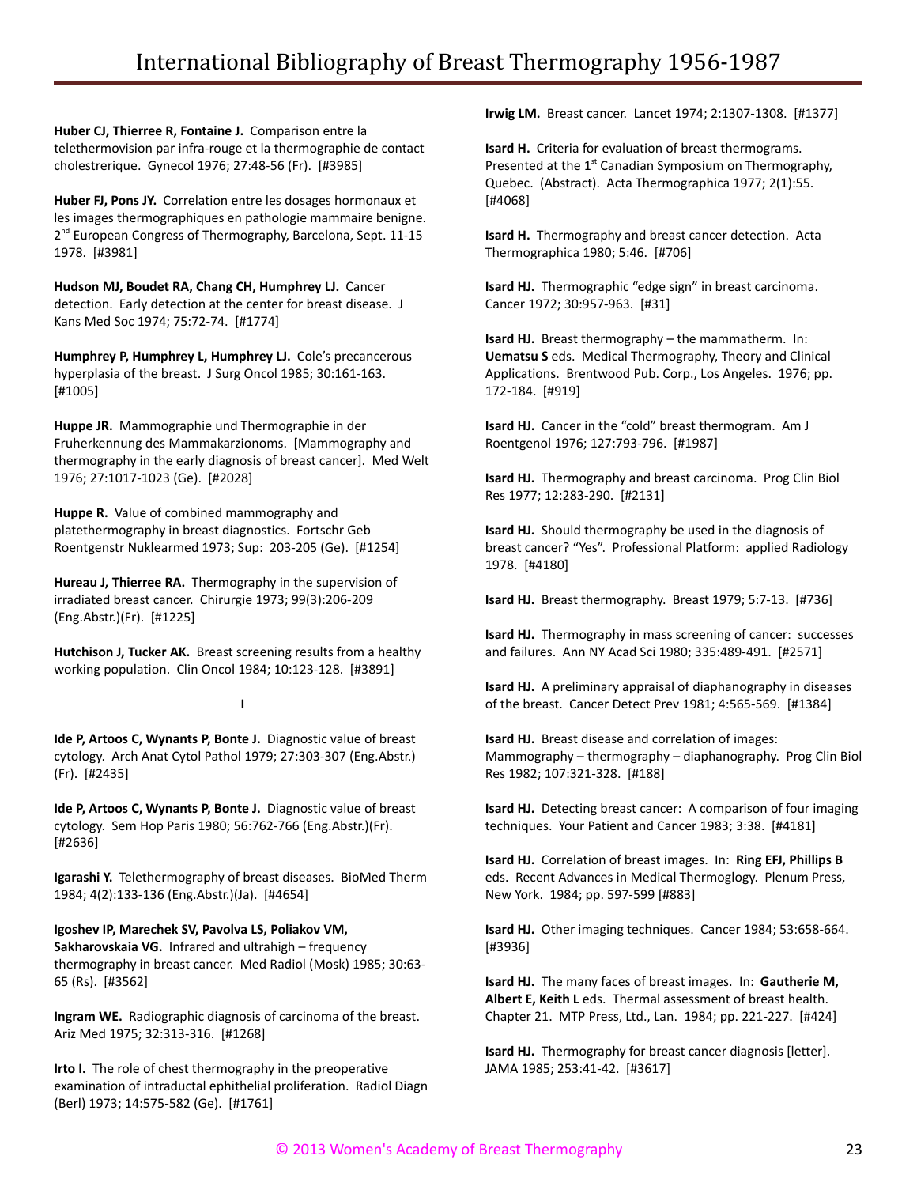**Huber CJ, Thierree R, Fontaine J.** Comparison entre la telethermovision par infra-rouge et la thermographie de contact cholestrerique. Gynecol 1976; 27:48-56 (Fr). [#3985]

**Huber FJ, Pons JY.** Correlation entre les dosages hormonaux et les images thermographiques en pathologie mammaire benigne. 2<sup>nd</sup> European Congress of Thermography, Barcelona, Sept. 11-15 1978. [#3981]

**Hudson MJ, Boudet RA, Chang CH, Humphrey LJ.** Cancer detection. Early detection at the center for breast disease. J Kans Med Soc 1974; 75:72-74. [#1774]

**Humphrey P, Humphrey L, Humphrey LJ.** Cole's precancerous hyperplasia of the breast. J Surg Oncol 1985; 30:161-163. [#1005]

**Huppe JR.** Mammographie und Thermographie in der Fruherkennung des Mammakarzionoms. [Mammography and thermography in the early diagnosis of breast cancer]. Med Welt 1976; 27:1017-1023 (Ge). [#2028]

**Huppe R.** Value of combined mammography and platethermography in breast diagnostics. Fortschr Geb Roentgenstr Nuklearmed 1973; Sup: 203-205 (Ge). [#1254]

**Hureau J, Thierree RA.** Thermography in the supervision of irradiated breast cancer. Chirurgie 1973; 99(3):206-209 (Eng.Abstr.)(Fr). [#1225]

**Hutchison J, Tucker AK.** Breast screening results from a healthy working population. Clin Oncol 1984; 10:123-128. [#3891]

#### **I**

**Ide P, Artoos C, Wynants P, Bonte J.** Diagnostic value of breast cytology. Arch Anat Cytol Pathol 1979; 27:303-307 (Eng.Abstr.) (Fr). [#2435]

**Ide P, Artoos C, Wynants P, Bonte J.** Diagnostic value of breast cytology. Sem Hop Paris 1980; 56:762-766 (Eng.Abstr.)(Fr). [#2636]

**Igarashi Y.** Telethermography of breast diseases. BioMed Therm 1984; 4(2):133-136 (Eng.Abstr.)(Ja). [#4654]

**Igoshev IP, Marechek SV, Pavolva LS, Poliakov VM, Sakharovskaia VG.** Infrared and ultrahigh – frequency thermography in breast cancer. Med Radiol (Mosk) 1985; 30:63- 65 (Rs). [#3562]

**Ingram WE.** Radiographic diagnosis of carcinoma of the breast. Ariz Med 1975; 32:313-316. [#1268]

**Irto I.** The role of chest thermography in the preoperative examination of intraductal ephithelial proliferation. Radiol Diagn (Berl) 1973; 14:575-582 (Ge). [#1761]

**Irwig LM.** Breast cancer. Lancet 1974; 2:1307-1308. [#1377]

**Isard H.** Criteria for evaluation of breast thermograms. Presented at the  $1<sup>st</sup>$  Canadian Symposium on Thermography, Quebec. (Abstract). Acta Thermographica 1977; 2(1):55. [#4068]

**Isard H.** Thermography and breast cancer detection. Acta Thermographica 1980; 5:46. [#706]

**Isard HJ.** Thermographic "edge sign" in breast carcinoma. Cancer 1972; 30:957-963. [#31]

**Isard HJ.** Breast thermography – the mammatherm. In: **Uematsu S** eds. Medical Thermography, Theory and Clinical Applications. Brentwood Pub. Corp., Los Angeles. 1976; pp. 172-184. [#919]

**Isard HJ.** Cancer in the "cold" breast thermogram. Am J Roentgenol 1976; 127:793-796. [#1987]

**Isard HJ.** Thermography and breast carcinoma. Prog Clin Biol Res 1977; 12:283-290. [#2131]

**Isard HJ.** Should thermography be used in the diagnosis of breast cancer? "Yes". Professional Platform: applied Radiology 1978. [#4180]

**Isard HJ.** Breast thermography. Breast 1979; 5:7-13. [#736]

**Isard HJ.** Thermography in mass screening of cancer: successes and failures. Ann NY Acad Sci 1980; 335:489-491. [#2571]

**Isard HJ.** A preliminary appraisal of diaphanography in diseases of the breast. Cancer Detect Prev 1981; 4:565-569. [#1384]

**Isard HJ.** Breast disease and correlation of images: Mammography – thermography – diaphanography. Prog Clin Biol Res 1982; 107:321-328. [#188]

**Isard HJ.** Detecting breast cancer: A comparison of four imaging techniques. Your Patient and Cancer 1983; 3:38. [#4181]

**Isard HJ.** Correlation of breast images. In: **Ring EFJ, Phillips B** eds. Recent Advances in Medical Thermoglogy. Plenum Press, New York. 1984; pp. 597-599 [#883]

**Isard HJ.** Other imaging techniques. Cancer 1984; 53:658-664. [#3936]

**Isard HJ.** The many faces of breast images. In: **Gautherie M, Albert E, Keith L** eds. Thermal assessment of breast health. Chapter 21. MTP Press, Ltd., Lan. 1984; pp. 221-227. [#424]

**Isard HJ.** Thermography for breast cancer diagnosis [letter]. JAMA 1985; 253:41-42. [#3617]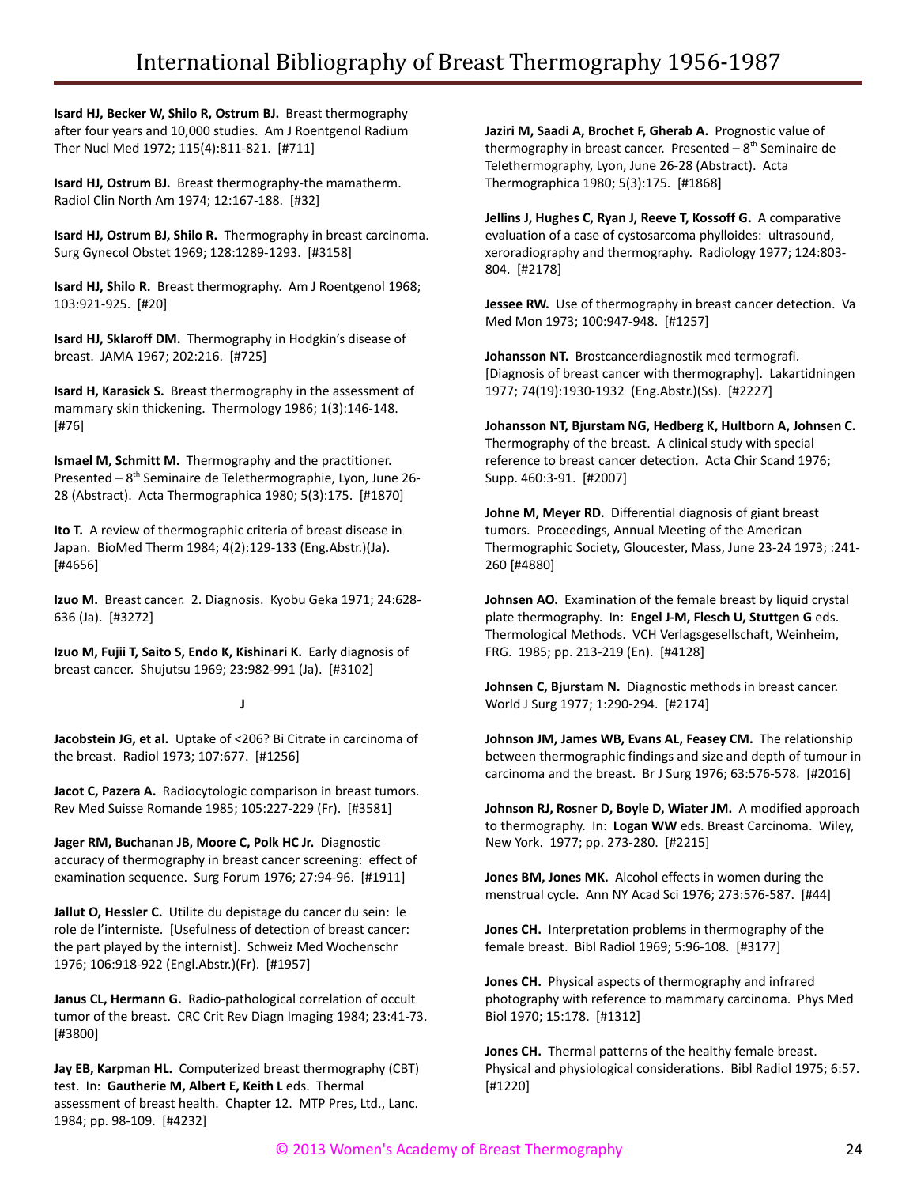**Isard HJ, Becker W, Shilo R, Ostrum BJ.** Breast thermography after four years and 10,000 studies. Am J Roentgenol Radium Ther Nucl Med 1972; 115(4):811-821. [#711]

**Isard HJ, Ostrum BJ.** Breast thermography-the mamatherm. Radiol Clin North Am 1974; 12:167-188. [#32]

**Isard HJ, Ostrum BJ, Shilo R.** Thermography in breast carcinoma. Surg Gynecol Obstet 1969; 128:1289-1293. [#3158]

**Isard HJ, Shilo R.** Breast thermography. Am J Roentgenol 1968; 103:921-925. [#20]

**Isard HJ, Sklaroff DM.** Thermography in Hodgkin's disease of breast. JAMA 1967; 202:216. [#725]

**Isard H, Karasick S.** Breast thermography in the assessment of mammary skin thickening. Thermology 1986; 1(3):146-148. [#76]

**Ismael M, Schmitt M.** Thermography and the practitioner. Presented – 8<sup>th</sup> Seminaire de Telethermographie, Lyon, June 26-28 (Abstract). Acta Thermographica 1980; 5(3):175. [#1870]

**Ito T.** A review of thermographic criteria of breast disease in Japan. BioMed Therm 1984; 4(2):129-133 (Eng.Abstr.)(Ja). [#4656]

**Izuo M.** Breast cancer. 2. Diagnosis. Kyobu Geka 1971; 24:628- 636 (Ja). [#3272]

**Izuo M, Fujii T, Saito S, Endo K, Kishinari K.** Early diagnosis of breast cancer. Shujutsu 1969; 23:982-991 (Ja). [#3102]

## **J**

**Jacobstein JG, et al.** Uptake of <206? Bi Citrate in carcinoma of the breast. Radiol 1973; 107:677. [#1256]

**Jacot C, Pazera A.** Radiocytologic comparison in breast tumors. Rev Med Suisse Romande 1985; 105:227-229 (Fr). [#3581]

**Jager RM, Buchanan JB, Moore C, Polk HC Jr.** Diagnostic accuracy of thermography in breast cancer screening: effect of examination sequence. Surg Forum 1976; 27:94-96. [#1911]

**Jallut O, Hessler C.** Utilite du depistage du cancer du sein: le role de l'interniste. [Usefulness of detection of breast cancer: the part played by the internist]. Schweiz Med Wochenschr 1976; 106:918-922 (Engl.Abstr.)(Fr). [#1957]

**Janus CL, Hermann G.** Radio-pathological correlation of occult tumor of the breast. CRC Crit Rev Diagn Imaging 1984; 23:41-73. [#3800]

**Jay EB, Karpman HL.** Computerized breast thermography (CBT) test. In: **Gautherie M, Albert E, Keith L** eds. Thermal assessment of breast health. Chapter 12. MTP Pres, Ltd., Lanc. 1984; pp. 98-109. [#4232]

**Jaziri M, Saadi A, Brochet F, Gherab A.** Prognostic value of thermography in breast cancer. Presented  $-8<sup>th</sup>$  Seminaire de Telethermography, Lyon, June 26-28 (Abstract). Acta Thermographica 1980; 5(3):175. [#1868]

**Jellins J, Hughes C, Ryan J, Reeve T, Kossoff G.** A comparative evaluation of a case of cystosarcoma phylloides: ultrasound, xeroradiography and thermography. Radiology 1977; 124:803- 804. [#2178]

**Jessee RW.** Use of thermography in breast cancer detection. Va Med Mon 1973; 100:947-948. [#1257]

**Johansson NT.** Brostcancerdiagnostik med termografi. [Diagnosis of breast cancer with thermography]. Lakartidningen 1977; 74(19):1930-1932 (Eng.Abstr.)(Ss). [#2227]

**Johansson NT, Bjurstam NG, Hedberg K, Hultborn A, Johnsen C.** Thermography of the breast. A clinical study with special reference to breast cancer detection. Acta Chir Scand 1976; Supp. 460:3-91. [#2007]

**Johne M, Meyer RD.** Differential diagnosis of giant breast tumors. Proceedings, Annual Meeting of the American Thermographic Society, Gloucester, Mass, June 23-24 1973; :241- 260 [#4880]

**Johnsen AO.** Examination of the female breast by liquid crystal plate thermography. In: **Engel J-M, Flesch U, Stuttgen G** eds. Thermological Methods. VCH Verlagsgesellschaft, Weinheim, FRG. 1985; pp. 213-219 (En). [#4128]

**Johnsen C, Bjurstam N.** Diagnostic methods in breast cancer. World J Surg 1977; 1:290-294. [#2174]

**Johnson JM, James WB, Evans AL, Feasey CM.** The relationship between thermographic findings and size and depth of tumour in carcinoma and the breast. Br J Surg 1976; 63:576-578. [#2016]

**Johnson RJ, Rosner D, Boyle D, Wiater JM.** A modified approach to thermography. In: **Logan WW** eds. Breast Carcinoma. Wiley, New York. 1977; pp. 273-280. [#2215]

**Jones BM, Jones MK.** Alcohol effects in women during the menstrual cycle. Ann NY Acad Sci 1976; 273:576-587. [#44]

**Jones CH.** Interpretation problems in thermography of the female breast. Bibl Radiol 1969; 5:96-108. [#3177]

**Jones CH.** Physical aspects of thermography and infrared photography with reference to mammary carcinoma. Phys Med Biol 1970; 15:178. [#1312]

**Jones CH.** Thermal patterns of the healthy female breast. Physical and physiological considerations. Bibl Radiol 1975; 6:57. [#1220]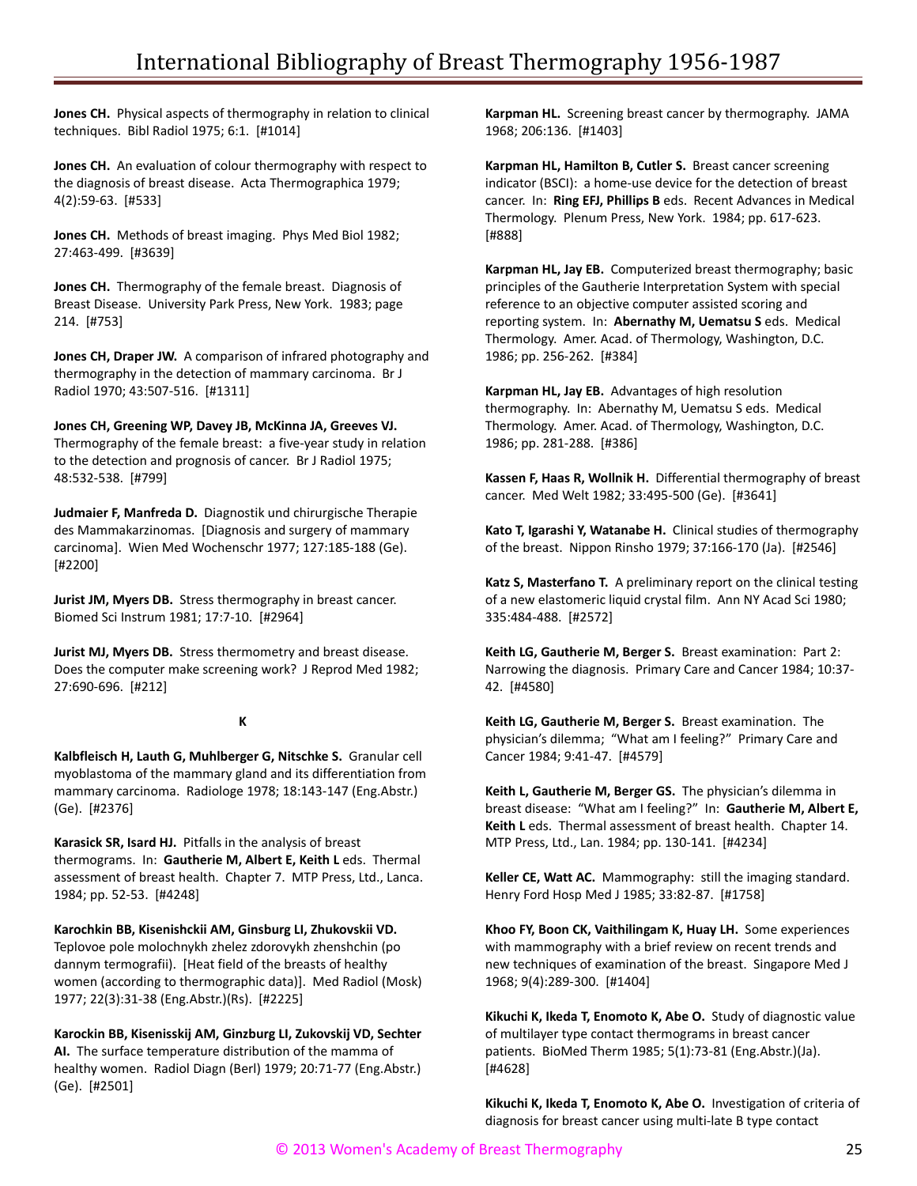**Jones CH.** Physical aspects of thermography in relation to clinical techniques. Bibl Radiol 1975; 6:1. [#1014]

**Jones CH.** An evaluation of colour thermography with respect to the diagnosis of breast disease. Acta Thermographica 1979; 4(2):59-63. [#533]

**Jones CH.** Methods of breast imaging. Phys Med Biol 1982; 27:463-499. [#3639]

**Jones CH.** Thermography of the female breast. Diagnosis of Breast Disease. University Park Press, New York. 1983; page 214. [#753]

**Jones CH, Draper JW.** A comparison of infrared photography and thermography in the detection of mammary carcinoma. Br J Radiol 1970; 43:507-516. [#1311]

**Jones CH, Greening WP, Davey JB, McKinna JA, Greeves VJ.** Thermography of the female breast: a five-year study in relation to the detection and prognosis of cancer. Br J Radiol 1975; 48:532-538. [#799]

**Judmaier F, Manfreda D.** Diagnostik und chirurgische Therapie des Mammakarzinomas. [Diagnosis and surgery of mammary carcinoma]. Wien Med Wochenschr 1977; 127:185-188 (Ge). [#2200]

**Jurist JM, Myers DB.** Stress thermography in breast cancer. Biomed Sci Instrum 1981; 17:7-10. [#2964]

**Jurist MJ, Myers DB.** Stress thermometry and breast disease. Does the computer make screening work? J Reprod Med 1982; 27:690-696. [#212]

#### **K**

**Kalbfleisch H, Lauth G, Muhlberger G, Nitschke S.** Granular cell myoblastoma of the mammary gland and its differentiation from mammary carcinoma. Radiologe 1978; 18:143-147 (Eng.Abstr.) (Ge). [#2376]

**Karasick SR, Isard HJ.** Pitfalls in the analysis of breast thermograms. In: **Gautherie M, Albert E, Keith L** eds. Thermal assessment of breast health. Chapter 7. MTP Press, Ltd., Lanca. 1984; pp. 52-53. [#4248]

**Karochkin BB, Kisenishckii AM, Ginsburg LI, Zhukovskii VD.** Teplovoe pole molochnykh zhelez zdorovykh zhenshchin (po dannym termografii). [Heat field of the breasts of healthy women (according to thermographic data)]. Med Radiol (Mosk) 1977; 22(3):31-38 (Eng.Abstr.)(Rs). [#2225]

**Karockin BB, Kisenisskij AM, Ginzburg LI, Zukovskij VD, Sechter AI.** The surface temperature distribution of the mamma of healthy women. Radiol Diagn (Berl) 1979; 20:71-77 (Eng.Abstr.) (Ge). [#2501]

**Karpman HL.** Screening breast cancer by thermography. JAMA 1968; 206:136. [#1403]

**Karpman HL, Hamilton B, Cutler S.** Breast cancer screening indicator (BSCI): a home-use device for the detection of breast cancer. In: **Ring EFJ, Phillips B** eds. Recent Advances in Medical Thermology. Plenum Press, New York. 1984; pp. 617-623. [#888]

**Karpman HL, Jay EB.** Computerized breast thermography; basic principles of the Gautherie Interpretation System with special reference to an objective computer assisted scoring and reporting system. In: **Abernathy M, Uematsu S** eds. Medical Thermology. Amer. Acad. of Thermology, Washington, D.C. 1986; pp. 256-262. [#384]

**Karpman HL, Jay EB.** Advantages of high resolution thermography. In: Abernathy M, Uematsu S eds. Medical Thermology. Amer. Acad. of Thermology, Washington, D.C. 1986; pp. 281-288. [#386]

**Kassen F, Haas R, Wollnik H.** Differential thermography of breast cancer. Med Welt 1982; 33:495-500 (Ge). [#3641]

**Kato T, Igarashi Y, Watanabe H.** Clinical studies of thermography of the breast. Nippon Rinsho 1979; 37:166-170 (Ja). [#2546]

**Katz S, Masterfano T.** A preliminary report on the clinical testing of a new elastomeric liquid crystal film. Ann NY Acad Sci 1980; 335:484-488. [#2572]

**Keith LG, Gautherie M, Berger S.** Breast examination: Part 2: Narrowing the diagnosis. Primary Care and Cancer 1984; 10:37- 42. [#4580]

**Keith LG, Gautherie M, Berger S.** Breast examination. The physician's dilemma; "What am I feeling?" Primary Care and Cancer 1984; 9:41-47. [#4579]

**Keith L, Gautherie M, Berger GS.** The physician's dilemma in breast disease: "What am I feeling?" In: **Gautherie M, Albert E, Keith L** eds. Thermal assessment of breast health. Chapter 14. MTP Press, Ltd., Lan. 1984; pp. 130-141. [#4234]

**Keller CE, Watt AC.** Mammography: still the imaging standard. Henry Ford Hosp Med J 1985; 33:82-87. [#1758]

**Khoo FY, Boon CK, Vaithilingam K, Huay LH.** Some experiences with mammography with a brief review on recent trends and new techniques of examination of the breast. Singapore Med J 1968; 9(4):289-300. [#1404]

**Kikuchi K, Ikeda T, Enomoto K, Abe O.** Study of diagnostic value of multilayer type contact thermograms in breast cancer patients. BioMed Therm 1985; 5(1):73-81 (Eng.Abstr.)(Ja). [#4628]

**Kikuchi K, Ikeda T, Enomoto K, Abe O.** Investigation of criteria of diagnosis for breast cancer using multi-late B type contact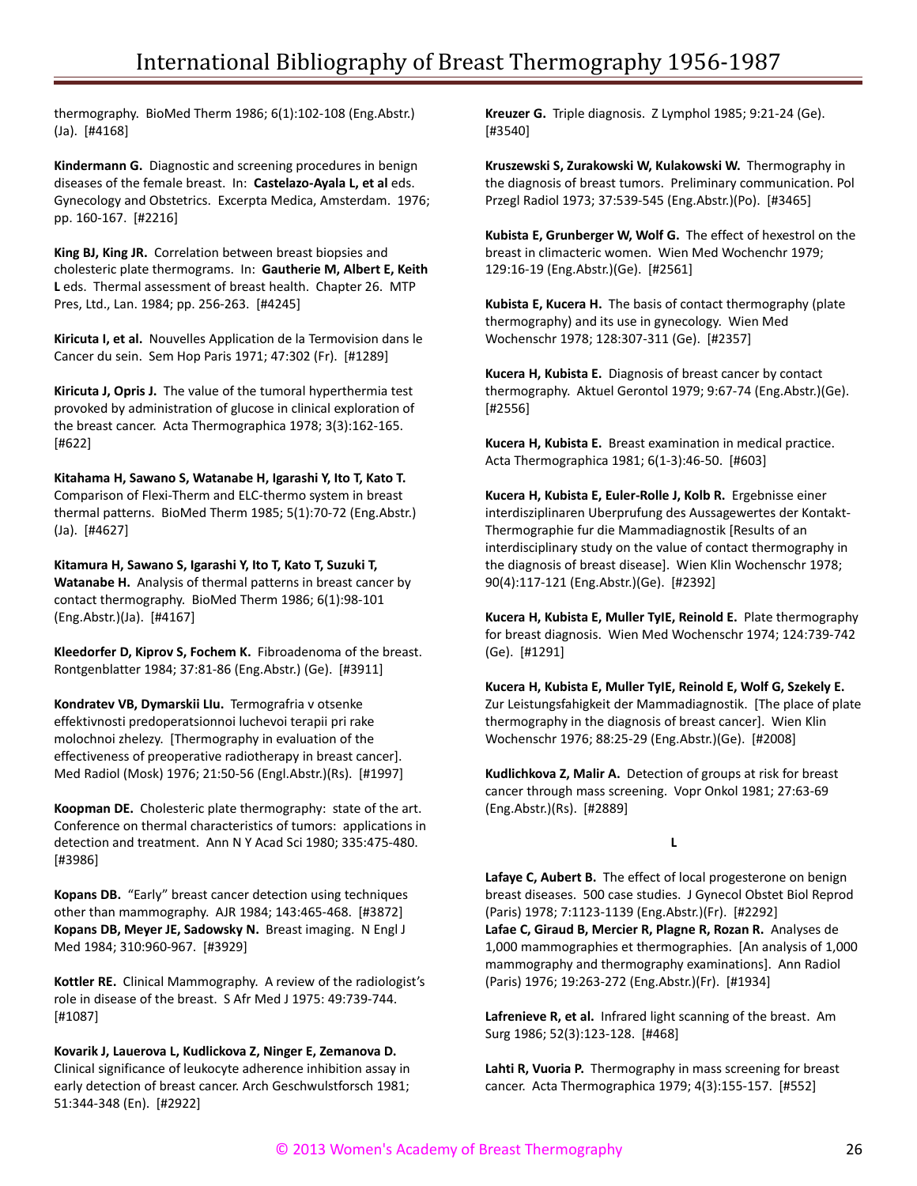thermography. BioMed Therm 1986; 6(1):102-108 (Eng.Abstr.) (Ja). [#4168]

**Kindermann G.** Diagnostic and screening procedures in benign diseases of the female breast. In: **Castelazo-Ayala L, et al** eds. Gynecology and Obstetrics. Excerpta Medica, Amsterdam. 1976; pp. 160-167. [#2216]

**King BJ, King JR.** Correlation between breast biopsies and cholesteric plate thermograms. In: **Gautherie M, Albert E, Keith L** eds. Thermal assessment of breast health. Chapter 26. MTP Pres, Ltd., Lan. 1984; pp. 256-263. [#4245]

**Kiricuta I, et al.** Nouvelles Application de la Termovision dans le Cancer du sein. Sem Hop Paris 1971; 47:302 (Fr). [#1289]

**Kiricuta J, Opris J.** The value of the tumoral hyperthermia test provoked by administration of glucose in clinical exploration of the breast cancer. Acta Thermographica 1978; 3(3):162-165. [#622]

**Kitahama H, Sawano S, Watanabe H, Igarashi Y, Ito T, Kato T.** Comparison of Flexi-Therm and ELC-thermo system in breast thermal patterns. BioMed Therm 1985; 5(1):70-72 (Eng.Abstr.) (Ja). [#4627]

**Kitamura H, Sawano S, Igarashi Y, Ito T, Kato T, Suzuki T, Watanabe H.** Analysis of thermal patterns in breast cancer by contact thermography. BioMed Therm 1986; 6(1):98-101 (Eng.Abstr.)(Ja). [#4167]

**Kleedorfer D, Kiprov S, Fochem K.** Fibroadenoma of the breast. Rontgenblatter 1984; 37:81-86 (Eng.Abstr.) (Ge). [#3911]

**Kondratev VB, Dymarskii LIu.** Termografria v otsenke effektivnosti predoperatsionnoi luchevoi terapii pri rake molochnoi zhelezy. [Thermography in evaluation of the effectiveness of preoperative radiotherapy in breast cancer]. Med Radiol (Mosk) 1976; 21:50-56 (Engl.Abstr.)(Rs). [#1997]

**Koopman DE.** Cholesteric plate thermography: state of the art. Conference on thermal characteristics of tumors: applications in detection and treatment. Ann N Y Acad Sci 1980; 335:475-480. [#3986]

**Kopans DB.** "Early" breast cancer detection using techniques other than mammography. AJR 1984; 143:465-468. [#3872] **Kopans DB, Meyer JE, Sadowsky N.** Breast imaging. N Engl J Med 1984; 310:960-967. [#3929]

**Kottler RE.** Clinical Mammography. A review of the radiologist's role in disease of the breast. S Afr Med J 1975: 49:739-744. [#1087]

**Kovarik J, Lauerova L, Kudlickova Z, Ninger E, Zemanova D.** Clinical significance of leukocyte adherence inhibition assay in early detection of breast cancer. Arch Geschwulstforsch 1981; 51:344-348 (En). [#2922]

**Kreuzer G.** Triple diagnosis. Z Lymphol 1985; 9:21-24 (Ge). [#3540]

**Kruszewski S, Zurakowski W, Kulakowski W.** Thermography in the diagnosis of breast tumors. Preliminary communication. Pol Przegl Radiol 1973; 37:539-545 (Eng.Abstr.)(Po). [#3465]

**Kubista E, Grunberger W, Wolf G.** The effect of hexestrol on the breast in climacteric women. Wien Med Wochenchr 1979; 129:16-19 (Eng.Abstr.)(Ge). [#2561]

**Kubista E, Kucera H.** The basis of contact thermography (plate thermography) and its use in gynecology. Wien Med Wochenschr 1978; 128:307-311 (Ge). [#2357]

**Kucera H, Kubista E.** Diagnosis of breast cancer by contact thermography. Aktuel Gerontol 1979; 9:67-74 (Eng.Abstr.)(Ge). [#2556]

**Kucera H, Kubista E.** Breast examination in medical practice. Acta Thermographica 1981; 6(1-3):46-50. [#603]

**Kucera H, Kubista E, Euler-Rolle J, Kolb R.** Ergebnisse einer interdisziplinaren Uberprufung des Aussagewertes der Kontakt-Thermographie fur die Mammadiagnostik [Results of an interdisciplinary study on the value of contact thermography in the diagnosis of breast disease]. Wien Klin Wochenschr 1978; 90(4):117-121 (Eng.Abstr.)(Ge). [#2392]

**Kucera H, Kubista E, Muller TyIE, Reinold E.** Plate thermography for breast diagnosis. Wien Med Wochenschr 1974; 124:739-742 (Ge). [#1291]

**Kucera H, Kubista E, Muller TyIE, Reinold E, Wolf G, Szekely E.** Zur Leistungsfahigkeit der Mammadiagnostik. [The place of plate thermography in the diagnosis of breast cancer]. Wien Klin Wochenschr 1976; 88:25-29 (Eng.Abstr.)(Ge). [#2008]

**Kudlichkova Z, Malir A.** Detection of groups at risk for breast cancer through mass screening. Vopr Onkol 1981; 27:63-69 (Eng.Abstr.)(Rs). [#2889]

**L**

**Lafaye C, Aubert B.** The effect of local progesterone on benign breast diseases. 500 case studies. J Gynecol Obstet Biol Reprod (Paris) 1978; 7:1123-1139 (Eng.Abstr.)(Fr). [#2292] **Lafae C, Giraud B, Mercier R, Plagne R, Rozan R.** Analyses de 1,000 mammographies et thermographies. [An analysis of 1,000 mammography and thermography examinations]. Ann Radiol (Paris) 1976; 19:263-272 (Eng.Abstr.)(Fr). [#1934]

**Lafrenieve R, et al.** Infrared light scanning of the breast. Am Surg 1986; 52(3):123-128. [#468]

**Lahti R, Vuoria P.** Thermography in mass screening for breast cancer. Acta Thermographica 1979; 4(3):155-157. [#552]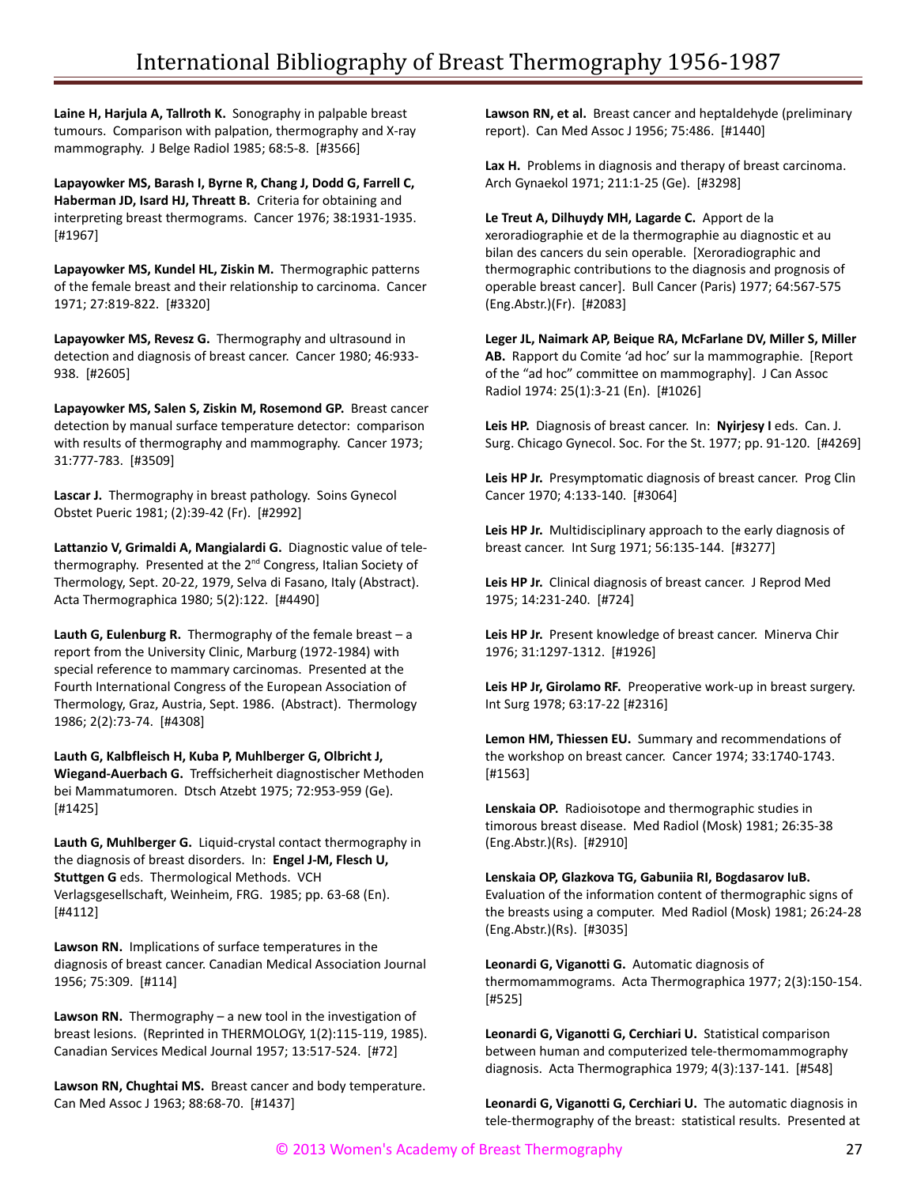**Laine H, Harjula A, Tallroth K.** Sonography in palpable breast tumours. Comparison with palpation, thermography and X-ray mammography. J Belge Radiol 1985; 68:5-8. [#3566]

**Lapayowker MS, Barash I, Byrne R, Chang J, Dodd G, Farrell C, Haberman JD, Isard HJ, Threatt B.** Criteria for obtaining and interpreting breast thermograms. Cancer 1976; 38:1931-1935. [#1967]

**Lapayowker MS, Kundel HL, Ziskin M.** Thermographic patterns of the female breast and their relationship to carcinoma. Cancer 1971; 27:819-822. [#3320]

**Lapayowker MS, Revesz G.** Thermography and ultrasound in detection and diagnosis of breast cancer. Cancer 1980; 46:933- 938. [#2605]

**Lapayowker MS, Salen S, Ziskin M, Rosemond GP.** Breast cancer detection by manual surface temperature detector: comparison with results of thermography and mammography. Cancer 1973; 31:777-783. [#3509]

**Lascar J.** Thermography in breast pathology. Soins Gynecol Obstet Pueric 1981; (2):39-42 (Fr). [#2992]

**Lattanzio V, Grimaldi A, Mangialardi G.** Diagnostic value of telethermography. Presented at the 2<sup>nd</sup> Congress, Italian Society of Thermology, Sept. 20-22, 1979, Selva di Fasano, Italy (Abstract). Acta Thermographica 1980; 5(2):122. [#4490]

**Lauth G, Eulenburg R.** Thermography of the female breast – a report from the University Clinic, Marburg (1972-1984) with special reference to mammary carcinomas. Presented at the Fourth International Congress of the European Association of Thermology, Graz, Austria, Sept. 1986. (Abstract). Thermology 1986; 2(2):73-74. [#4308]

**Lauth G, Kalbfleisch H, Kuba P, Muhlberger G, Olbricht J, Wiegand-Auerbach G.** Treffsicherheit diagnostischer Methoden bei Mammatumoren. Dtsch Atzebt 1975; 72:953-959 (Ge). [#1425]

**Lauth G, Muhlberger G.** Liquid-crystal contact thermography in the diagnosis of breast disorders. In: **Engel J-M, Flesch U, Stuttgen G** eds. Thermological Methods. VCH Verlagsgesellschaft, Weinheim, FRG. 1985; pp. 63-68 (En). [#4112]

**Lawson RN.** Implications of surface temperatures in the diagnosis of breast cancer. Canadian Medical Association Journal 1956; 75:309. [#114]

**Lawson RN.** Thermography – a new tool in the investigation of breast lesions. (Reprinted in THERMOLOGY, 1(2):115-119, 1985). Canadian Services Medical Journal 1957; 13:517-524. [#72]

**Lawson RN, Chughtai MS.** Breast cancer and body temperature. Can Med Assoc J 1963; 88:68-70. [#1437]

**Lawson RN, et al.** Breast cancer and heptaldehyde (preliminary report). Can Med Assoc J 1956; 75:486. [#1440]

**Lax H.** Problems in diagnosis and therapy of breast carcinoma. Arch Gynaekol 1971; 211:1-25 (Ge). [#3298]

**Le Treut A, Dilhuydy MH, Lagarde C.** Apport de la xeroradiographie et de la thermographie au diagnostic et au bilan des cancers du sein operable. [Xeroradiographic and thermographic contributions to the diagnosis and prognosis of operable breast cancer]. Bull Cancer (Paris) 1977; 64:567-575 (Eng.Abstr.)(Fr). [#2083]

**Leger JL, Naimark AP, Beique RA, McFarlane DV, Miller S, Miller AB.** Rapport du Comite 'ad hoc' sur la mammographie. [Report of the "ad hoc" committee on mammography]. J Can Assoc Radiol 1974: 25(1):3-21 (En). [#1026]

**Leis HP.** Diagnosis of breast cancer. In: **Nyirjesy I** eds. Can. J. Surg. Chicago Gynecol. Soc. For the St. 1977; pp. 91-120. [#4269]

**Leis HP Jr.** Presymptomatic diagnosis of breast cancer. Prog Clin Cancer 1970; 4:133-140. [#3064]

**Leis HP Jr.** Multidisciplinary approach to the early diagnosis of breast cancer. Int Surg 1971; 56:135-144. [#3277]

**Leis HP Jr.** Clinical diagnosis of breast cancer. J Reprod Med 1975; 14:231-240. [#724]

**Leis HP Jr.** Present knowledge of breast cancer. Minerva Chir 1976; 31:1297-1312. [#1926]

**Leis HP Jr, Girolamo RF.** Preoperative work-up in breast surgery. Int Surg 1978; 63:17-22 [#2316]

**Lemon HM, Thiessen EU.** Summary and recommendations of the workshop on breast cancer. Cancer 1974; 33:1740-1743. [#1563]

**Lenskaia OP.** Radioisotope and thermographic studies in timorous breast disease. Med Radiol (Mosk) 1981; 26:35-38 (Eng.Abstr.)(Rs). [#2910]

**Lenskaia OP, Glazkova TG, Gabuniia RI, Bogdasarov IuB.** Evaluation of the information content of thermographic signs of the breasts using a computer. Med Radiol (Mosk) 1981; 26:24-28 (Eng.Abstr.)(Rs). [#3035]

**Leonardi G, Viganotti G.** Automatic diagnosis of thermomammograms. Acta Thermographica 1977; 2(3):150-154. [#525]

**Leonardi G, Viganotti G, Cerchiari U.** Statistical comparison between human and computerized tele-thermomammography diagnosis. Acta Thermographica 1979; 4(3):137-141. [#548]

**Leonardi G, Viganotti G, Cerchiari U.** The automatic diagnosis in tele-thermography of the breast: statistical results. Presented at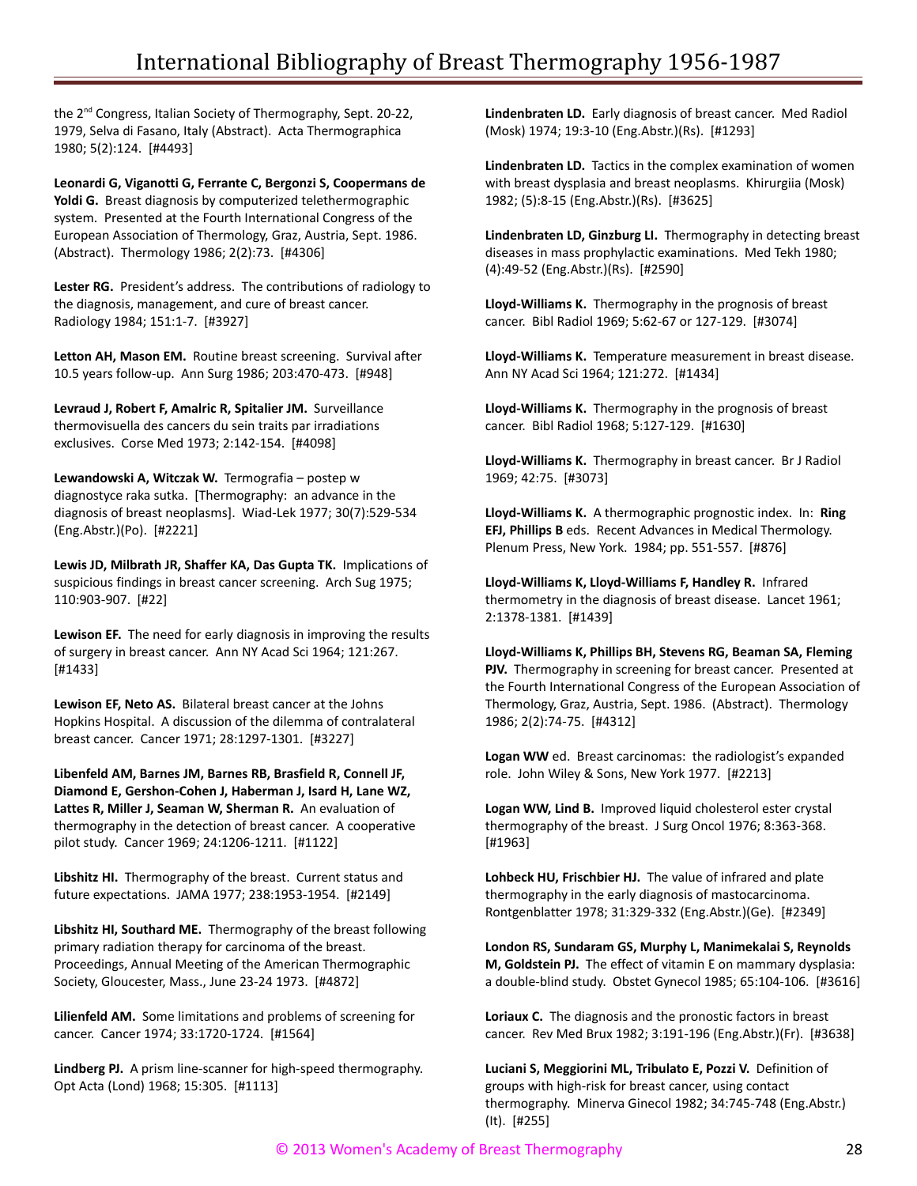the 2<sup>nd</sup> Congress, Italian Society of Thermography, Sept. 20-22, 1979, Selva di Fasano, Italy (Abstract). Acta Thermographica 1980; 5(2):124. [#4493]

**Leonardi G, Viganotti G, Ferrante C, Bergonzi S, Coopermans de Yoldi G.** Breast diagnosis by computerized telethermographic system. Presented at the Fourth International Congress of the European Association of Thermology, Graz, Austria, Sept. 1986. (Abstract). Thermology 1986; 2(2):73. [#4306]

**Lester RG.** President's address. The contributions of radiology to the diagnosis, management, and cure of breast cancer. Radiology 1984; 151:1-7. [#3927]

**Letton AH, Mason EM.** Routine breast screening. Survival after 10.5 years follow-up. Ann Surg 1986; 203:470-473. [#948]

**Levraud J, Robert F, Amalric R, Spitalier JM.** Surveillance thermovisuella des cancers du sein traits par irradiations exclusives. Corse Med 1973; 2:142-154. [#4098]

**Lewandowski A, Witczak W.** Termografia – postep w diagnostyce raka sutka. [Thermography: an advance in the diagnosis of breast neoplasms]. Wiad-Lek 1977; 30(7):529-534 (Eng.Abstr.)(Po). [#2221]

**Lewis JD, Milbrath JR, Shaffer KA, Das Gupta TK.** Implications of suspicious findings in breast cancer screening. Arch Sug 1975; 110:903-907. [#22]

**Lewison EF.** The need for early diagnosis in improving the results of surgery in breast cancer. Ann NY Acad Sci 1964; 121:267. [#1433]

**Lewison EF, Neto AS.** Bilateral breast cancer at the Johns Hopkins Hospital. A discussion of the dilemma of contralateral breast cancer. Cancer 1971; 28:1297-1301. [#3227]

**Libenfeld AM, Barnes JM, Barnes RB, Brasfield R, Connell JF, Diamond E, Gershon-Cohen J, Haberman J, Isard H, Lane WZ, Lattes R, Miller J, Seaman W, Sherman R.** An evaluation of thermography in the detection of breast cancer. A cooperative pilot study. Cancer 1969; 24:1206-1211. [#1122]

**Libshitz HI.** Thermography of the breast. Current status and future expectations. JAMA 1977; 238:1953-1954. [#2149]

**Libshitz HI, Southard ME.** Thermography of the breast following primary radiation therapy for carcinoma of the breast. Proceedings, Annual Meeting of the American Thermographic Society, Gloucester, Mass., June 23-24 1973. [#4872]

**Lilienfeld AM.** Some limitations and problems of screening for cancer. Cancer 1974; 33:1720-1724. [#1564]

**Lindberg PJ.** A prism line-scanner for high-speed thermography. Opt Acta (Lond) 1968; 15:305. [#1113]

**Lindenbraten LD.** Early diagnosis of breast cancer. Med Radiol (Mosk) 1974; 19:3-10 (Eng.Abstr.)(Rs). [#1293]

**Lindenbraten LD.** Tactics in the complex examination of women with breast dysplasia and breast neoplasms. Khirurgiia (Mosk) 1982; (5):8-15 (Eng.Abstr.)(Rs). [#3625]

**Lindenbraten LD, Ginzburg LI.** Thermography in detecting breast diseases in mass prophylactic examinations. Med Tekh 1980; (4):49-52 (Eng.Abstr.)(Rs). [#2590]

**Lloyd-Williams K.** Thermography in the prognosis of breast cancer. Bibl Radiol 1969; 5:62-67 or 127-129. [#3074]

**Lloyd-Williams K.** Temperature measurement in breast disease. Ann NY Acad Sci 1964; 121:272. [#1434]

**Lloyd-Williams K.** Thermography in the prognosis of breast cancer. Bibl Radiol 1968; 5:127-129. [#1630]

**Lloyd-Williams K.** Thermography in breast cancer. Br J Radiol 1969; 42:75. [#3073]

**Lloyd-Williams K.** A thermographic prognostic index. In: **Ring EFJ, Phillips B** eds. Recent Advances in Medical Thermology. Plenum Press, New York. 1984; pp. 551-557. [#876]

**Lloyd-Williams K, Lloyd-Williams F, Handley R.** Infrared thermometry in the diagnosis of breast disease. Lancet 1961; 2:1378-1381. [#1439]

**Lloyd-Williams K, Phillips BH, Stevens RG, Beaman SA, Fleming PJV.** Thermography in screening for breast cancer. Presented at the Fourth International Congress of the European Association of Thermology, Graz, Austria, Sept. 1986. (Abstract). Thermology 1986; 2(2):74-75. [#4312]

**Logan WW** ed. Breast carcinomas: the radiologist's expanded role. John Wiley & Sons, New York 1977. [#2213]

**Logan WW, Lind B.** Improved liquid cholesterol ester crystal thermography of the breast. J Surg Oncol 1976; 8:363-368. [#1963]

**Lohbeck HU, Frischbier HJ.** The value of infrared and plate thermography in the early diagnosis of mastocarcinoma. Rontgenblatter 1978; 31:329-332 (Eng.Abstr.)(Ge). [#2349]

**London RS, Sundaram GS, Murphy L, Manimekalai S, Reynolds M, Goldstein PJ.** The effect of vitamin E on mammary dysplasia: a double-blind study. Obstet Gynecol 1985; 65:104-106. [#3616]

**Loriaux C.** The diagnosis and the pronostic factors in breast cancer. Rev Med Brux 1982; 3:191-196 (Eng.Abstr.)(Fr). [#3638]

**Luciani S, Meggiorini ML, Tribulato E, Pozzi V.** Definition of groups with high-risk for breast cancer, using contact thermography. Minerva Ginecol 1982; 34:745-748 (Eng.Abstr.) (It). [#255]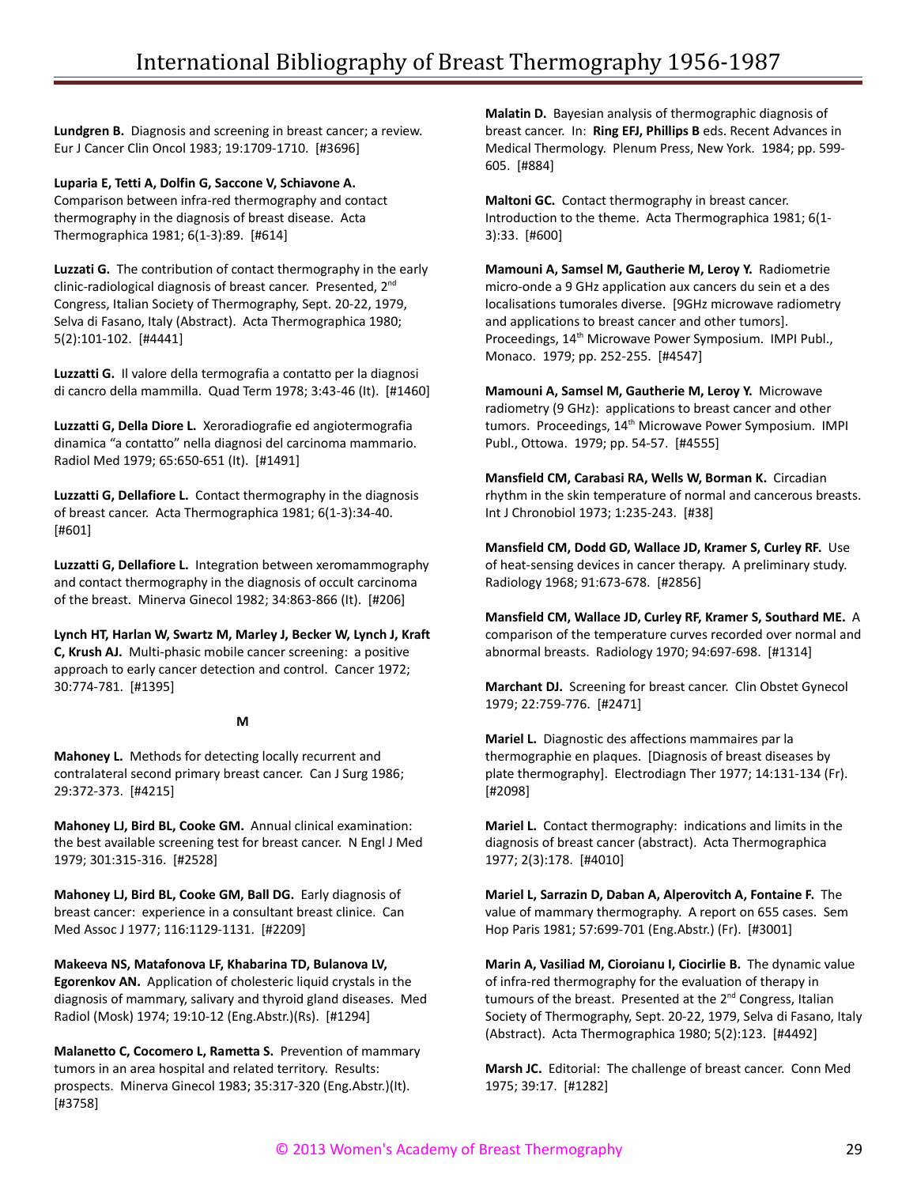**Lundgren B.** Diagnosis and screening in breast cancer; a review. Eur J Cancer Clin Oncol 1983; 19:1709-1710. [#3696]

**Luparia E, Tetti A, Dolfin G, Saccone V, Schiavone A.**

Comparison between infra-red thermography and contact thermography in the diagnosis of breast disease. Acta Thermographica 1981; 6(1-3):89. [#614]

**Luzzati G.** The contribution of contact thermography in the early clinic-radiological diagnosis of breast cancer. Presented, 2nd Congress, Italian Society of Thermography, Sept. 20-22, 1979, Selva di Fasano, Italy (Abstract). Acta Thermographica 1980; 5(2):101-102. [#4441]

**Luzzatti G.** Il valore della termografia a contatto per la diagnosi di cancro della mammilla. Quad Term 1978; 3:43-46 (It). [#1460]

**Luzzatti G, Della Diore L.** Xeroradiografie ed angiotermografia dinamica "a contatto" nella diagnosi del carcinoma mammario. Radiol Med 1979; 65:650-651 (It). [#1491]

**Luzzatti G, Dellafiore L.** Contact thermography in the diagnosis of breast cancer. Acta Thermographica 1981; 6(1-3):34-40. [#601]

**Luzzatti G, Dellafiore L.** Integration between xeromammography and contact thermography in the diagnosis of occult carcinoma of the breast. Minerva Ginecol 1982; 34:863-866 (It). [#206]

**Lynch HT, Harlan W, Swartz M, Marley J, Becker W, Lynch J, Kraft C, Krush AJ.** Multi-phasic mobile cancer screening: a positive approach to early cancer detection and control. Cancer 1972; 30:774-781. [#1395]

#### **M**

**Mahoney L.** Methods for detecting locally recurrent and contralateral second primary breast cancer. Can J Surg 1986; 29:372-373. [#4215]

**Mahoney LJ, Bird BL, Cooke GM.** Annual clinical examination: the best available screening test for breast cancer. N Engl J Med 1979; 301:315-316. [#2528]

**Mahoney LJ, Bird BL, Cooke GM, Ball DG.** Early diagnosis of breast cancer: experience in a consultant breast clinice. Can Med Assoc J 1977; 116:1129-1131. [#2209]

**Makeeva NS, Matafonova LF, Khabarina TD, Bulanova LV, Egorenkov AN.** Application of cholesteric liquid crystals in the diagnosis of mammary, salivary and thyroid gland diseases. Med Radiol (Mosk) 1974; 19:10-12 (Eng.Abstr.)(Rs). [#1294]

**Malanetto C, Cocomero L, Rametta S.** Prevention of mammary tumors in an area hospital and related territory. Results: prospects. Minerva Ginecol 1983; 35:317-320 (Eng.Abstr.)(It). [#3758]

**Malatin D.** Bayesian analysis of thermographic diagnosis of breast cancer. In: **Ring EFJ, Phillips B** eds. Recent Advances in Medical Thermology. Plenum Press, New York. 1984; pp. 599- 605. [#884]

**Maltoni GC.** Contact thermography in breast cancer. Introduction to the theme. Acta Thermographica 1981; 6(1- 3):33. [#600]

**Mamouni A, Samsel M, Gautherie M, Leroy Y.** Radiometrie micro-onde a 9 GHz application aux cancers du sein et a des localisations tumorales diverse. [9GHz microwave radiometry and applications to breast cancer and other tumors]. Proceedings, 14<sup>th</sup> Microwave Power Symposium. IMPI Publ., Monaco. 1979; pp. 252-255. [#4547]

**Mamouni A, Samsel M, Gautherie M, Leroy Y.** Microwave radiometry (9 GHz): applications to breast cancer and other tumors. Proceedings, 14<sup>th</sup> Microwave Power Symposium. IMPI Publ., Ottowa. 1979; pp. 54-57. [#4555]

**Mansfield CM, Carabasi RA, Wells W, Borman K.** Circadian rhythm in the skin temperature of normal and cancerous breasts. Int J Chronobiol 1973; 1:235-243. [#38]

**Mansfield CM, Dodd GD, Wallace JD, Kramer S, Curley RF.** Use of heat-sensing devices in cancer therapy. A preliminary study. Radiology 1968; 91:673-678. [#2856]

**Mansfield CM, Wallace JD, Curley RF, Kramer S, Southard ME.** A comparison of the temperature curves recorded over normal and abnormal breasts. Radiology 1970; 94:697-698. [#1314]

**Marchant DJ.** Screening for breast cancer. Clin Obstet Gynecol 1979; 22:759-776. [#2471]

**Mariel L.** Diagnostic des affections mammaires par la thermographie en plaques. [Diagnosis of breast diseases by plate thermography]. Electrodiagn Ther 1977; 14:131-134 (Fr). [#2098]

**Mariel L.** Contact thermography: indications and limits in the diagnosis of breast cancer (abstract). Acta Thermographica 1977; 2(3):178. [#4010]

**Mariel L, Sarrazin D, Daban A, Alperovitch A, Fontaine F.** The value of mammary thermography. A report on 655 cases. Sem Hop Paris 1981; 57:699-701 (Eng.Abstr.) (Fr). [#3001]

**Marin A, Vasiliad M, Cioroianu I, Ciocirlie B.** The dynamic value of infra-red thermography for the evaluation of therapy in tumours of the breast. Presented at the  $2^{nd}$  Congress, Italian Society of Thermography, Sept. 20-22, 1979, Selva di Fasano, Italy (Abstract). Acta Thermographica 1980; 5(2):123. [#4492]

**Marsh JC.** Editorial: The challenge of breast cancer. Conn Med 1975; 39:17. [#1282]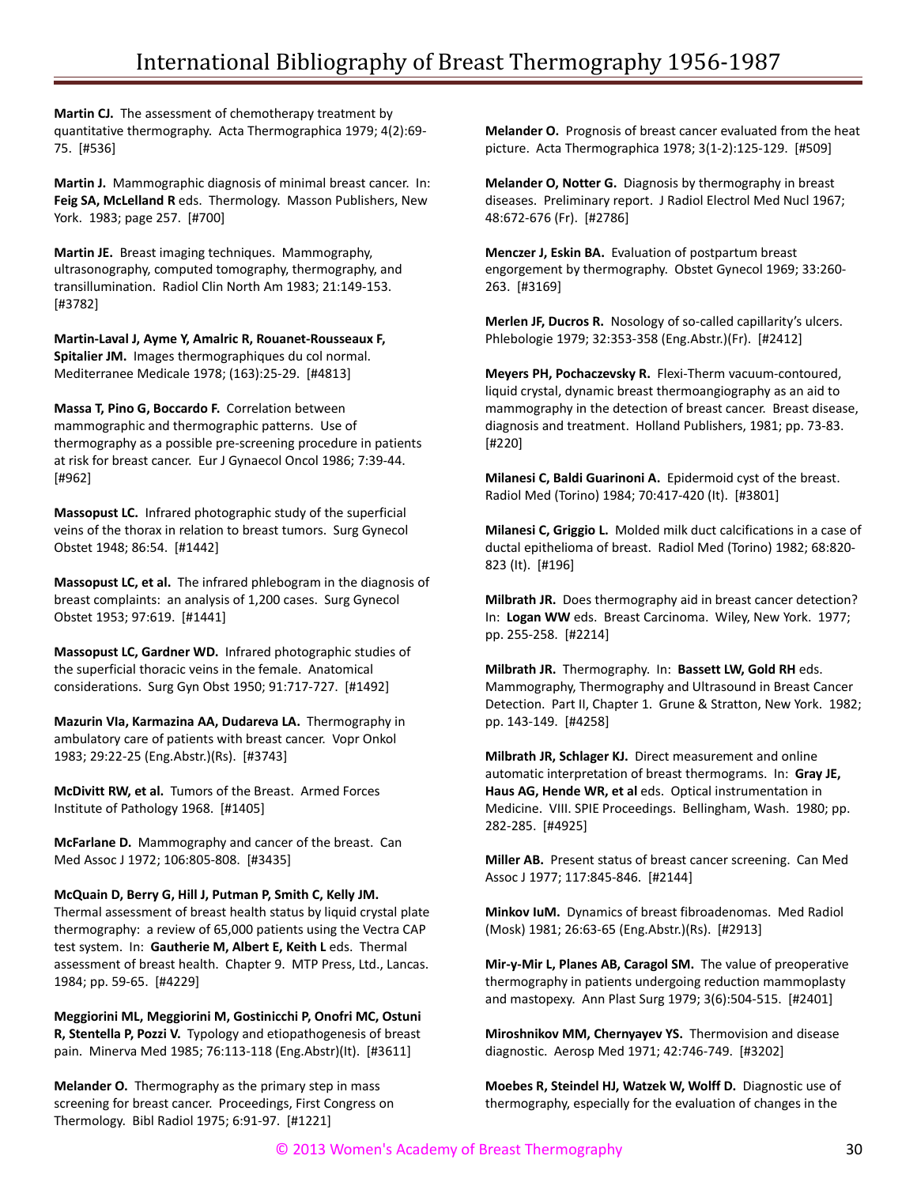**Martin CJ.** The assessment of chemotherapy treatment by quantitative thermography. Acta Thermographica 1979; 4(2):69- 75. [#536]

**Martin J.** Mammographic diagnosis of minimal breast cancer. In: **Feig SA, McLelland R** eds. Thermology. Masson Publishers, New York. 1983; page 257. [#700]

**Martin JE.** Breast imaging techniques. Mammography, ultrasonography, computed tomography, thermography, and transillumination. Radiol Clin North Am 1983; 21:149-153. [#3782]

**Martin-Laval J, Ayme Y, Amalric R, Rouanet-Rousseaux F, Spitalier JM.** Images thermographiques du col normal. Mediterranee Medicale 1978; (163):25-29. [#4813]

**Massa T, Pino G, Boccardo F.** Correlation between mammographic and thermographic patterns. Use of thermography as a possible pre-screening procedure in patients at risk for breast cancer. Eur J Gynaecol Oncol 1986; 7:39-44. [#962]

**Massopust LC.** Infrared photographic study of the superficial veins of the thorax in relation to breast tumors. Surg Gynecol Obstet 1948; 86:54. [#1442]

**Massopust LC, et al.** The infrared phlebogram in the diagnosis of breast complaints: an analysis of 1,200 cases. Surg Gynecol Obstet 1953; 97:619. [#1441]

**Massopust LC, Gardner WD.** Infrared photographic studies of the superficial thoracic veins in the female. Anatomical considerations. Surg Gyn Obst 1950; 91:717-727. [#1492]

**Mazurin VIa, Karmazina AA, Dudareva LA.** Thermography in ambulatory care of patients with breast cancer. Vopr Onkol 1983; 29:22-25 (Eng.Abstr.)(Rs). [#3743]

**McDivitt RW, et al.** Tumors of the Breast. Armed Forces Institute of Pathology 1968. [#1405]

**McFarlane D.** Mammography and cancer of the breast. Can Med Assoc J 1972; 106:805-808. [#3435]

**McQuain D, Berry G, Hill J, Putman P, Smith C, Kelly JM.** Thermal assessment of breast health status by liquid crystal plate thermography: a review of 65,000 patients using the Vectra CAP test system. In: **Gautherie M, Albert E, Keith L** eds. Thermal assessment of breast health. Chapter 9. MTP Press, Ltd., Lancas.

1984; pp. 59-65. [#4229]

**Meggiorini ML, Meggiorini M, Gostinicchi P, Onofri MC, Ostuni R, Stentella P, Pozzi V.** Typology and etiopathogenesis of breast pain. Minerva Med 1985; 76:113-118 (Eng.Abstr)(It). [#3611]

**Melander O.** Thermography as the primary step in mass screening for breast cancer. Proceedings, First Congress on Thermology. Bibl Radiol 1975; 6:91-97. [#1221]

**Melander O.** Prognosis of breast cancer evaluated from the heat picture. Acta Thermographica 1978; 3(1-2):125-129. [#509]

**Melander O, Notter G.** Diagnosis by thermography in breast diseases. Preliminary report. J Radiol Electrol Med Nucl 1967; 48:672-676 (Fr). [#2786]

**Menczer J, Eskin BA.** Evaluation of postpartum breast engorgement by thermography. Obstet Gynecol 1969; 33:260- 263. [#3169]

**Merlen JF, Ducros R.** Nosology of so-called capillarity's ulcers. Phlebologie 1979; 32:353-358 (Eng.Abstr.)(Fr). [#2412]

**Meyers PH, Pochaczevsky R.** Flexi-Therm vacuum-contoured, liquid crystal, dynamic breast thermoangiography as an aid to mammography in the detection of breast cancer. Breast disease, diagnosis and treatment. Holland Publishers, 1981; pp. 73-83. [#220]

**Milanesi C, Baldi Guarinoni A.** Epidermoid cyst of the breast. Radiol Med (Torino) 1984; 70:417-420 (It). [#3801]

**Milanesi C, Griggio L.** Molded milk duct calcifications in a case of ductal epithelioma of breast. Radiol Med (Torino) 1982; 68:820- 823 (It). [#196]

**Milbrath JR.** Does thermography aid in breast cancer detection? In: **Logan WW** eds. Breast Carcinoma. Wiley, New York. 1977; pp. 255-258. [#2214]

**Milbrath JR.** Thermography. In: **Bassett LW, Gold RH** eds. Mammography, Thermography and Ultrasound in Breast Cancer Detection. Part II, Chapter 1. Grune & Stratton, New York. 1982; pp. 143-149. [#4258]

**Milbrath JR, Schlager KJ.** Direct measurement and online automatic interpretation of breast thermograms. In: **Gray JE, Haus AG, Hende WR, et al** eds. Optical instrumentation in Medicine. VIII. SPIE Proceedings. Bellingham, Wash. 1980; pp. 282-285. [#4925]

**Miller AB.** Present status of breast cancer screening. Can Med Assoc J 1977; 117:845-846. [#2144]

**Minkov IuM.** Dynamics of breast fibroadenomas. Med Radiol (Mosk) 1981; 26:63-65 (Eng.Abstr.)(Rs). [#2913]

**Mir-y-Mir L, Planes AB, Caragol SM.** The value of preoperative thermography in patients undergoing reduction mammoplasty and mastopexy. Ann Plast Surg 1979; 3(6):504-515. [#2401]

**Miroshnikov MM, Chernyayev YS.** Thermovision and disease diagnostic. Aerosp Med 1971; 42:746-749. [#3202]

**Moebes R, Steindel HJ, Watzek W, Wolff D.** Diagnostic use of thermography, especially for the evaluation of changes in the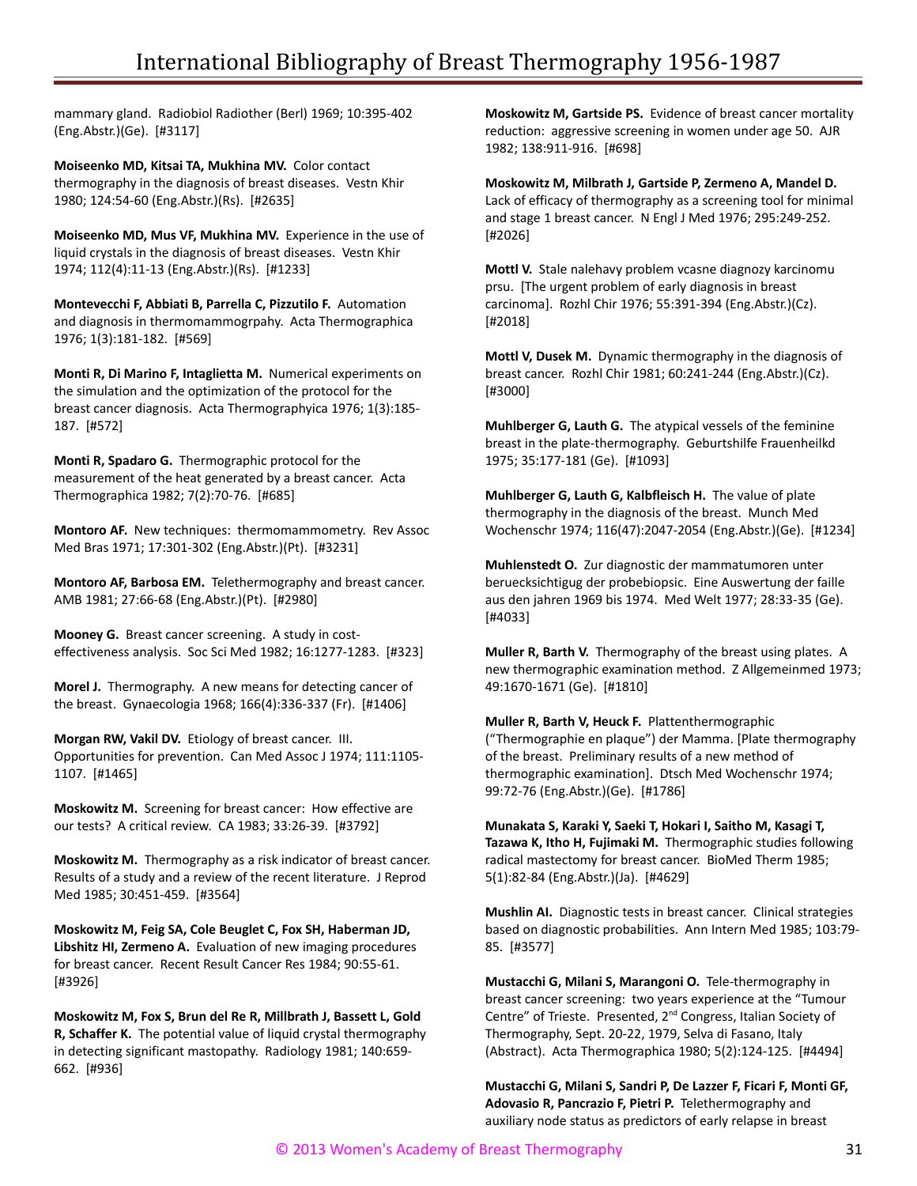mammary gland. Radiobiol Radiother (Berl) 1969; 10:395-402 (Eng.Abstr.)(Ge). [#3117]

**Moiseenko MD, Kitsai TA, Mukhina MV.** Color contact thermography in the diagnosis of breast diseases. Vestn Khir 1980; 124:54-60 (Eng.Abstr.)(Rs). [#2635]

**Moiseenko MD, Mus VF, Mukhina MV.** Experience in the use of liquid crystals in the diagnosis of breast diseases. Vestn Khir 1974; 112(4):11-13 (Eng.Abstr.)(Rs). [#1233]

**Montevecchi F, Abbiati B, Parrella C, Pizzutilo F.** Automation and diagnosis in thermomammogrpahy. Acta Thermographica 1976; 1(3):181-182. [#569]

**Monti R, Di Marino F, Intaglietta M.** Numerical experiments on the simulation and the optimization of the protocol for the breast cancer diagnosis. Acta Thermographyica 1976; 1(3):185- 187. [#572]

**Monti R, Spadaro G.** Thermographic protocol for the measurement of the heat generated by a breast cancer. Acta Thermographica 1982; 7(2):70-76. [#685]

**Montoro AF.** New techniques: thermomammometry. Rev Assoc Med Bras 1971; 17:301-302 (Eng.Abstr.)(Pt). [#3231]

**Montoro AF, Barbosa EM.** Telethermography and breast cancer. AMB 1981; 27:66-68 (Eng.Abstr.)(Pt). [#2980]

**Mooney G.** Breast cancer screening. A study in costeffectiveness analysis. Soc Sci Med 1982; 16:1277-1283. [#323]

**Morel J.** Thermography. A new means for detecting cancer of the breast. Gynaecologia 1968; 166(4):336-337 (Fr). [#1406]

**Morgan RW, Vakil DV.** Etiology of breast cancer. III. Opportunities for prevention. Can Med Assoc J 1974; 111:1105- 1107. [#1465]

**Moskowitz M.** Screening for breast cancer: How effective are our tests? A critical review. CA 1983; 33:26-39. [#3792]

**Moskowitz M.** Thermography as a risk indicator of breast cancer. Results of a study and a review of the recent literature. J Reprod Med 1985; 30:451-459. [#3564]

**Moskowitz M, Feig SA, Cole Beuglet C, Fox SH, Haberman JD, Libshitz HI, Zermeno A.** Evaluation of new imaging procedures for breast cancer. Recent Result Cancer Res 1984; 90:55-61. [#3926]

**Moskowitz M, Fox S, Brun del Re R, Millbrath J, Bassett L, Gold R, Schaffer K.** The potential value of liquid crystal thermography in detecting significant mastopathy. Radiology 1981; 140:659- 662. [#936]

**Moskowitz M, Gartside PS.** Evidence of breast cancer mortality reduction: aggressive screening in women under age 50. AJR 1982; 138:911-916. [#698]

**Moskowitz M, Milbrath J, Gartside P, Zermeno A, Mandel D.** Lack of efficacy of thermography as a screening tool for minimal and stage 1 breast cancer. N Engl J Med 1976; 295:249-252. [#2026]

**Mottl V.** Stale nalehavy problem vcasne diagnozy karcinomu prsu. [The urgent problem of early diagnosis in breast carcinoma]. Rozhl Chir 1976; 55:391-394 (Eng.Abstr.)(Cz). [#2018]

**Mottl V, Dusek M.** Dynamic thermography in the diagnosis of breast cancer. Rozhl Chir 1981; 60:241-244 (Eng.Abstr.)(Cz). [#3000]

**Muhlberger G, Lauth G.** The atypical vessels of the feminine breast in the plate-thermography. Geburtshilfe Frauenheilkd 1975; 35:177-181 (Ge). [#1093]

**Muhlberger G, Lauth G, Kalbfleisch H.** The value of plate thermography in the diagnosis of the breast. Munch Med Wochenschr 1974; 116(47):2047-2054 (Eng.Abstr.)(Ge). [#1234]

**Muhlenstedt O.** Zur diagnostic der mammatumoren unter beruecksichtigug der probebiopsic. Eine Auswertung der faille aus den jahren 1969 bis 1974. Med Welt 1977; 28:33-35 (Ge). [#4033]

**Muller R, Barth V.** Thermography of the breast using plates. A new thermographic examination method. Z Allgemeinmed 1973; 49:1670-1671 (Ge). [#1810]

**Muller R, Barth V, Heuck F.** Plattenthermographic ("Thermographie en plaque") der Mamma. [Plate thermography of the breast. Preliminary results of a new method of thermographic examination]. Dtsch Med Wochenschr 1974; 99:72-76 (Eng.Abstr.)(Ge). [#1786]

**Munakata S, Karaki Y, Saeki T, Hokari I, Saitho M, Kasagi T, Tazawa K, Itho H, Fujimaki M.** Thermographic studies following radical mastectomy for breast cancer. BioMed Therm 1985; 5(1):82-84 (Eng.Abstr.)(Ja). [#4629]

**Mushlin AI.** Diagnostic tests in breast cancer. Clinical strategies based on diagnostic probabilities. Ann Intern Med 1985; 103:79- 85. [#3577]

**Mustacchi G, Milani S, Marangoni O.** Tele-thermography in breast cancer screening: two years experience at the "Tumour Centre" of Trieste. Presented, 2<sup>nd</sup> Congress, Italian Society of Thermography, Sept. 20-22, 1979, Selva di Fasano, Italy (Abstract). Acta Thermographica 1980; 5(2):124-125. [#4494]

**Mustacchi G, Milani S, Sandri P, De Lazzer F, Ficari F, Monti GF, Adovasio R, Pancrazio F, Pietri P.** Telethermography and auxiliary node status as predictors of early relapse in breast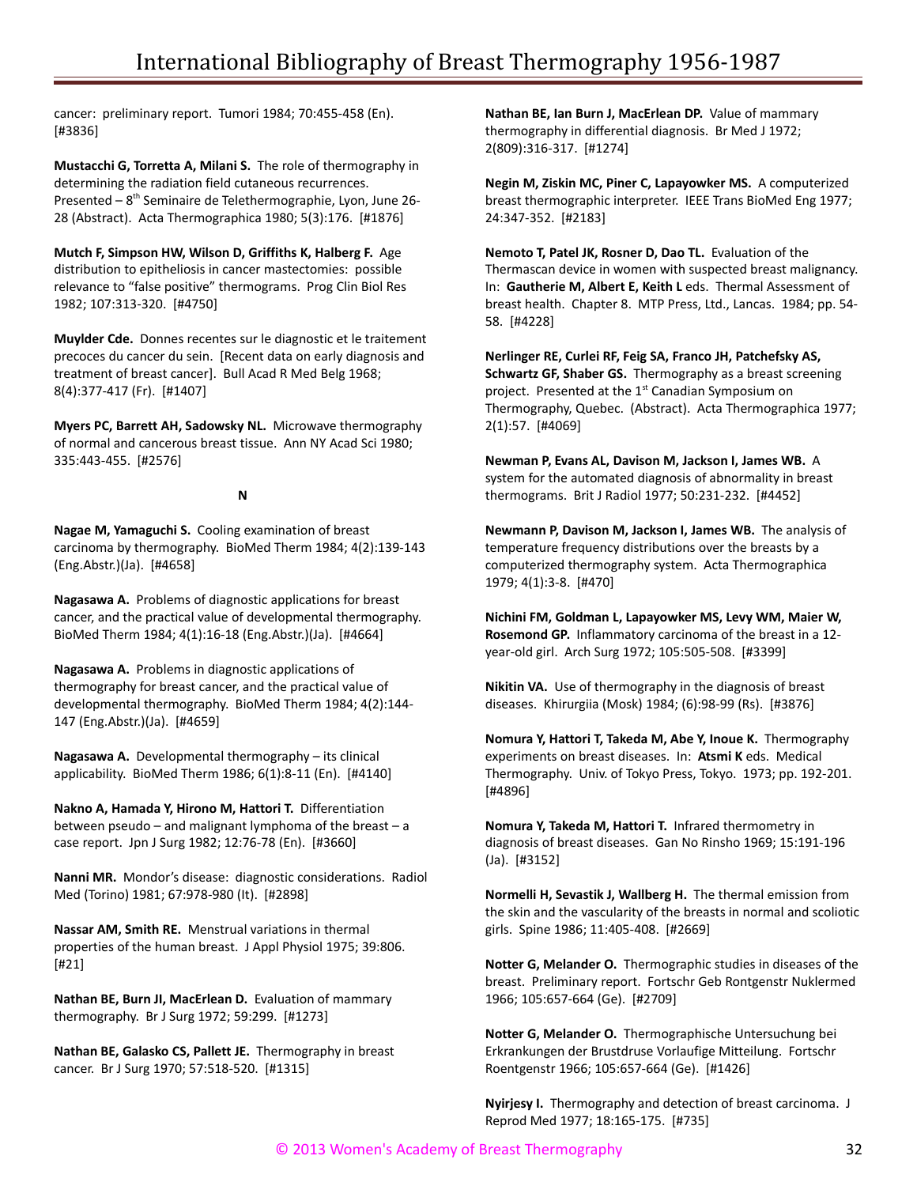cancer: preliminary report. Tumori 1984; 70:455-458 (En). [#3836]

**Mustacchi G, Torretta A, Milani S.** The role of thermography in determining the radiation field cutaneous recurrences. Presented – 8th Seminaire de Telethermographie, Lyon, June 26- 28 (Abstract). Acta Thermographica 1980; 5(3):176. [#1876]

**Mutch F, Simpson HW, Wilson D, Griffiths K, Halberg F.** Age distribution to epitheliosis in cancer mastectomies: possible relevance to "false positive" thermograms. Prog Clin Biol Res 1982; 107:313-320. [#4750]

**Muylder Cde.** Donnes recentes sur le diagnostic et le traitement precoces du cancer du sein. [Recent data on early diagnosis and treatment of breast cancer]. Bull Acad R Med Belg 1968; 8(4):377-417 (Fr). [#1407]

**Myers PC, Barrett AH, Sadowsky NL.** Microwave thermography of normal and cancerous breast tissue. Ann NY Acad Sci 1980; 335:443-455. [#2576]

**N**

**Nagae M, Yamaguchi S.** Cooling examination of breast carcinoma by thermography. BioMed Therm 1984; 4(2):139-143 (Eng.Abstr.)(Ja). [#4658]

**Nagasawa A.** Problems of diagnostic applications for breast cancer, and the practical value of developmental thermography. BioMed Therm 1984; 4(1):16-18 (Eng.Abstr.)(Ja). [#4664]

**Nagasawa A.** Problems in diagnostic applications of thermography for breast cancer, and the practical value of developmental thermography. BioMed Therm 1984; 4(2):144- 147 (Eng.Abstr.)(Ja). [#4659]

**Nagasawa A.** Developmental thermography – its clinical applicability. BioMed Therm 1986; 6(1):8-11 (En). [#4140]

**Nakno A, Hamada Y, Hirono M, Hattori T.** Differentiation between pseudo – and malignant lymphoma of the breast – a case report. Jpn J Surg 1982; 12:76-78 (En). [#3660]

**Nanni MR.** Mondor's disease: diagnostic considerations. Radiol Med (Torino) 1981; 67:978-980 (It). [#2898]

**Nassar AM, Smith RE.** Menstrual variations in thermal properties of the human breast. J Appl Physiol 1975; 39:806. [#21]

**Nathan BE, Burn JI, MacErlean D.** Evaluation of mammary thermography. Br J Surg 1972; 59:299. [#1273]

**Nathan BE, Galasko CS, Pallett JE.** Thermography in breast cancer. Br J Surg 1970; 57:518-520. [#1315]

**Nathan BE, Ian Burn J, MacErlean DP.** Value of mammary thermography in differential diagnosis. Br Med J 1972; 2(809):316-317. [#1274]

**Negin M, Ziskin MC, Piner C, Lapayowker MS.** A computerized breast thermographic interpreter. IEEE Trans BioMed Eng 1977; 24:347-352. [#2183]

**Nemoto T, Patel JK, Rosner D, Dao TL.** Evaluation of the Thermascan device in women with suspected breast malignancy. In: **Gautherie M, Albert E, Keith L** eds. Thermal Assessment of breast health. Chapter 8. MTP Press, Ltd., Lancas. 1984; pp. 54- 58. [#4228]

**Nerlinger RE, Curlei RF, Feig SA, Franco JH, Patchefsky AS, Schwartz GF, Shaber GS.** Thermography as a breast screening project. Presented at the  $1<sup>st</sup>$  Canadian Symposium on Thermography, Quebec. (Abstract). Acta Thermographica 1977; 2(1):57. [#4069]

**Newman P, Evans AL, Davison M, Jackson I, James WB.** A system for the automated diagnosis of abnormality in breast thermograms. Brit J Radiol 1977; 50:231-232. [#4452]

**Newmann P, Davison M, Jackson I, James WB.** The analysis of temperature frequency distributions over the breasts by a computerized thermography system. Acta Thermographica 1979; 4(1):3-8. [#470]

**Nichini FM, Goldman L, Lapayowker MS, Levy WM, Maier W, Rosemond GP.** Inflammatory carcinoma of the breast in a 12 year-old girl. Arch Surg 1972; 105:505-508. [#3399]

**Nikitin VA.** Use of thermography in the diagnosis of breast diseases. Khirurgiia (Mosk) 1984; (6):98-99 (Rs). [#3876]

**Nomura Y, Hattori T, Takeda M, Abe Y, Inoue K.** Thermography experiments on breast diseases. In: **Atsmi K** eds. Medical Thermography. Univ. of Tokyo Press, Tokyo. 1973; pp. 192-201. [#4896]

**Nomura Y, Takeda M, Hattori T.** Infrared thermometry in diagnosis of breast diseases. Gan No Rinsho 1969; 15:191-196 (Ja). [#3152]

**Normelli H, Sevastik J, Wallberg H.** The thermal emission from the skin and the vascularity of the breasts in normal and scoliotic girls. Spine 1986; 11:405-408. [#2669]

**Notter G, Melander O.** Thermographic studies in diseases of the breast. Preliminary report. Fortschr Geb Rontgenstr Nuklermed 1966; 105:657-664 (Ge). [#2709]

**Notter G, Melander O.** Thermographische Untersuchung bei Erkrankungen der Brustdruse Vorlaufige Mitteilung. Fortschr Roentgenstr 1966; 105:657-664 (Ge). [#1426]

**Nyirjesy I.** Thermography and detection of breast carcinoma. J Reprod Med 1977; 18:165-175. [#735]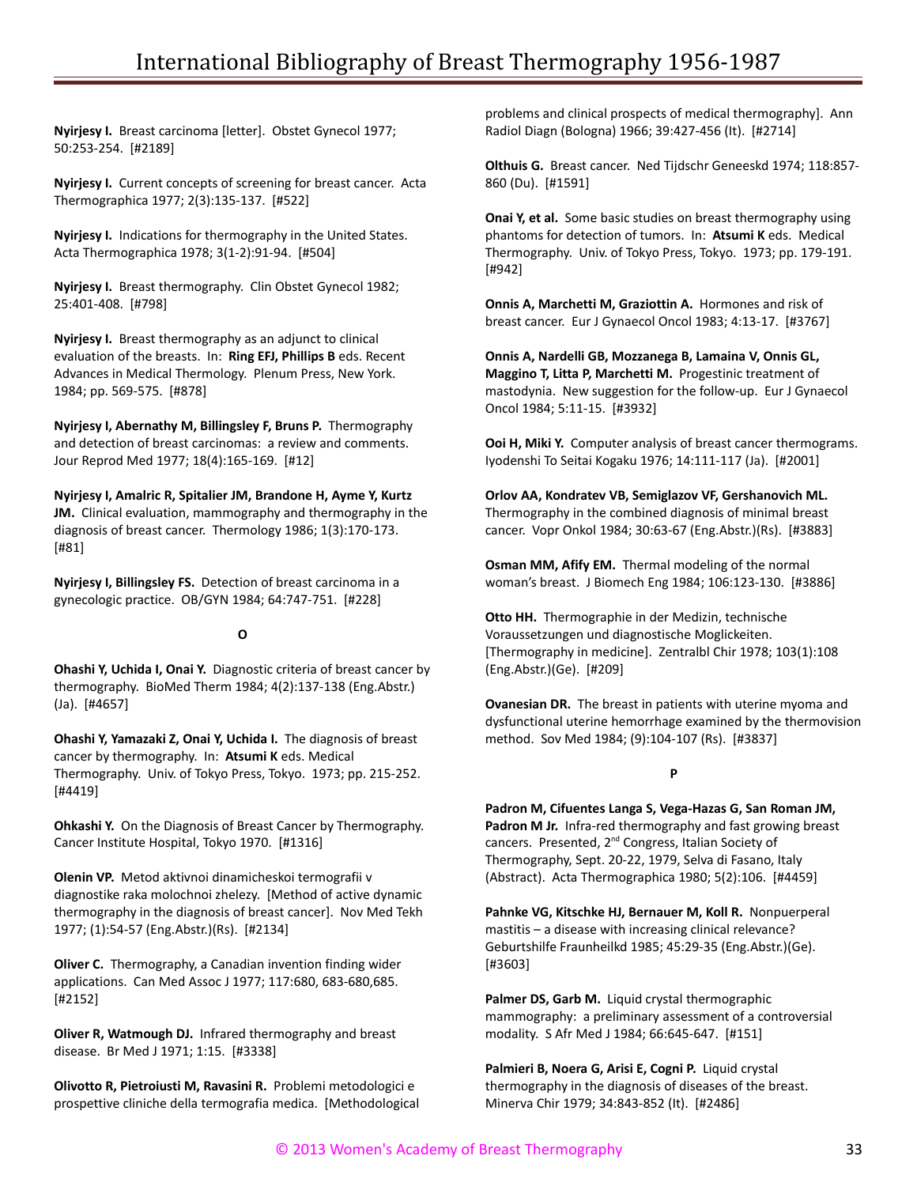**Nyirjesy I.** Breast carcinoma [letter]. Obstet Gynecol 1977; 50:253-254. [#2189]

**Nyirjesy I.** Current concepts of screening for breast cancer. Acta Thermographica 1977; 2(3):135-137. [#522]

**Nyirjesy I.** Indications for thermography in the United States. Acta Thermographica 1978; 3(1-2):91-94. [#504]

**Nyirjesy I.** Breast thermography. Clin Obstet Gynecol 1982; 25:401-408. [#798]

**Nyirjesy I.** Breast thermography as an adjunct to clinical evaluation of the breasts. In: **Ring EFJ, Phillips B** eds. Recent Advances in Medical Thermology. Plenum Press, New York. 1984; pp. 569-575. [#878]

**Nyirjesy I, Abernathy M, Billingsley F, Bruns P.** Thermography and detection of breast carcinomas: a review and comments. Jour Reprod Med 1977; 18(4):165-169. [#12]

**Nyirjesy I, Amalric R, Spitalier JM, Brandone H, Ayme Y, Kurtz JM.** Clinical evaluation, mammography and thermography in the diagnosis of breast cancer. Thermology 1986; 1(3):170-173. [#81]

**Nyirjesy I, Billingsley FS.** Detection of breast carcinoma in a gynecologic practice. OB/GYN 1984; 64:747-751. [#228]

## **O**

**Ohashi Y, Uchida I, Onai Y.** Diagnostic criteria of breast cancer by thermography. BioMed Therm 1984; 4(2):137-138 (Eng.Abstr.) (Ja). [#4657]

**Ohashi Y, Yamazaki Z, Onai Y, Uchida I.** The diagnosis of breast cancer by thermography. In: **Atsumi K** eds. Medical Thermography. Univ. of Tokyo Press, Tokyo. 1973; pp. 215-252. [#4419]

**Ohkashi Y.** On the Diagnosis of Breast Cancer by Thermography. Cancer Institute Hospital, Tokyo 1970. [#1316]

**Olenin VP.** Metod aktivnoi dinamicheskoi termografii v diagnostike raka molochnoi zhelezy. [Method of active dynamic thermography in the diagnosis of breast cancer]. Nov Med Tekh 1977; (1):54-57 (Eng.Abstr.)(Rs). [#2134]

**Oliver C.** Thermography, a Canadian invention finding wider applications. Can Med Assoc J 1977; 117:680, 683-680,685. [#2152]

**Oliver R, Watmough DJ.** Infrared thermography and breast disease. Br Med J 1971; 1:15. [#3338]

**Olivotto R, Pietroiusti M, Ravasini R.** Problemi metodologici e prospettive cliniche della termografia medica. [Methodological problems and clinical prospects of medical thermography]. Ann Radiol Diagn (Bologna) 1966; 39:427-456 (It). [#2714]

**Olthuis G.** Breast cancer. Ned Tijdschr Geneeskd 1974; 118:857- 860 (Du). [#1591]

**Onai Y, et al.** Some basic studies on breast thermography using phantoms for detection of tumors. In: **Atsumi K** eds. Medical Thermography. Univ. of Tokyo Press, Tokyo. 1973; pp. 179-191. [#942]

**Onnis A, Marchetti M, Graziottin A.** Hormones and risk of breast cancer. Eur J Gynaecol Oncol 1983; 4:13-17. [#3767]

**Onnis A, Nardelli GB, Mozzanega B, Lamaina V, Onnis GL, Maggino T, Litta P, Marchetti M.** Progestinic treatment of mastodynia. New suggestion for the follow-up. Eur J Gynaecol Oncol 1984; 5:11-15. [#3932]

**Ooi H, Miki Y.** Computer analysis of breast cancer thermograms. Iyodenshi To Seitai Kogaku 1976; 14:111-117 (Ja). [#2001]

**Orlov AA, Kondratev VB, Semiglazov VF, Gershanovich ML.** Thermography in the combined diagnosis of minimal breast cancer. Vopr Onkol 1984; 30:63-67 (Eng.Abstr.)(Rs). [#3883]

**Osman MM, Afify EM.** Thermal modeling of the normal woman's breast. J Biomech Eng 1984; 106:123-130. [#3886]

**Otto HH.** Thermographie in der Medizin, technische Voraussetzungen und diagnostische Moglickeiten. [Thermography in medicine]. Zentralbl Chir 1978; 103(1):108 (Eng.Abstr.)(Ge). [#209]

**Ovanesian DR.** The breast in patients with uterine myoma and dysfunctional uterine hemorrhage examined by the thermovision method. Sov Med 1984; (9):104-107 (Rs). [#3837]

## **P**

**Padron M, Cifuentes Langa S, Vega-Hazas G, San Roman JM,** Padron M Jr. Infra-red thermography and fast growing breast cancers. Presented, 2<sup>nd</sup> Congress, Italian Society of Thermography, Sept. 20-22, 1979, Selva di Fasano, Italy (Abstract). Acta Thermographica 1980; 5(2):106. [#4459]

**Pahnke VG, Kitschke HJ, Bernauer M, Koll R.** Nonpuerperal mastitis – a disease with increasing clinical relevance? Geburtshilfe Fraunheilkd 1985; 45:29-35 (Eng.Abstr.)(Ge). [#3603]

**Palmer DS, Garb M.** Liquid crystal thermographic mammography: a preliminary assessment of a controversial modality. S Afr Med J 1984; 66:645-647. [#151]

**Palmieri B, Noera G, Arisi E, Cogni P.** Liquid crystal thermography in the diagnosis of diseases of the breast. Minerva Chir 1979; 34:843-852 (It). [#2486]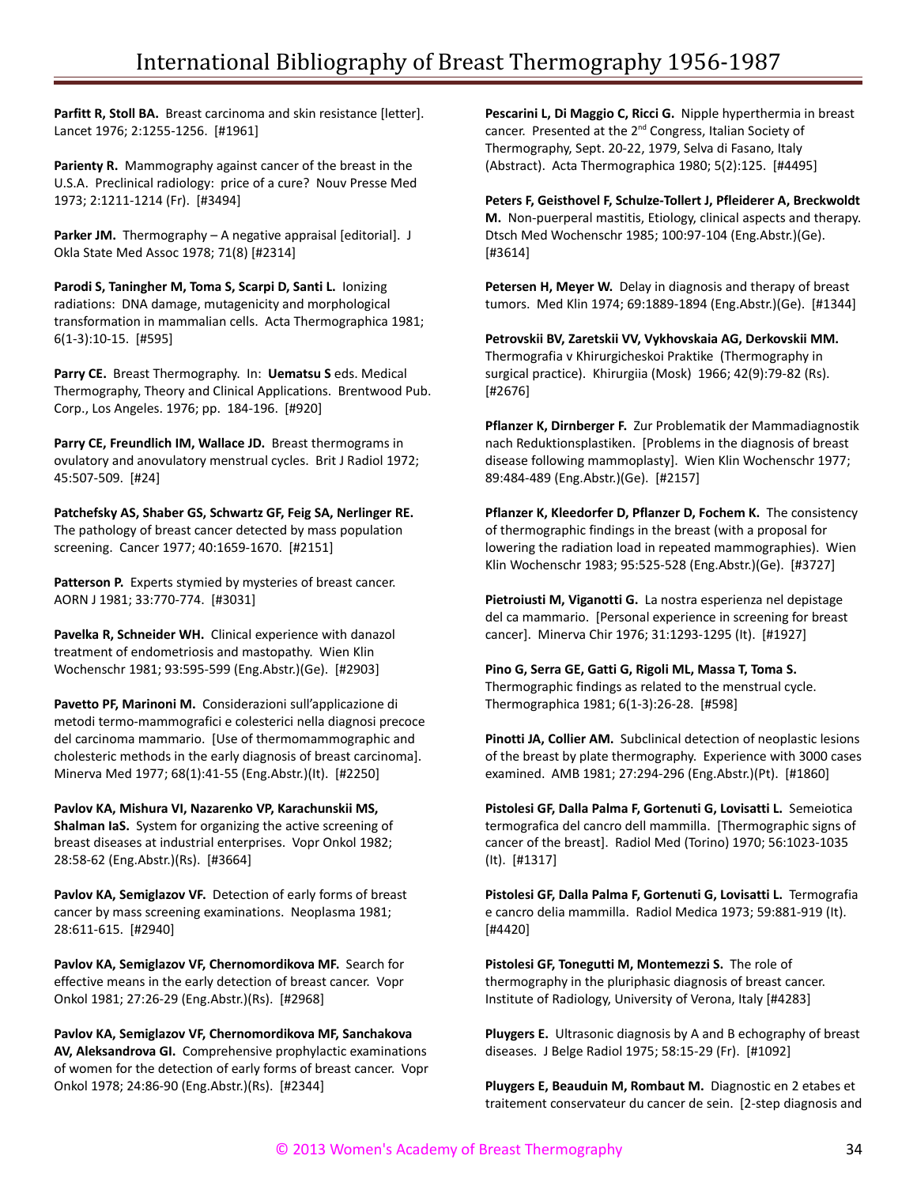Parfitt R, Stoll BA. Breast carcinoma and skin resistance [letter]. Lancet 1976; 2:1255-1256. [#1961]

Parienty R. Mammography against cancer of the breast in the U.S.A. Preclinical radiology: price of a cure? Nouv Presse Med 1973; 2:1211-1214 (Fr). [#3494]

Parker JM. Thermography - A negative appraisal [editorial]. J Okla State Med Assoc 1978; 71(8) [#2314]

**Parodi S, Taningher M, Toma S, Scarpi D, Santi L.** Ionizing radiations: DNA damage, mutagenicity and morphological transformation in mammalian cells. Acta Thermographica 1981; 6(1-3):10-15. [#595]

**Parry CE.** Breast Thermography. In: **Uematsu S** eds. Medical Thermography, Theory and Clinical Applications. Brentwood Pub. Corp., Los Angeles. 1976; pp. 184-196. [#920]

**Parry CE, Freundlich IM, Wallace JD.** Breast thermograms in ovulatory and anovulatory menstrual cycles. Brit J Radiol 1972; 45:507-509. [#24]

**Patchefsky AS, Shaber GS, Schwartz GF, Feig SA, Nerlinger RE.** The pathology of breast cancer detected by mass population screening. Cancer 1977; 40:1659-1670. [#2151]

**Patterson P.** Experts stymied by mysteries of breast cancer. AORN J 1981; 33:770-774. [#3031]

**Pavelka R, Schneider WH.** Clinical experience with danazol treatment of endometriosis and mastopathy. Wien Klin Wochenschr 1981; 93:595-599 (Eng.Abstr.)(Ge). [#2903]

**Pavetto PF, Marinoni M.** Considerazioni sull'applicazione di metodi termo-mammografici e colesterici nella diagnosi precoce del carcinoma mammario. [Use of thermomammographic and cholesteric methods in the early diagnosis of breast carcinoma]. Minerva Med 1977; 68(1):41-55 (Eng.Abstr.)(It). [#2250]

**Pavlov KA, Mishura VI, Nazarenko VP, Karachunskii MS, Shalman IaS.** System for organizing the active screening of breast diseases at industrial enterprises. Vopr Onkol 1982; 28:58-62 (Eng.Abstr.)(Rs). [#3664]

**Pavlov KA, Semiglazov VF.** Detection of early forms of breast cancer by mass screening examinations. Neoplasma 1981; 28:611-615. [#2940]

**Pavlov KA, Semiglazov VF, Chernomordikova MF.** Search for effective means in the early detection of breast cancer. Vopr Onkol 1981; 27:26-29 (Eng.Abstr.)(Rs). [#2968]

**Pavlov KA, Semiglazov VF, Chernomordikova MF, Sanchakova AV, Aleksandrova GI.** Comprehensive prophylactic examinations of women for the detection of early forms of breast cancer. Vopr Onkol 1978; 24:86-90 (Eng.Abstr.)(Rs). [#2344]

**Pescarini L, Di Maggio C, Ricci G.** Nipple hyperthermia in breast cancer. Presented at the 2<sup>nd</sup> Congress, Italian Society of Thermography, Sept. 20-22, 1979, Selva di Fasano, Italy (Abstract). Acta Thermographica 1980; 5(2):125. [#4495]

**Peters F, Geisthovel F, Schulze-Tollert J, Pfleiderer A, Breckwoldt M.** Non-puerperal mastitis, Etiology, clinical aspects and therapy. Dtsch Med Wochenschr 1985; 100:97-104 (Eng.Abstr.)(Ge). [#3614]

**Petersen H, Meyer W.** Delay in diagnosis and therapy of breast tumors. Med Klin 1974; 69:1889-1894 (Eng.Abstr.)(Ge). [#1344]

**Petrovskii BV, Zaretskii VV, Vykhovskaia AG, Derkovskii MM.** Thermografia v Khirurgicheskoi Praktike (Thermography in surgical practice). Khirurgiia (Mosk) 1966; 42(9):79-82 (Rs). [#2676]

**Pflanzer K, Dirnberger F.** Zur Problematik der Mammadiagnostik nach Reduktionsplastiken. [Problems in the diagnosis of breast disease following mammoplasty]. Wien Klin Wochenschr 1977; 89:484-489 (Eng.Abstr.)(Ge). [#2157]

**Pflanzer K, Kleedorfer D, Pflanzer D, Fochem K.** The consistency of thermographic findings in the breast (with a proposal for lowering the radiation load in repeated mammographies). Wien Klin Wochenschr 1983; 95:525-528 (Eng.Abstr.)(Ge). [#3727]

**Pietroiusti M, Viganotti G.** La nostra esperienza nel depistage del ca mammario. [Personal experience in screening for breast cancer]. Minerva Chir 1976; 31:1293-1295 (It). [#1927]

**Pino G, Serra GE, Gatti G, Rigoli ML, Massa T, Toma S.** Thermographic findings as related to the menstrual cycle. Thermographica 1981; 6(1-3):26-28. [#598]

**Pinotti JA, Collier AM.** Subclinical detection of neoplastic lesions of the breast by plate thermography. Experience with 3000 cases examined. AMB 1981; 27:294-296 (Eng.Abstr.)(Pt). [#1860]

**Pistolesi GF, Dalla Palma F, Gortenuti G, Lovisatti L.** Semeiotica termografica del cancro dell mammilla. [Thermographic signs of cancer of the breast]. Radiol Med (Torino) 1970; 56:1023-1035 (It). [#1317]

**Pistolesi GF, Dalla Palma F, Gortenuti G, Lovisatti L.** Termografia e cancro delia mammilla. Radiol Medica 1973; 59:881-919 (It). [#4420]

**Pistolesi GF, Tonegutti M, Montemezzi S.** The role of thermography in the pluriphasic diagnosis of breast cancer. Institute of Radiology, University of Verona, Italy [#4283]

**Pluygers E.** Ultrasonic diagnosis by A and B echography of breast diseases. J Belge Radiol 1975; 58:15-29 (Fr). [#1092]

**Pluygers E, Beauduin M, Rombaut M.** Diagnostic en 2 etabes et traitement conservateur du cancer de sein. [2-step diagnosis and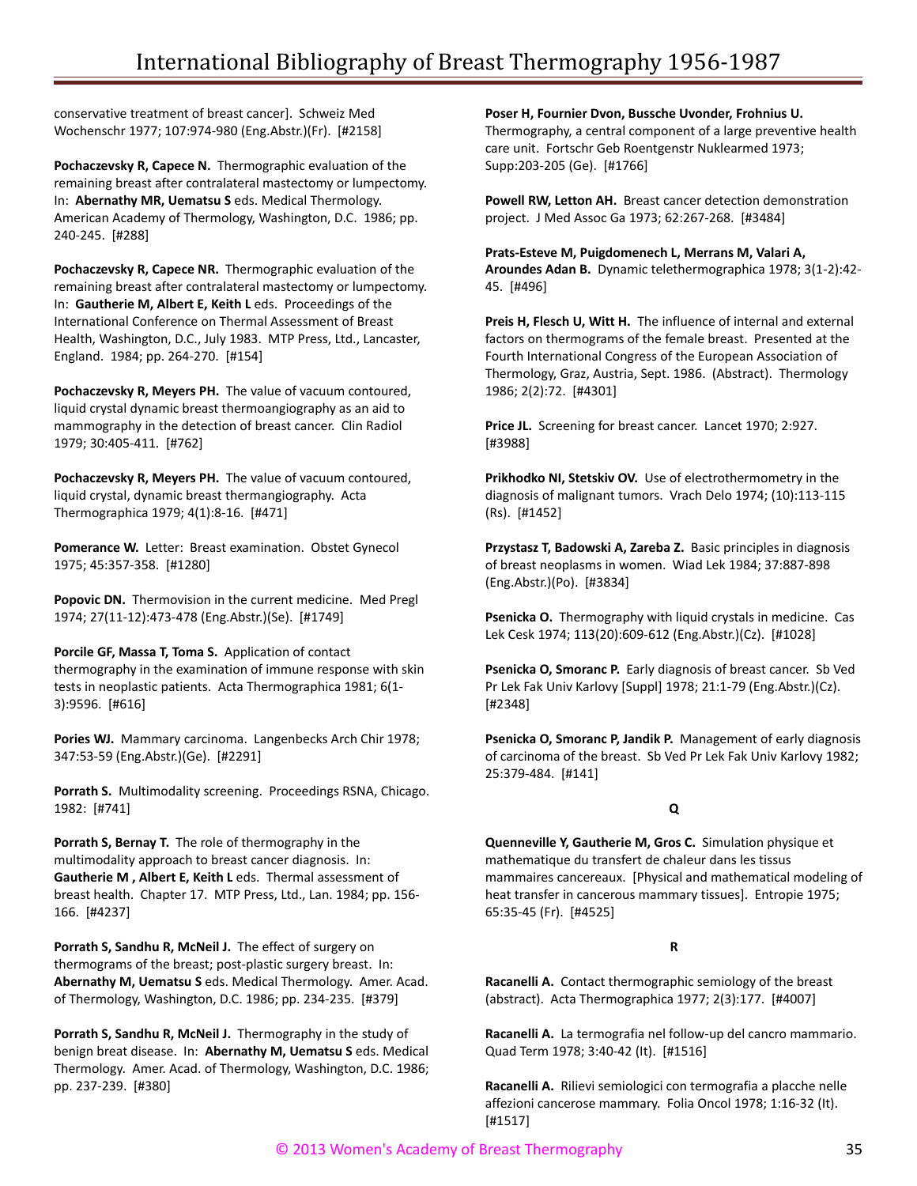conservative treatment of breast cancer]. Schweiz Med Wochenschr 1977; 107:974-980 (Eng.Abstr.)(Fr). [#2158]

**Pochaczevsky R, Capece N.** Thermographic evaluation of the remaining breast after contralateral mastectomy or lumpectomy. In: **Abernathy MR, Uematsu S** eds. Medical Thermology. American Academy of Thermology, Washington, D.C. 1986; pp. 240-245. [#288]

**Pochaczevsky R, Capece NR.** Thermographic evaluation of the remaining breast after contralateral mastectomy or lumpectomy. In: **Gautherie M, Albert E, Keith L** eds. Proceedings of the International Conference on Thermal Assessment of Breast Health, Washington, D.C., July 1983. MTP Press, Ltd., Lancaster, England. 1984; pp. 264-270. [#154]

**Pochaczevsky R, Meyers PH.** The value of vacuum contoured, liquid crystal dynamic breast thermoangiography as an aid to mammography in the detection of breast cancer. Clin Radiol 1979; 30:405-411. [#762]

**Pochaczevsky R, Meyers PH.** The value of vacuum contoured, liquid crystal, dynamic breast thermangiography. Acta Thermographica 1979; 4(1):8-16. [#471]

**Pomerance W.** Letter: Breast examination. Obstet Gynecol 1975; 45:357-358. [#1280]

**Popovic DN.** Thermovision in the current medicine. Med Pregl 1974; 27(11-12):473-478 (Eng.Abstr.)(Se). [#1749]

**Porcile GF, Massa T, Toma S.** Application of contact thermography in the examination of immune response with skin tests in neoplastic patients. Acta Thermographica 1981; 6(1- 3):9596. [#616]

**Pories WJ.** Mammary carcinoma. Langenbecks Arch Chir 1978; 347:53-59 (Eng.Abstr.)(Ge). [#2291]

**Porrath S.** Multimodality screening. Proceedings RSNA, Chicago. 1982: [#741]

**Porrath S, Bernay T.** The role of thermography in the multimodality approach to breast cancer diagnosis. In: **Gautherie M , Albert E, Keith L** eds. Thermal assessment of breast health. Chapter 17. MTP Press, Ltd., Lan. 1984; pp. 156- 166. [#4237]

**Porrath S, Sandhu R, McNeil J.** The effect of surgery on thermograms of the breast; post-plastic surgery breast. In: **Abernathy M, Uematsu S** eds. Medical Thermology. Amer. Acad. of Thermology, Washington, D.C. 1986; pp. 234-235. [#379]

**Porrath S, Sandhu R, McNeil J.** Thermography in the study of benign breat disease. In: **Abernathy M, Uematsu S** eds. Medical Thermology. Amer. Acad. of Thermology, Washington, D.C. 1986; pp. 237-239. [#380]

**Poser H, Fournier Dvon, Bussche Uvonder, Frohnius U.** Thermography, a central component of a large preventive health care unit. Fortschr Geb Roentgenstr Nuklearmed 1973; Supp:203-205 (Ge). [#1766]

**Powell RW, Letton AH.** Breast cancer detection demonstration project. J Med Assoc Ga 1973; 62:267-268. [#3484]

**Prats-Esteve M, Puigdomenech L, Merrans M, Valari A, Aroundes Adan B.** Dynamic telethermographica 1978; 3(1-2):42- 45. [#496]

**Preis H, Flesch U, Witt H.** The influence of internal and external factors on thermograms of the female breast. Presented at the Fourth International Congress of the European Association of Thermology, Graz, Austria, Sept. 1986. (Abstract). Thermology 1986; 2(2):72. [#4301]

**Price JL.** Screening for breast cancer. Lancet 1970; 2:927. [#3988]

**Prikhodko NI, Stetskiv OV.** Use of electrothermometry in the diagnosis of malignant tumors. Vrach Delo 1974; (10):113-115 (Rs). [#1452]

**Przystasz T, Badowski A, Zareba Z.** Basic principles in diagnosis of breast neoplasms in women. Wiad Lek 1984; 37:887-898 (Eng.Abstr.)(Po). [#3834]

**Psenicka O.** Thermography with liquid crystals in medicine. Cas Lek Cesk 1974; 113(20):609-612 (Eng.Abstr.)(Cz). [#1028]

Psenicka O, Smoranc P. Early diagnosis of breast cancer. Sb Ved Pr Lek Fak Univ Karlovy [Suppl] 1978; 21:1-79 (Eng.Abstr.)(Cz). [#2348]

**Psenicka O, Smoranc P, Jandik P.** Management of early diagnosis of carcinoma of the breast. Sb Ved Pr Lek Fak Univ Karlovy 1982; 25:379-484. [#141]

# **Q**

**Quenneville Y, Gautherie M, Gros C.** Simulation physique et mathematique du transfert de chaleur dans les tissus mammaires cancereaux. [Physical and mathematical modeling of heat transfer in cancerous mammary tissues]. Entropie 1975; 65:35-45 (Fr). [#4525]

# **R**

**Racanelli A.** Contact thermographic semiology of the breast (abstract). Acta Thermographica 1977; 2(3):177. [#4007]

**Racanelli A.** La termografia nel follow-up del cancro mammario. Quad Term 1978; 3:40-42 (It). [#1516]

**Racanelli A.** Rilievi semiologici con termografia a placche nelle affezioni cancerose mammary. Folia Oncol 1978; 1:16-32 (It). [#1517]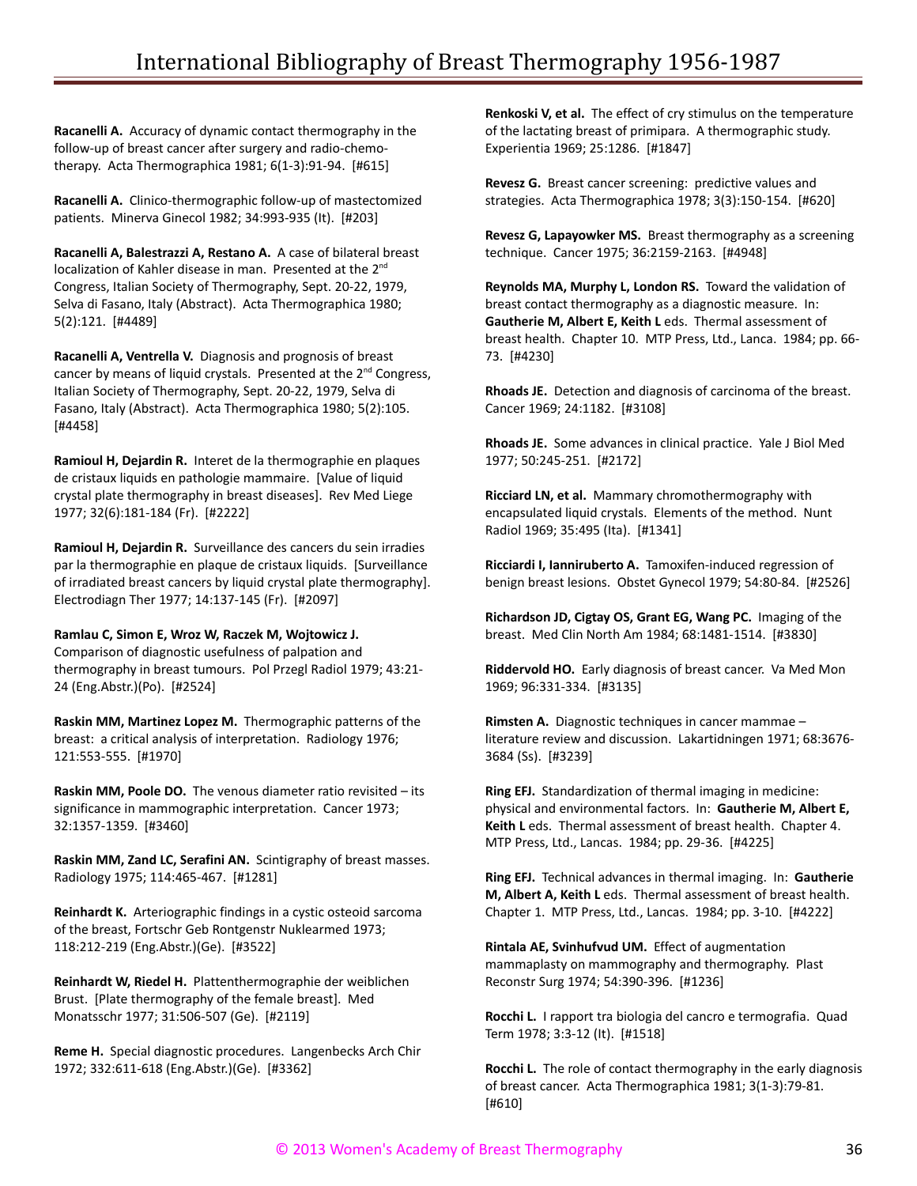**Racanelli A.** Accuracy of dynamic contact thermography in the follow-up of breast cancer after surgery and radio-chemotherapy. Acta Thermographica 1981; 6(1-3):91-94. [#615]

**Racanelli A.** Clinico-thermographic follow-up of mastectomized patients. Minerva Ginecol 1982; 34:993-935 (It). [#203]

**Racanelli A, Balestrazzi A, Restano A.** A case of bilateral breast localization of Kahler disease in man. Presented at the 2<sup>nd</sup> Congress, Italian Society of Thermography, Sept. 20-22, 1979, Selva di Fasano, Italy (Abstract). Acta Thermographica 1980; 5(2):121. [#4489]

**Racanelli A, Ventrella V.** Diagnosis and prognosis of breast cancer by means of liquid crystals. Presented at the  $2^{nd}$  Congress, Italian Society of Thermography, Sept. 20-22, 1979, Selva di Fasano, Italy (Abstract). Acta Thermographica 1980; 5(2):105. [#4458]

**Ramioul H, Dejardin R.** Interet de la thermographie en plaques de cristaux liquids en pathologie mammaire. [Value of liquid crystal plate thermography in breast diseases]. Rev Med Liege 1977; 32(6):181-184 (Fr). [#2222]

**Ramioul H, Dejardin R.** Surveillance des cancers du sein irradies par la thermographie en plaque de cristaux liquids. [Surveillance of irradiated breast cancers by liquid crystal plate thermography]. Electrodiagn Ther 1977; 14:137-145 (Fr). [#2097]

**Ramlau C, Simon E, Wroz W, Raczek M, Wojtowicz J.**

Comparison of diagnostic usefulness of palpation and thermography in breast tumours. Pol Przegl Radiol 1979; 43:21- 24 (Eng.Abstr.)(Po). [#2524]

**Raskin MM, Martinez Lopez M.** Thermographic patterns of the breast: a critical analysis of interpretation. Radiology 1976; 121:553-555. [#1970]

**Raskin MM, Poole DO.** The venous diameter ratio revisited – its significance in mammographic interpretation. Cancer 1973; 32:1357-1359. [#3460]

**Raskin MM, Zand LC, Serafini AN.** Scintigraphy of breast masses. Radiology 1975; 114:465-467. [#1281]

**Reinhardt K.** Arteriographic findings in a cystic osteoid sarcoma of the breast, Fortschr Geb Rontgenstr Nuklearmed 1973; 118:212-219 (Eng.Abstr.)(Ge). [#3522]

**Reinhardt W, Riedel H.** Plattenthermographie der weiblichen Brust. [Plate thermography of the female breast]. Med Monatsschr 1977; 31:506-507 (Ge). [#2119]

**Reme H.** Special diagnostic procedures. Langenbecks Arch Chir 1972; 332:611-618 (Eng.Abstr.)(Ge). [#3362]

**Renkoski V, et al.** The effect of cry stimulus on the temperature of the lactating breast of primipara. A thermographic study. Experientia 1969; 25:1286. [#1847]

**Revesz G.** Breast cancer screening: predictive values and strategies. Acta Thermographica 1978; 3(3):150-154. [#620]

**Revesz G, Lapayowker MS.** Breast thermography as a screening technique. Cancer 1975; 36:2159-2163. [#4948]

**Reynolds MA, Murphy L, London RS.** Toward the validation of breast contact thermography as a diagnostic measure. In: **Gautherie M, Albert E, Keith L** eds. Thermal assessment of breast health. Chapter 10. MTP Press, Ltd., Lanca. 1984; pp. 66- 73. [#4230]

**Rhoads JE.** Detection and diagnosis of carcinoma of the breast. Cancer 1969; 24:1182. [#3108]

**Rhoads JE.** Some advances in clinical practice. Yale J Biol Med 1977; 50:245-251. [#2172]

**Ricciard LN, et al.** Mammary chromothermography with encapsulated liquid crystals. Elements of the method. Nunt Radiol 1969; 35:495 (Ita). [#1341]

**Ricciardi I, Ianniruberto A.** Tamoxifen-induced regression of benign breast lesions. Obstet Gynecol 1979; 54:80-84. [#2526]

**Richardson JD, Cigtay OS, Grant EG, Wang PC.** Imaging of the breast. Med Clin North Am 1984; 68:1481-1514. [#3830]

**Riddervold HO.** Early diagnosis of breast cancer. Va Med Mon 1969; 96:331-334. [#3135]

**Rimsten A.** Diagnostic techniques in cancer mammae – literature review and discussion. Lakartidningen 1971; 68:3676- 3684 (Ss). [#3239]

**Ring EFJ.** Standardization of thermal imaging in medicine: physical and environmental factors. In: **Gautherie M, Albert E, Keith L** eds. Thermal assessment of breast health. Chapter 4. MTP Press, Ltd., Lancas. 1984; pp. 29-36. [#4225]

**Ring EFJ.** Technical advances in thermal imaging. In: **Gautherie M, Albert A, Keith L** eds. Thermal assessment of breast health. Chapter 1. MTP Press, Ltd., Lancas. 1984; pp. 3-10. [#4222]

**Rintala AE, Svinhufvud UM.** Effect of augmentation mammaplasty on mammography and thermography. Plast Reconstr Surg 1974; 54:390-396. [#1236]

**Rocchi L.** I rapport tra biologia del cancro e termografia. Quad Term 1978; 3:3-12 (It). [#1518]

**Rocchi L.** The role of contact thermography in the early diagnosis of breast cancer. Acta Thermographica 1981; 3(1-3):79-81. [#610]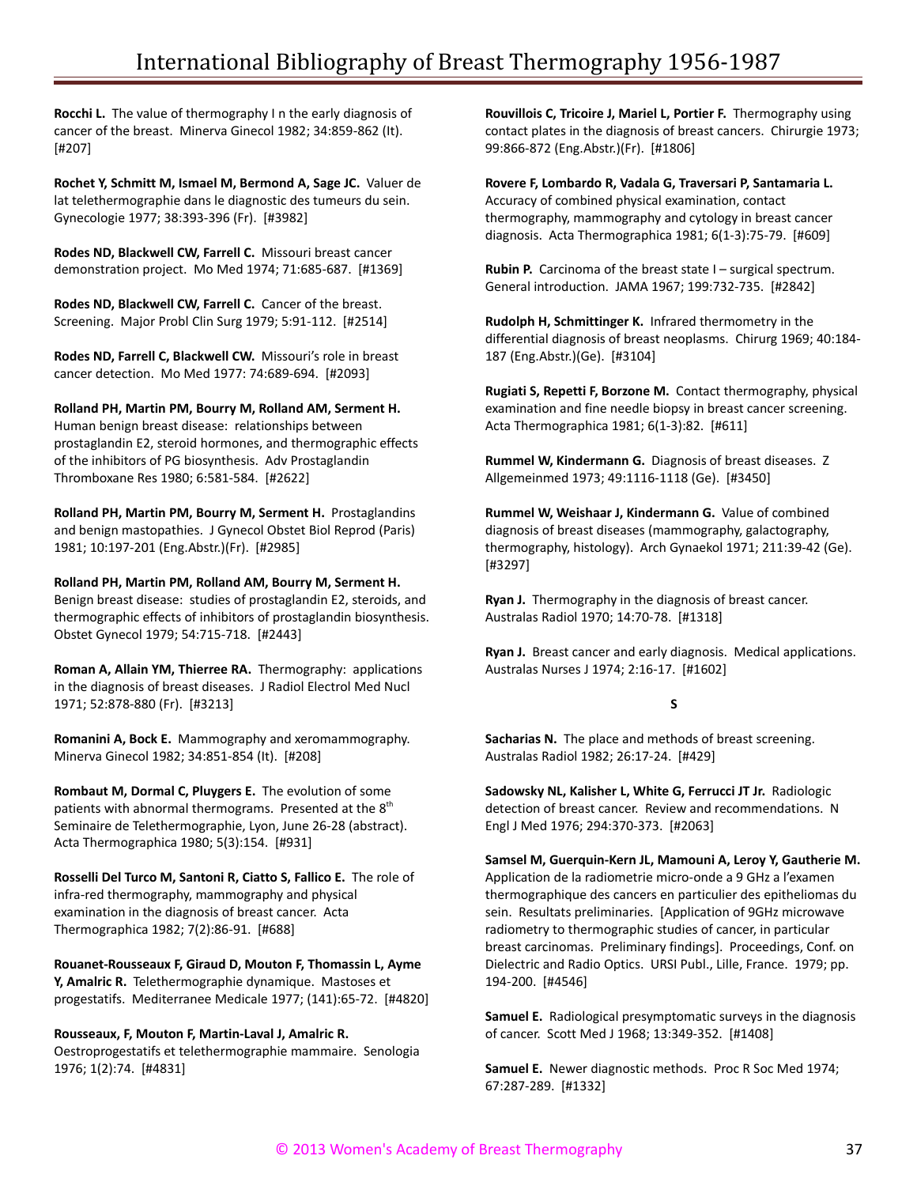**Rocchi L.** The value of thermography I n the early diagnosis of cancer of the breast. Minerva Ginecol 1982; 34:859-862 (It). [#207]

**Rochet Y, Schmitt M, Ismael M, Bermond A, Sage JC.** Valuer de lat telethermographie dans le diagnostic des tumeurs du sein. Gynecologie 1977; 38:393-396 (Fr). [#3982]

**Rodes ND, Blackwell CW, Farrell C.** Missouri breast cancer demonstration project. Mo Med 1974; 71:685-687. [#1369]

**Rodes ND, Blackwell CW, Farrell C.** Cancer of the breast. Screening. Major Probl Clin Surg 1979; 5:91-112. [#2514]

**Rodes ND, Farrell C, Blackwell CW.** Missouri's role in breast cancer detection. Mo Med 1977: 74:689-694. [#2093]

**Rolland PH, Martin PM, Bourry M, Rolland AM, Serment H.** Human benign breast disease: relationships between prostaglandin E2, steroid hormones, and thermographic effects of the inhibitors of PG biosynthesis. Adv Prostaglandin Thromboxane Res 1980; 6:581-584. [#2622]

**Rolland PH, Martin PM, Bourry M, Serment H.** Prostaglandins and benign mastopathies. J Gynecol Obstet Biol Reprod (Paris) 1981; 10:197-201 (Eng.Abstr.)(Fr). [#2985]

**Rolland PH, Martin PM, Rolland AM, Bourry M, Serment H.**

Benign breast disease: studies of prostaglandin E2, steroids, and thermographic effects of inhibitors of prostaglandin biosynthesis. Obstet Gynecol 1979; 54:715-718. [#2443]

**Roman A, Allain YM, Thierree RA.** Thermography: applications in the diagnosis of breast diseases. J Radiol Electrol Med Nucl 1971; 52:878-880 (Fr). [#3213]

**Romanini A, Bock E.** Mammography and xeromammography. Minerva Ginecol 1982; 34:851-854 (It). [#208]

**Rombaut M, Dormal C, Pluygers E.** The evolution of some patients with abnormal thermograms. Presented at the 8<sup>th</sup> Seminaire de Telethermographie, Lyon, June 26-28 (abstract). Acta Thermographica 1980; 5(3):154. [#931]

**Rosselli Del Turco M, Santoni R, Ciatto S, Fallico E.** The role of infra-red thermography, mammography and physical examination in the diagnosis of breast cancer. Acta Thermographica 1982; 7(2):86-91. [#688]

**Rouanet-Rousseaux F, Giraud D, Mouton F, Thomassin L, Ayme Y, Amalric R.** Telethermographie dynamique. Mastoses et progestatifs. Mediterranee Medicale 1977; (141):65-72. [#4820]

## **Rousseaux, F, Mouton F, Martin-Laval J, Amalric R.**

Oestroprogestatifs et telethermographie mammaire. Senologia 1976; 1(2):74. [#4831]

**Rouvillois C, Tricoire J, Mariel L, Portier F.** Thermography using contact plates in the diagnosis of breast cancers. Chirurgie 1973; 99:866-872 (Eng.Abstr.)(Fr). [#1806]

**Rovere F, Lombardo R, Vadala G, Traversari P, Santamaria L.** Accuracy of combined physical examination, contact thermography, mammography and cytology in breast cancer diagnosis. Acta Thermographica 1981; 6(1-3):75-79. [#609]

**Rubin P.** Carcinoma of the breast state I – surgical spectrum. General introduction. JAMA 1967; 199:732-735. [#2842]

**Rudolph H, Schmittinger K.** Infrared thermometry in the differential diagnosis of breast neoplasms. Chirurg 1969; 40:184- 187 (Eng.Abstr.)(Ge). [#3104]

**Rugiati S, Repetti F, Borzone M.** Contact thermography, physical examination and fine needle biopsy in breast cancer screening. Acta Thermographica 1981; 6(1-3):82. [#611]

**Rummel W, Kindermann G.** Diagnosis of breast diseases. Z Allgemeinmed 1973; 49:1116-1118 (Ge). [#3450]

**Rummel W, Weishaar J, Kindermann G.** Value of combined diagnosis of breast diseases (mammography, galactography, thermography, histology). Arch Gynaekol 1971; 211:39-42 (Ge). [#3297]

**Ryan J.** Thermography in the diagnosis of breast cancer. Australas Radiol 1970; 14:70-78. [#1318]

**Ryan J.** Breast cancer and early diagnosis. Medical applications. Australas Nurses J 1974; 2:16-17. [#1602]

## **S**

**Sacharias N.** The place and methods of breast screening. Australas Radiol 1982; 26:17-24. [#429]

**Sadowsky NL, Kalisher L, White G, Ferrucci JT Jr.** Radiologic detection of breast cancer. Review and recommendations. N Engl J Med 1976; 294:370-373. [#2063]

**Samsel M, Guerquin-Kern JL, Mamouni A, Leroy Y, Gautherie M.**

Application de la radiometrie micro-onde a 9 GHz a l'examen thermographique des cancers en particulier des epitheliomas du sein. Resultats preliminaries. [Application of 9GHz microwave radiometry to thermographic studies of cancer, in particular breast carcinomas. Preliminary findings]. Proceedings, Conf. on Dielectric and Radio Optics. URSI Publ., Lille, France. 1979; pp. 194-200. [#4546]

**Samuel E.** Radiological presymptomatic surveys in the diagnosis of cancer. Scott Med J 1968; 13:349-352. [#1408]

**Samuel E.** Newer diagnostic methods. Proc R Soc Med 1974; 67:287-289. [#1332]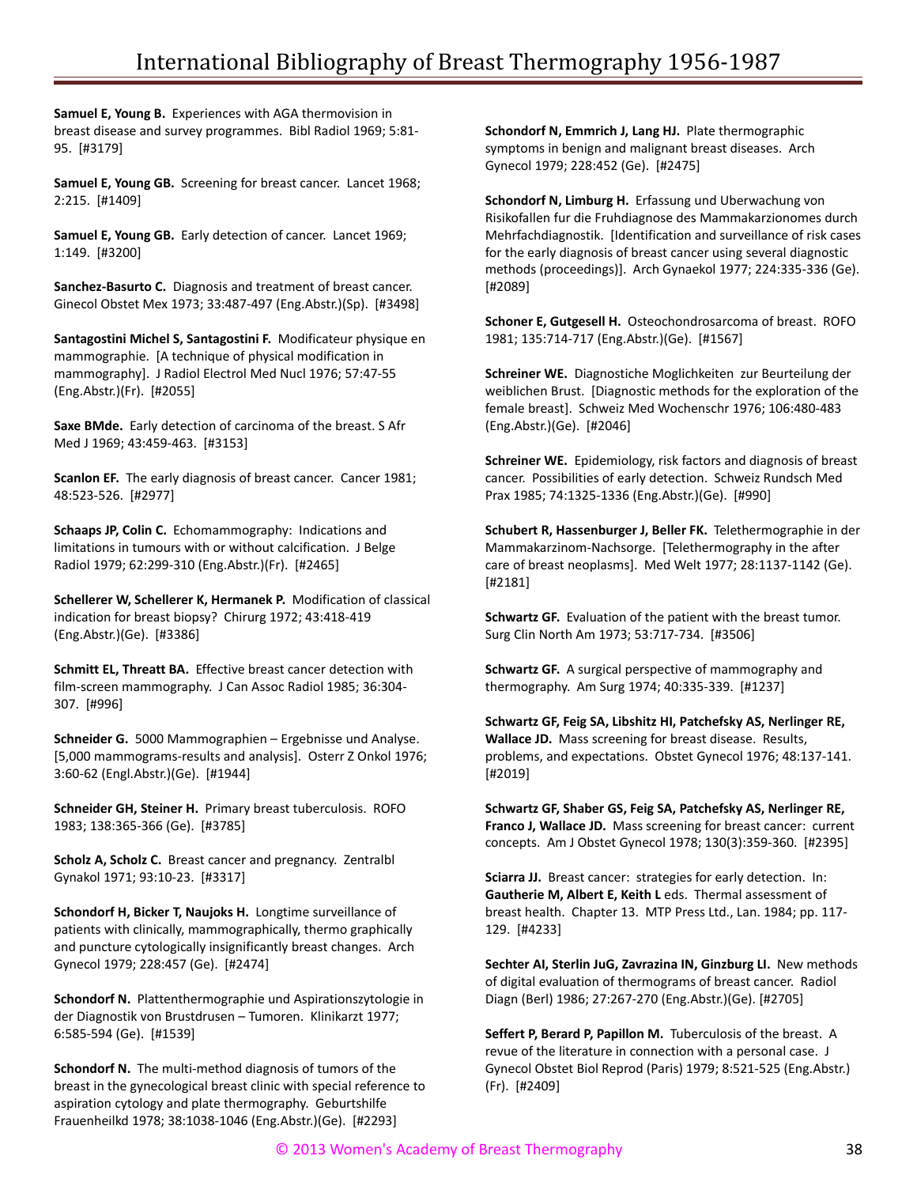**Samuel E, Young B.** Experiences with AGA thermovision in breast disease and survey programmes. Bibl Radiol 1969; 5:81- 95. [#3179]

**Samuel E, Young GB.** Screening for breast cancer. Lancet 1968; 2:215. [#1409]

**Samuel E, Young GB.** Early detection of cancer. Lancet 1969; 1:149. [#3200]

**Sanchez-Basurto C.** Diagnosis and treatment of breast cancer. Ginecol Obstet Mex 1973; 33:487-497 (Eng.Abstr.)(Sp). [#3498]

**Santagostini Michel S, Santagostini F.** Modificateur physique en mammographie. [A technique of physical modification in mammography]. J Radiol Electrol Med Nucl 1976; 57:47-55 (Eng.Abstr.)(Fr). [#2055]

**Saxe BMde.** Early detection of carcinoma of the breast. S Afr Med J 1969; 43:459-463. [#3153]

**Scanlon EF.** The early diagnosis of breast cancer. Cancer 1981; 48:523-526. [#2977]

**Schaaps JP, Colin C.** Echomammography: Indications and limitations in tumours with or without calcification. J Belge Radiol 1979; 62:299-310 (Eng.Abstr.)(Fr). [#2465]

**Schellerer W, Schellerer K, Hermanek P.** Modification of classical indication for breast biopsy? Chirurg 1972; 43:418-419 (Eng.Abstr.)(Ge). [#3386]

**Schmitt EL, Threatt BA.** Effective breast cancer detection with film-screen mammography. J Can Assoc Radiol 1985; 36:304- 307. [#996]

**Schneider G.** 5000 Mammographien – Ergebnisse und Analyse. [5,000 mammograms-results and analysis]. Osterr Z Onkol 1976; 3:60-62 (Engl.Abstr.)(Ge). [#1944]

**Schneider GH, Steiner H.** Primary breast tuberculosis. ROFO 1983; 138:365-366 (Ge). [#3785]

**Scholz A, Scholz C.** Breast cancer and pregnancy. Zentralbl Gynakol 1971; 93:10-23. [#3317]

**Schondorf H, Bicker T, Naujoks H.** Longtime surveillance of patients with clinically, mammographically, thermo graphically and puncture cytologically insignificantly breast changes. Arch Gynecol 1979; 228:457 (Ge). [#2474]

**Schondorf N.** Plattenthermographie und Aspirationszytologie in der Diagnostik von Brustdrusen – Tumoren. Klinikarzt 1977; 6:585-594 (Ge). [#1539]

**Schondorf N.** The multi-method diagnosis of tumors of the breast in the gynecological breast clinic with special reference to aspiration cytology and plate thermography. Geburtshilfe Frauenheilkd 1978; 38:1038-1046 (Eng.Abstr.)(Ge). [#2293]

**Schondorf N, Emmrich J, Lang HJ.** Plate thermographic symptoms in benign and malignant breast diseases. Arch Gynecol 1979; 228:452 (Ge). [#2475]

**Schondorf N, Limburg H.** Erfassung und Uberwachung von Risikofallen fur die Fruhdiagnose des Mammakarzionomes durch Mehrfachdiagnostik. [Identification and surveillance of risk cases for the early diagnosis of breast cancer using several diagnostic methods (proceedings)]. Arch Gynaekol 1977; 224:335-336 (Ge). [#2089]

**Schoner E, Gutgesell H.** Osteochondrosarcoma of breast. ROFO 1981; 135:714-717 (Eng.Abstr.)(Ge). [#1567]

**Schreiner WE.** Diagnostiche Moglichkeiten zur Beurteilung der weiblichen Brust. [Diagnostic methods for the exploration of the female breast]. Schweiz Med Wochenschr 1976; 106:480-483 (Eng.Abstr.)(Ge). [#2046]

**Schreiner WE.** Epidemiology, risk factors and diagnosis of breast cancer. Possibilities of early detection. Schweiz Rundsch Med Prax 1985; 74:1325-1336 (Eng.Abstr.)(Ge). [#990]

**Schubert R, Hassenburger J, Beller FK.** Telethermographie in der Mammakarzinom-Nachsorge. [Telethermography in the after care of breast neoplasms]. Med Welt 1977; 28:1137-1142 (Ge). [#2181]

**Schwartz GF.** Evaluation of the patient with the breast tumor. Surg Clin North Am 1973; 53:717-734. [#3506]

**Schwartz GF.** A surgical perspective of mammography and thermography. Am Surg 1974; 40:335-339. [#1237]

**Schwartz GF, Feig SA, Libshitz HI, Patchefsky AS, Nerlinger RE, Wallace JD.** Mass screening for breast disease. Results, problems, and expectations. Obstet Gynecol 1976; 48:137-141. [#2019]

**Schwartz GF, Shaber GS, Feig SA, Patchefsky AS, Nerlinger RE, Franco J, Wallace JD.** Mass screening for breast cancer: current concepts. Am J Obstet Gynecol 1978; 130(3):359-360. [#2395]

**Sciarra JJ.** Breast cancer: strategies for early detection. In: **Gautherie M, Albert E, Keith L** eds. Thermal assessment of breast health. Chapter 13. MTP Press Ltd., Lan. 1984; pp. 117- 129. [#4233]

**Sechter AI, Sterlin JuG, Zavrazina IN, Ginzburg LI.** New methods of digital evaluation of thermograms of breast cancer. Radiol Diagn (Berl) 1986; 27:267-270 (Eng.Abstr.)(Ge). [#2705]

**Seffert P, Berard P, Papillon M.** Tuberculosis of the breast. A revue of the literature in connection with a personal case. J Gynecol Obstet Biol Reprod (Paris) 1979; 8:521-525 (Eng.Abstr.) (Fr). [#2409]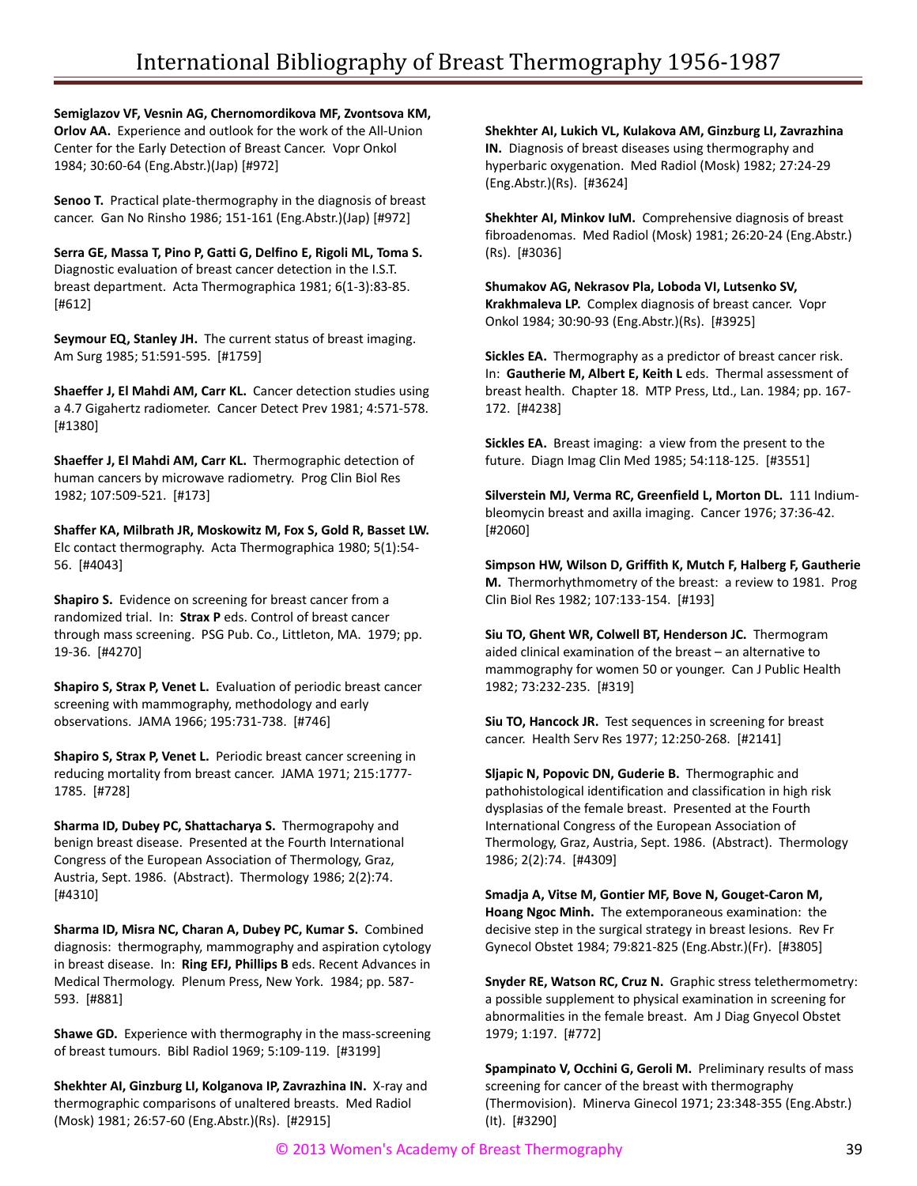**Semiglazov VF, Vesnin AG, Chernomordikova MF, Zvontsova KM, Orlov AA.** Experience and outlook for the work of the All-Union Center for the Early Detection of Breast Cancer. Vopr Onkol 1984; 30:60-64 (Eng.Abstr.)(Jap) [#972]

**Senoo T.** Practical plate-thermography in the diagnosis of breast cancer. Gan No Rinsho 1986; 151-161 (Eng.Abstr.)(Jap) [#972]

**Serra GE, Massa T, Pino P, Gatti G, Delfino E, Rigoli ML, Toma S.** Diagnostic evaluation of breast cancer detection in the I.S.T. breast department. Acta Thermographica 1981; 6(1-3):83-85. [#612]

**Seymour EQ, Stanley JH.** The current status of breast imaging. Am Surg 1985; 51:591-595. [#1759]

**Shaeffer J, El Mahdi AM, Carr KL.** Cancer detection studies using a 4.7 Gigahertz radiometer. Cancer Detect Prev 1981; 4:571-578. [#1380]

**Shaeffer J, El Mahdi AM, Carr KL.** Thermographic detection of human cancers by microwave radiometry. Prog Clin Biol Res 1982; 107:509-521. [#173]

**Shaffer KA, Milbrath JR, Moskowitz M, Fox S, Gold R, Basset LW.** Elc contact thermography. Acta Thermographica 1980; 5(1):54- 56. [#4043]

**Shapiro S.** Evidence on screening for breast cancer from a randomized trial. In: **Strax P** eds. Control of breast cancer through mass screening. PSG Pub. Co., Littleton, MA. 1979; pp. 19-36. [#4270]

**Shapiro S, Strax P, Venet L.** Evaluation of periodic breast cancer screening with mammography, methodology and early observations. JAMA 1966; 195:731-738. [#746]

**Shapiro S, Strax P, Venet L.** Periodic breast cancer screening in reducing mortality from breast cancer. JAMA 1971; 215:1777- 1785. [#728]

**Sharma ID, Dubey PC, Shattacharya S.** Thermograpohy and benign breast disease. Presented at the Fourth International Congress of the European Association of Thermology, Graz, Austria, Sept. 1986. (Abstract). Thermology 1986; 2(2):74. [#4310]

**Sharma ID, Misra NC, Charan A, Dubey PC, Kumar S.** Combined diagnosis: thermography, mammography and aspiration cytology in breast disease. In: **Ring EFJ, Phillips B** eds. Recent Advances in Medical Thermology. Plenum Press, New York. 1984; pp. 587- 593. [#881]

**Shawe GD.** Experience with thermography in the mass-screening of breast tumours. Bibl Radiol 1969; 5:109-119. [#3199]

**Shekhter AI, Ginzburg LI, Kolganova IP, Zavrazhina IN.** X-ray and thermographic comparisons of unaltered breasts. Med Radiol (Mosk) 1981; 26:57-60 (Eng.Abstr.)(Rs). [#2915]

**Shekhter AI, Lukich VL, Kulakova AM, Ginzburg LI, Zavrazhina IN.** Diagnosis of breast diseases using thermography and hyperbaric oxygenation. Med Radiol (Mosk) 1982; 27:24-29 (Eng.Abstr.)(Rs). [#3624]

**Shekhter AI, Minkov IuM.** Comprehensive diagnosis of breast fibroadenomas. Med Radiol (Mosk) 1981; 26:20-24 (Eng.Abstr.) (Rs). [#3036]

**Shumakov AG, Nekrasov Pla, Loboda VI, Lutsenko SV, Krakhmaleva LP.** Complex diagnosis of breast cancer. Vopr Onkol 1984; 30:90-93 (Eng.Abstr.)(Rs). [#3925]

**Sickles EA.** Thermography as a predictor of breast cancer risk. In: **Gautherie M, Albert E, Keith L** eds. Thermal assessment of breast health. Chapter 18. MTP Press, Ltd., Lan. 1984; pp. 167- 172. [#4238]

**Sickles EA.** Breast imaging: a view from the present to the future. Diagn Imag Clin Med 1985; 54:118-125. [#3551]

**Silverstein MJ, Verma RC, Greenfield L, Morton DL.** 111 Indiumbleomycin breast and axilla imaging. Cancer 1976; 37:36-42. [#2060]

**Simpson HW, Wilson D, Griffith K, Mutch F, Halberg F, Gautherie M.** Thermorhythmometry of the breast: a review to 1981. Prog Clin Biol Res 1982; 107:133-154. [#193]

**Siu TO, Ghent WR, Colwell BT, Henderson JC.** Thermogram aided clinical examination of the breast – an alternative to mammography for women 50 or younger. Can J Public Health 1982; 73:232-235. [#319]

**Siu TO, Hancock JR.** Test sequences in screening for breast cancer. Health Serv Res 1977; 12:250-268. [#2141]

**Sljapic N, Popovic DN, Guderie B.** Thermographic and pathohistological identification and classification in high risk dysplasias of the female breast. Presented at the Fourth International Congress of the European Association of Thermology, Graz, Austria, Sept. 1986. (Abstract). Thermology 1986; 2(2):74. [#4309]

**Smadja A, Vitse M, Gontier MF, Bove N, Gouget-Caron M, Hoang Ngoc Minh.** The extemporaneous examination: the decisive step in the surgical strategy in breast lesions. Rev Fr Gynecol Obstet 1984; 79:821-825 (Eng.Abstr.)(Fr). [#3805]

**Snyder RE, Watson RC, Cruz N.** Graphic stress telethermometry: a possible supplement to physical examination in screening for abnormalities in the female breast. Am J Diag Gnyecol Obstet 1979; 1:197. [#772]

**Spampinato V, Occhini G, Geroli M.** Preliminary results of mass screening for cancer of the breast with thermography (Thermovision). Minerva Ginecol 1971; 23:348-355 (Eng.Abstr.) (It). [#3290]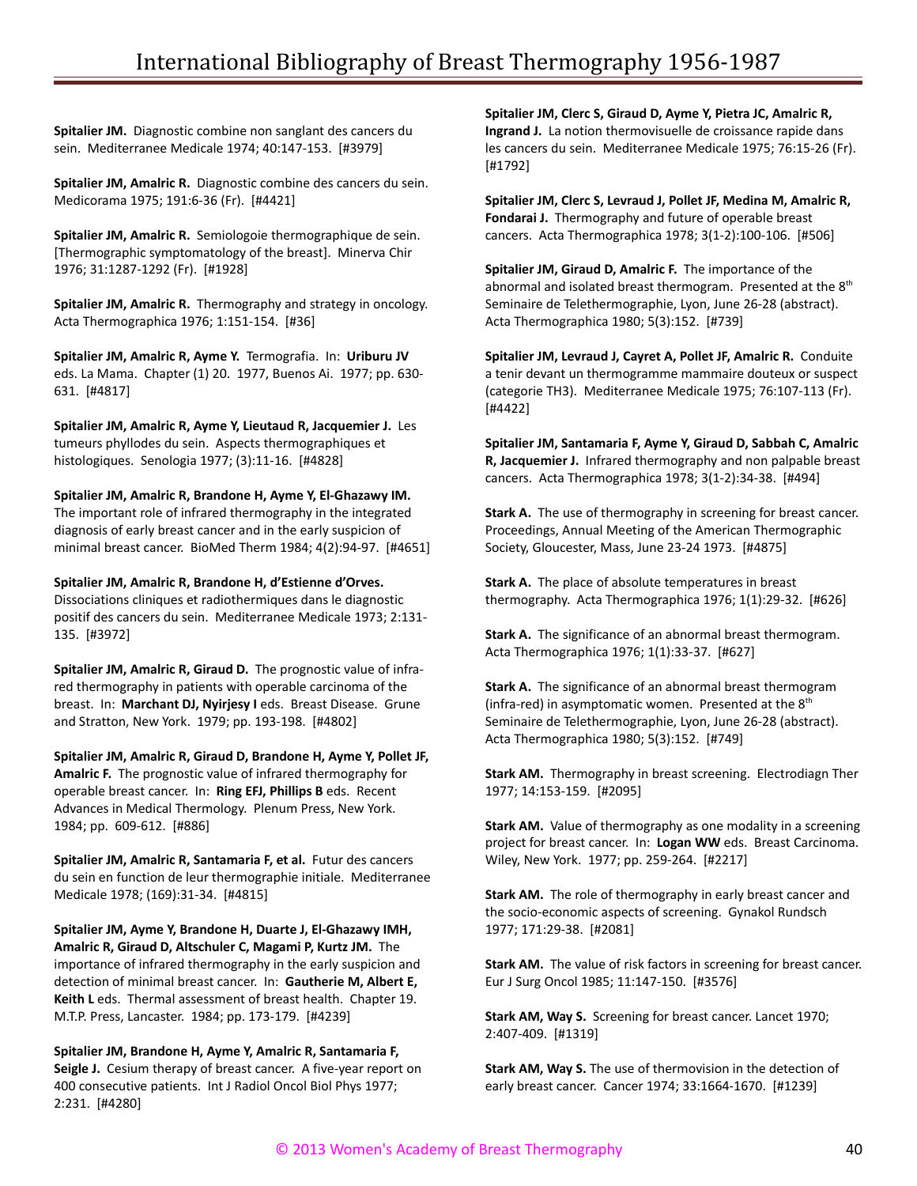**Spitalier JM.** Diagnostic combine non sanglant des cancers du sein. Mediterranee Medicale 1974; 40:147-153. [#3979]

**Spitalier JM, Amalric R.** Diagnostic combine des cancers du sein. Medicorama 1975; 191:6-36 (Fr). [#4421]

**Spitalier JM, Amalric R.** Semiologoie thermographique de sein. [Thermographic symptomatology of the breast]. Minerva Chir 1976; 31:1287-1292 (Fr). [#1928]

**Spitalier JM, Amalric R.** Thermography and strategy in oncology. Acta Thermographica 1976; 1:151-154. [#36]

**Spitalier JM, Amalric R, Ayme Y.** Termografia. In: **Uriburu JV** eds. La Mama. Chapter (1) 20. 1977, Buenos Ai. 1977; pp. 630- 631. [#4817]

**Spitalier JM, Amalric R, Ayme Y, Lieutaud R, Jacquemier J.** Les tumeurs phyllodes du sein. Aspects thermographiques et histologiques. Senologia 1977; (3):11-16. [#4828]

**Spitalier JM, Amalric R, Brandone H, Ayme Y, El-Ghazawy IM.** The important role of infrared thermography in the integrated diagnosis of early breast cancer and in the early suspicion of minimal breast cancer. BioMed Therm 1984; 4(2):94-97. [#4651]

#### **Spitalier JM, Amalric R, Brandone H, d'Estienne d'Orves.**

Dissociations cliniques et radiothermiques dans le diagnostic positif des cancers du sein. Mediterranee Medicale 1973; 2:131- 135. [#3972]

**Spitalier JM, Amalric R, Giraud D.** The prognostic value of infrared thermography in patients with operable carcinoma of the breast. In: **Marchant DJ, Nyirjesy I** eds. Breast Disease. Grune and Stratton, New York. 1979; pp. 193-198. [#4802]

**Spitalier JM, Amalric R, Giraud D, Brandone H, Ayme Y, Pollet JF, Amalric F.** The prognostic value of infrared thermography for operable breast cancer. In: **Ring EFJ, Phillips B** eds. Recent Advances in Medical Thermology. Plenum Press, New York. 1984; pp. 609-612. [#886]

**Spitalier JM, Amalric R, Santamaria F, et al.** Futur des cancers du sein en function de leur thermographie initiale. Mediterranee Medicale 1978; (169):31-34. [#4815]

**Spitalier JM, Ayme Y, Brandone H, Duarte J, El-Ghazawy IMH, Amalric R, Giraud D, Altschuler C, Magami P, Kurtz JM.** The importance of infrared thermography in the early suspicion and detection of minimal breast cancer. In: **Gautherie M, Albert E, Keith L** eds. Thermal assessment of breast health. Chapter 19. M.T.P. Press, Lancaster. 1984; pp. 173-179. [#4239]

**Spitalier JM, Brandone H, Ayme Y, Amalric R, Santamaria F, Seigle J.** Cesium therapy of breast cancer. A five-year report on 400 consecutive patients. Int J Radiol Oncol Biol Phys 1977; 2:231. [#4280]

**Spitalier JM, Clerc S, Giraud D, Ayme Y, Pietra JC, Amalric R, Ingrand J.** La notion thermovisuelle de croissance rapide dans les cancers du sein. Mediterranee Medicale 1975; 76:15-26 (Fr). [#1792]

**Spitalier JM, Clerc S, Levraud J, Pollet JF, Medina M, Amalric R, Fondarai J.** Thermography and future of operable breast cancers. Acta Thermographica 1978; 3(1-2):100-106. [#506]

**Spitalier JM, Giraud D, Amalric F.** The importance of the abnormal and isolated breast thermogram. Presented at the 8<sup>th</sup> Seminaire de Telethermographie, Lyon, June 26-28 (abstract). Acta Thermographica 1980; 5(3):152. [#739]

**Spitalier JM, Levraud J, Cayret A, Pollet JF, Amalric R.** Conduite a tenir devant un thermogramme mammaire douteux or suspect (categorie TH3). Mediterranee Medicale 1975; 76:107-113 (Fr). [#4422]

**Spitalier JM, Santamaria F, Ayme Y, Giraud D, Sabbah C, Amalric R, Jacquemier J.** Infrared thermography and non palpable breast cancers. Acta Thermographica 1978; 3(1-2):34-38. [#494]

**Stark A.** The use of thermography in screening for breast cancer. Proceedings, Annual Meeting of the American Thermographic Society, Gloucester, Mass, June 23-24 1973. [#4875]

**Stark A.** The place of absolute temperatures in breast thermography. Acta Thermographica 1976; 1(1):29-32. [#626]

**Stark A.** The significance of an abnormal breast thermogram. Acta Thermographica 1976; 1(1):33-37. [#627]

**Stark A.** The significance of an abnormal breast thermogram (infra-red) in asymptomatic women. Presented at the  $8<sup>th</sup>$ Seminaire de Telethermographie, Lyon, June 26-28 (abstract). Acta Thermographica 1980; 5(3):152. [#749]

**Stark AM.** Thermography in breast screening. Electrodiagn Ther 1977; 14:153-159. [#2095]

**Stark AM.** Value of thermography as one modality in a screening project for breast cancer. In: **Logan WW** eds. Breast Carcinoma. Wiley, New York. 1977; pp. 259-264. [#2217]

**Stark AM.** The role of thermography in early breast cancer and the socio-economic aspects of screening. Gynakol Rundsch 1977; 171:29-38. [#2081]

**Stark AM.** The value of risk factors in screening for breast cancer. Eur J Surg Oncol 1985; 11:147-150. [#3576]

**Stark AM, Way S.** Screening for breast cancer. Lancet 1970; 2:407-409. [#1319]

**Stark AM, Way S.** The use of thermovision in the detection of early breast cancer. Cancer 1974; 33:1664-1670. [#1239]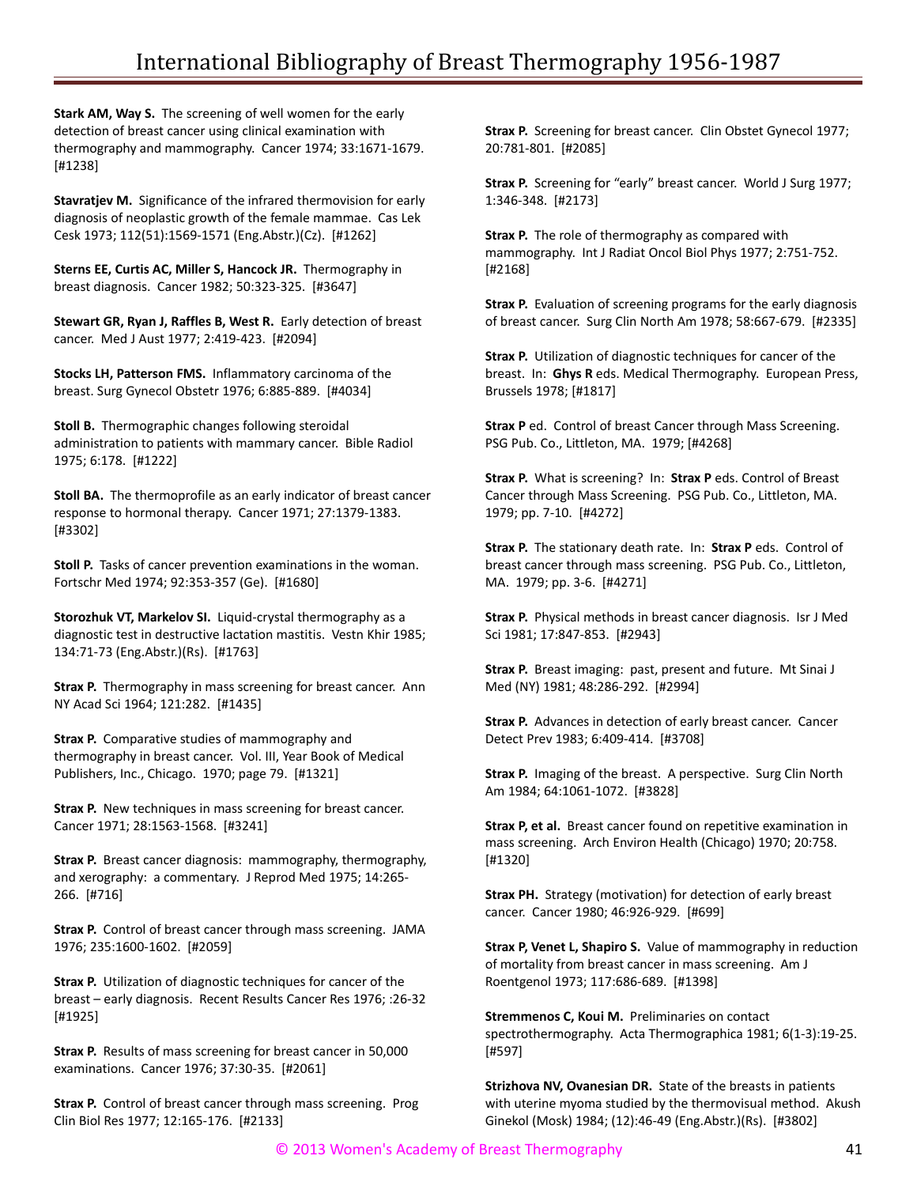**Stark AM, Way S.** The screening of well women for the early detection of breast cancer using clinical examination with thermography and mammography. Cancer 1974; 33:1671-1679. [#1238]

**Stavratjev M.** Significance of the infrared thermovision for early diagnosis of neoplastic growth of the female mammae. Cas Lek Cesk 1973; 112(51):1569-1571 (Eng.Abstr.)(Cz). [#1262]

**Sterns EE, Curtis AC, Miller S, Hancock JR.** Thermography in breast diagnosis. Cancer 1982; 50:323-325. [#3647]

**Stewart GR, Ryan J, Raffles B, West R.** Early detection of breast cancer. Med J Aust 1977; 2:419-423. [#2094]

**Stocks LH, Patterson FMS.** Inflammatory carcinoma of the breast. Surg Gynecol Obstetr 1976; 6:885-889. [#4034]

**Stoll B.** Thermographic changes following steroidal administration to patients with mammary cancer. Bible Radiol 1975; 6:178. [#1222]

**Stoll BA.** The thermoprofile as an early indicator of breast cancer response to hormonal therapy. Cancer 1971; 27:1379-1383. [#3302]

**Stoll P.** Tasks of cancer prevention examinations in the woman. Fortschr Med 1974; 92:353-357 (Ge). [#1680]

**Storozhuk VT, Markelov SI.** Liquid-crystal thermography as a diagnostic test in destructive lactation mastitis. Vestn Khir 1985; 134:71-73 (Eng.Abstr.)(Rs). [#1763]

**Strax P.** Thermography in mass screening for breast cancer. Ann NY Acad Sci 1964; 121:282. [#1435]

**Strax P.** Comparative studies of mammography and thermography in breast cancer. Vol. III, Year Book of Medical Publishers, Inc., Chicago. 1970; page 79. [#1321]

**Strax P.** New techniques in mass screening for breast cancer. Cancer 1971; 28:1563-1568. [#3241]

**Strax P.** Breast cancer diagnosis: mammography, thermography, and xerography: a commentary. J Reprod Med 1975; 14:265- 266. [#716]

**Strax P.** Control of breast cancer through mass screening. JAMA 1976; 235:1600-1602. [#2059]

**Strax P.** Utilization of diagnostic techniques for cancer of the breast – early diagnosis. Recent Results Cancer Res 1976; :26-32 [#1925]

**Strax P.** Results of mass screening for breast cancer in 50,000 examinations. Cancer 1976; 37:30-35. [#2061]

**Strax P.** Control of breast cancer through mass screening. Prog Clin Biol Res 1977; 12:165-176. [#2133]

**Strax P.** Screening for breast cancer. Clin Obstet Gynecol 1977; 20:781-801. [#2085]

**Strax P.** Screening for "early" breast cancer. World J Surg 1977; 1:346-348. [#2173]

**Strax P.** The role of thermography as compared with mammography. Int J Radiat Oncol Biol Phys 1977; 2:751-752. [#2168]

**Strax P.** Evaluation of screening programs for the early diagnosis of breast cancer. Surg Clin North Am 1978; 58:667-679. [#2335]

**Strax P.** Utilization of diagnostic techniques for cancer of the breast. In: **Ghys R** eds. Medical Thermography. European Press, Brussels 1978; [#1817]

**Strax P** ed. Control of breast Cancer through Mass Screening. PSG Pub. Co., Littleton, MA. 1979; [#4268]

**Strax P.** What is screening? In: **Strax P** eds. Control of Breast Cancer through Mass Screening. PSG Pub. Co., Littleton, MA. 1979; pp. 7-10. [#4272]

**Strax P.** The stationary death rate. In: **Strax P** eds. Control of breast cancer through mass screening. PSG Pub. Co., Littleton, MA. 1979; pp. 3-6. [#4271]

**Strax P.** Physical methods in breast cancer diagnosis. Isr J Med Sci 1981; 17:847-853. [#2943]

**Strax P.** Breast imaging: past, present and future. Mt Sinai J Med (NY) 1981; 48:286-292. [#2994]

**Strax P.** Advances in detection of early breast cancer. Cancer Detect Prev 1983; 6:409-414. [#3708]

**Strax P.** Imaging of the breast. A perspective. Surg Clin North Am 1984; 64:1061-1072. [#3828]

**Strax P, et al.** Breast cancer found on repetitive examination in mass screening. Arch Environ Health (Chicago) 1970; 20:758. [#1320]

**Strax PH.** Strategy (motivation) for detection of early breast cancer. Cancer 1980; 46:926-929. [#699]

**Strax P, Venet L, Shapiro S.** Value of mammography in reduction of mortality from breast cancer in mass screening. Am J Roentgenol 1973; 117:686-689. [#1398]

**Stremmenos C, Koui M.** Preliminaries on contact spectrothermography. Acta Thermographica 1981; 6(1-3):19-25. [#597]

**Strizhova NV, Ovanesian DR.** State of the breasts in patients with uterine myoma studied by the thermovisual method. Akush Ginekol (Mosk) 1984; (12):46-49 (Eng.Abstr.)(Rs). [#3802]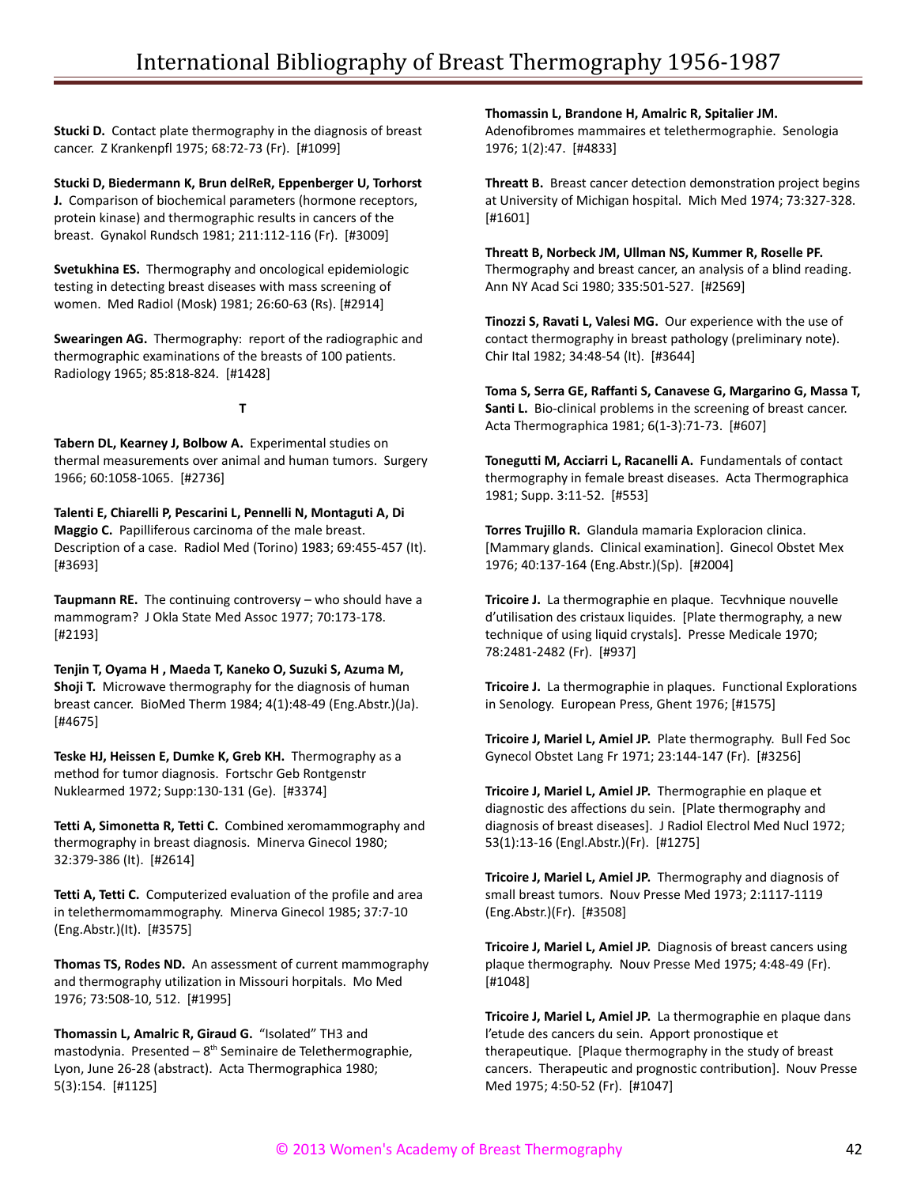**Stucki D.** Contact plate thermography in the diagnosis of breast cancer. Z Krankenpfl 1975; 68:72-73 (Fr). [#1099]

**Stucki D, Biedermann K, Brun delReR, Eppenberger U, Torhorst J.** Comparison of biochemical parameters (hormone receptors, protein kinase) and thermographic results in cancers of the breast. Gynakol Rundsch 1981; 211:112-116 (Fr). [#3009]

**Svetukhina ES.** Thermography and oncological epidemiologic testing in detecting breast diseases with mass screening of women. Med Radiol (Mosk) 1981; 26:60-63 (Rs). [#2914]

**Swearingen AG.** Thermography: report of the radiographic and thermographic examinations of the breasts of 100 patients. Radiology 1965; 85:818-824. [#1428]

**T**

**Tabern DL, Kearney J, Bolbow A.** Experimental studies on thermal measurements over animal and human tumors. Surgery 1966; 60:1058-1065. [#2736]

**Talenti E, Chiarelli P, Pescarini L, Pennelli N, Montaguti A, Di Maggio C.** Papilliferous carcinoma of the male breast. Description of a case. Radiol Med (Torino) 1983; 69:455-457 (It). [#3693]

**Taupmann RE.** The continuing controversy – who should have a mammogram? J Okla State Med Assoc 1977; 70:173-178. [#2193]

**Tenjin T, Oyama H , Maeda T, Kaneko O, Suzuki S, Azuma M, Shoji T.** Microwave thermography for the diagnosis of human breast cancer. BioMed Therm 1984; 4(1):48-49 (Eng.Abstr.)(Ja). [#4675]

**Teske HJ, Heissen E, Dumke K, Greb KH.** Thermography as a method for tumor diagnosis. Fortschr Geb Rontgenstr Nuklearmed 1972; Supp:130-131 (Ge). [#3374]

**Tetti A, Simonetta R, Tetti C.** Combined xeromammography and thermography in breast diagnosis. Minerva Ginecol 1980; 32:379-386 (It). [#2614]

**Tetti A, Tetti C.** Computerized evaluation of the profile and area in telethermomammography. Minerva Ginecol 1985; 37:7-10 (Eng.Abstr.)(It). [#3575]

**Thomas TS, Rodes ND.** An assessment of current mammography and thermography utilization in Missouri horpitals. Mo Med 1976; 73:508-10, 512. [#1995]

**Thomassin L, Amalric R, Giraud G.** "Isolated" TH3 and mastodynia. Presented –  $8<sup>th</sup>$  Seminaire de Telethermographie, Lyon, June 26-28 (abstract). Acta Thermographica 1980; 5(3):154. [#1125]

**Thomassin L, Brandone H, Amalric R, Spitalier JM.** Adenofibromes mammaires et telethermographie. Senologia 1976; 1(2):47. [#4833]

**Threatt B.** Breast cancer detection demonstration project begins at University of Michigan hospital. Mich Med 1974; 73:327-328. [#1601]

**Threatt B, Norbeck JM, Ullman NS, Kummer R, Roselle PF.** Thermography and breast cancer, an analysis of a blind reading. Ann NY Acad Sci 1980; 335:501-527. [#2569]

**Tinozzi S, Ravati L, Valesi MG.** Our experience with the use of contact thermography in breast pathology (preliminary note). Chir Ital 1982; 34:48-54 (It). [#3644]

**Toma S, Serra GE, Raffanti S, Canavese G, Margarino G, Massa T, Santi L.** Bio-clinical problems in the screening of breast cancer. Acta Thermographica 1981; 6(1-3):71-73. [#607]

**Tonegutti M, Acciarri L, Racanelli A.** Fundamentals of contact thermography in female breast diseases. Acta Thermographica 1981; Supp. 3:11-52. [#553]

**Torres Trujillo R.** Glandula mamaria Exploracion clinica. [Mammary glands. Clinical examination]. Ginecol Obstet Mex 1976; 40:137-164 (Eng.Abstr.)(Sp). [#2004]

**Tricoire J.** La thermographie en plaque. Tecvhnique nouvelle d'utilisation des cristaux liquides. [Plate thermography, a new technique of using liquid crystals]. Presse Medicale 1970; 78:2481-2482 (Fr). [#937]

**Tricoire J.** La thermographie in plaques. Functional Explorations in Senology. European Press, Ghent 1976; [#1575]

**Tricoire J, Mariel L, Amiel JP.** Plate thermography. Bull Fed Soc Gynecol Obstet Lang Fr 1971; 23:144-147 (Fr). [#3256]

**Tricoire J, Mariel L, Amiel JP.** Thermographie en plaque et diagnostic des affections du sein. [Plate thermography and diagnosis of breast diseases]. J Radiol Electrol Med Nucl 1972; 53(1):13-16 (Engl.Abstr.)(Fr). [#1275]

**Tricoire J, Mariel L, Amiel JP.** Thermography and diagnosis of small breast tumors. Nouv Presse Med 1973; 2:1117-1119 (Eng.Abstr.)(Fr). [#3508]

**Tricoire J, Mariel L, Amiel JP.** Diagnosis of breast cancers using plaque thermography. Nouv Presse Med 1975; 4:48-49 (Fr). [#1048]

**Tricoire J, Mariel L, Amiel JP.** La thermographie en plaque dans l'etude des cancers du sein. Apport pronostique et therapeutique. [Plaque thermography in the study of breast cancers. Therapeutic and prognostic contribution]. Nouv Presse Med 1975; 4:50-52 (Fr). [#1047]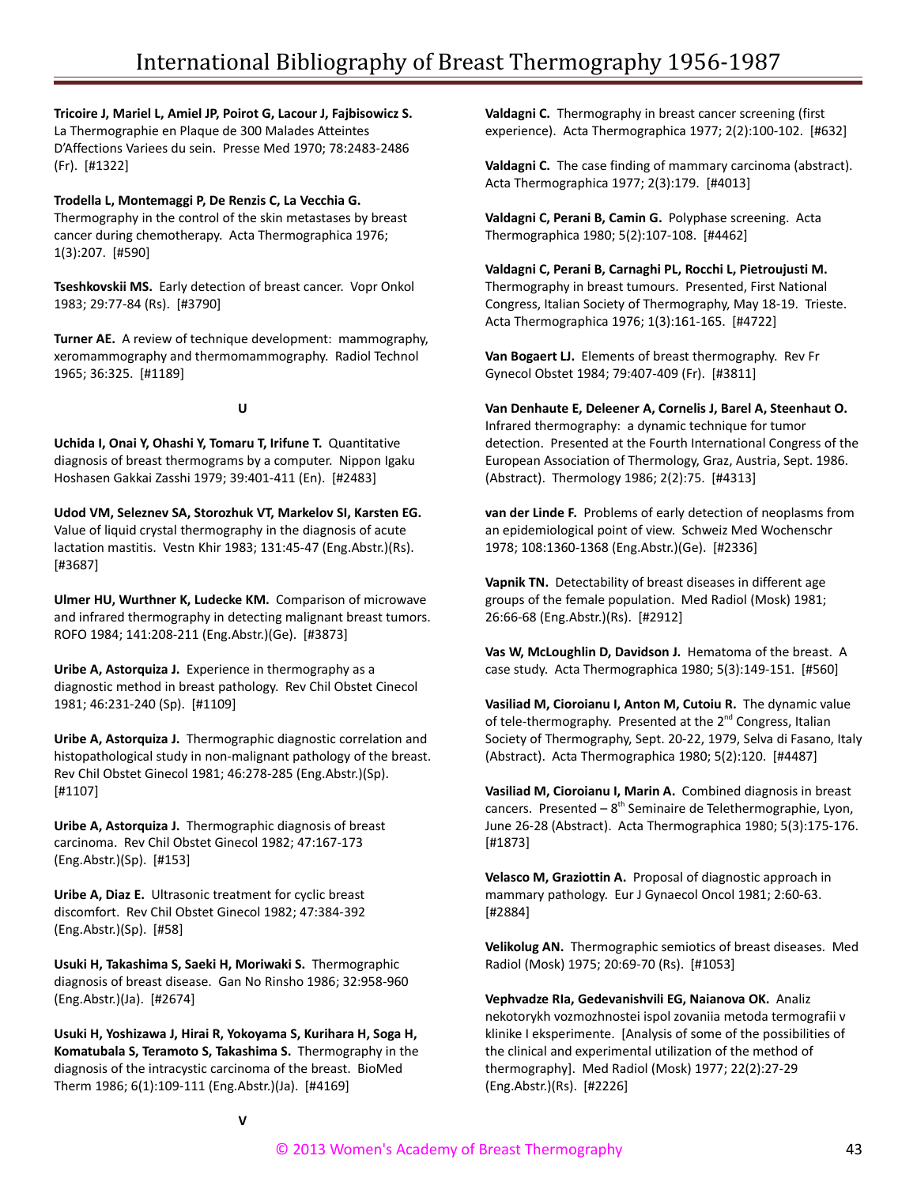## **Tricoire J, Mariel L, Amiel JP, Poirot G, Lacour J, Fajbisowicz S.**

La Thermographie en Plaque de 300 Malades Atteintes D'Affections Variees du sein. Presse Med 1970; 78:2483-2486 (Fr). [#1322]

## **Trodella L, Montemaggi P, De Renzis C, La Vecchia G.**

Thermography in the control of the skin metastases by breast cancer during chemotherapy. Acta Thermographica 1976; 1(3):207. [#590]

**Tseshkovskii MS.** Early detection of breast cancer. Vopr Onkol 1983; 29:77-84 (Rs). [#3790]

**Turner AE.** A review of technique development: mammography, xeromammography and thermomammography. Radiol Technol 1965; 36:325. [#1189]

**U**

**Uchida I, Onai Y, Ohashi Y, Tomaru T, Irifune T.** Quantitative diagnosis of breast thermograms by a computer. Nippon Igaku Hoshasen Gakkai Zasshi 1979; 39:401-411 (En). [#2483]

**Udod VM, Seleznev SA, Storozhuk VT, Markelov SI, Karsten EG.** Value of liquid crystal thermography in the diagnosis of acute lactation mastitis. Vestn Khir 1983; 131:45-47 (Eng.Abstr.)(Rs). [#3687]

**Ulmer HU, Wurthner K, Ludecke KM.** Comparison of microwave and infrared thermography in detecting malignant breast tumors. ROFO 1984; 141:208-211 (Eng.Abstr.)(Ge). [#3873]

**Uribe A, Astorquiza J.** Experience in thermography as a diagnostic method in breast pathology. Rev Chil Obstet Cinecol 1981; 46:231-240 (Sp). [#1109]

**Uribe A, Astorquiza J.** Thermographic diagnostic correlation and histopathological study in non-malignant pathology of the breast. Rev Chil Obstet Ginecol 1981; 46:278-285 (Eng.Abstr.)(Sp). [#1107]

**Uribe A, Astorquiza J.** Thermographic diagnosis of breast carcinoma. Rev Chil Obstet Ginecol 1982; 47:167-173 (Eng.Abstr.)(Sp). [#153]

**Uribe A, Diaz E.** Ultrasonic treatment for cyclic breast discomfort. Rev Chil Obstet Ginecol 1982; 47:384-392 (Eng.Abstr.)(Sp). [#58]

**Usuki H, Takashima S, Saeki H, Moriwaki S.** Thermographic diagnosis of breast disease. Gan No Rinsho 1986; 32:958-960 (Eng.Abstr.)(Ja). [#2674]

**Usuki H, Yoshizawa J, Hirai R, Yokoyama S, Kurihara H, Soga H, Komatubala S, Teramoto S, Takashima S.** Thermography in the diagnosis of the intracystic carcinoma of the breast. BioMed Therm 1986; 6(1):109-111 (Eng.Abstr.)(Ja). [#4169]

**Valdagni C.** Thermography in breast cancer screening (first experience). Acta Thermographica 1977; 2(2):100-102. [#632]

**Valdagni C.** The case finding of mammary carcinoma (abstract). Acta Thermographica 1977; 2(3):179. [#4013]

**Valdagni C, Perani B, Camin G.** Polyphase screening. Acta Thermographica 1980; 5(2):107-108. [#4462]

**Valdagni C, Perani B, Carnaghi PL, Rocchi L, Pietroujusti M.** Thermography in breast tumours. Presented, First National Congress, Italian Society of Thermography, May 18-19. Trieste. Acta Thermographica 1976; 1(3):161-165. [#4722]

**Van Bogaert LJ.** Elements of breast thermography. Rev Fr Gynecol Obstet 1984; 79:407-409 (Fr). [#3811]

**Van Denhaute E, Deleener A, Cornelis J, Barel A, Steenhaut O.** Infrared thermography: a dynamic technique for tumor detection. Presented at the Fourth International Congress of the European Association of Thermology, Graz, Austria, Sept. 1986. (Abstract). Thermology 1986; 2(2):75. [#4313]

**van der Linde F.** Problems of early detection of neoplasms from an epidemiological point of view. Schweiz Med Wochenschr 1978; 108:1360-1368 (Eng.Abstr.)(Ge). [#2336]

**Vapnik TN.** Detectability of breast diseases in different age groups of the female population. Med Radiol (Mosk) 1981; 26:66-68 (Eng.Abstr.)(Rs). [#2912]

**Vas W, McLoughlin D, Davidson J.** Hematoma of the breast. A case study. Acta Thermographica 1980; 5(3):149-151. [#560]

**Vasiliad M, Cioroianu I, Anton M, Cutoiu R.** The dynamic value of tele-thermography. Presented at the 2<sup>nd</sup> Congress, Italian Society of Thermography, Sept. 20-22, 1979, Selva di Fasano, Italy (Abstract). Acta Thermographica 1980; 5(2):120. [#4487]

**Vasiliad M, Cioroianu I, Marin A.** Combined diagnosis in breast cancers. Presented  $-8<sup>th</sup>$  Seminaire de Telethermographie, Lyon, June 26-28 (Abstract). Acta Thermographica 1980; 5(3):175-176. [#1873]

**Velasco M, Graziottin A.** Proposal of diagnostic approach in mammary pathology. Eur J Gynaecol Oncol 1981; 2:60-63. [#2884]

**Velikolug AN.** Thermographic semiotics of breast diseases. Med Radiol (Mosk) 1975; 20:69-70 (Rs). [#1053]

**Vephvadze RIa, Gedevanishvili EG, Naianova OK.** Analiz nekotorykh vozmozhnostei ispol zovaniia metoda termografii v klinike I eksperimente. [Analysis of some of the possibilities of the clinical and experimental utilization of the method of thermography]. Med Radiol (Mosk) 1977; 22(2):27-29 (Eng.Abstr.)(Rs). [#2226]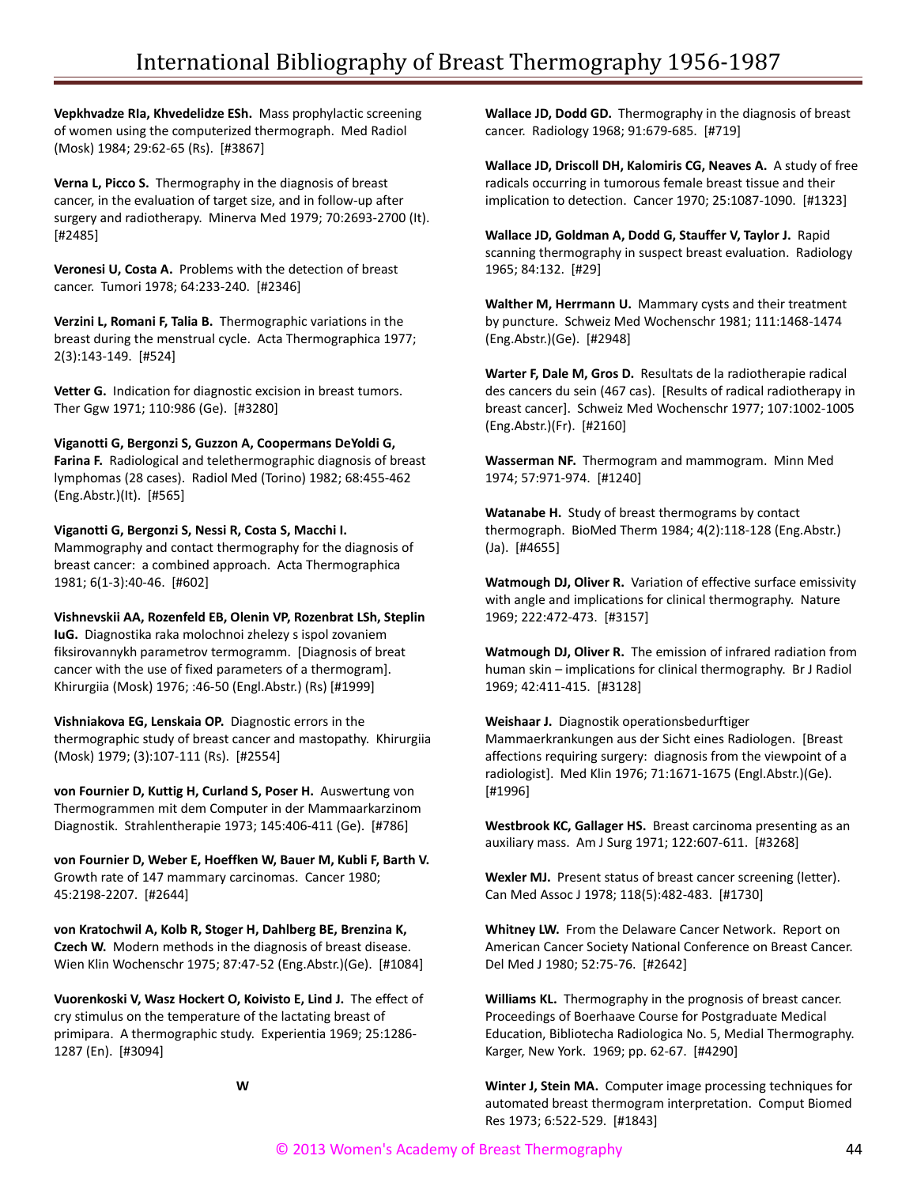**Vepkhvadze RIa, Khvedelidze ESh.** Mass prophylactic screening of women using the computerized thermograph. Med Radiol (Mosk) 1984; 29:62-65 (Rs). [#3867]

**Verna L, Picco S.** Thermography in the diagnosis of breast cancer, in the evaluation of target size, and in follow-up after surgery and radiotherapy. Minerva Med 1979; 70:2693-2700 (It). [#2485]

**Veronesi U, Costa A.** Problems with the detection of breast cancer. Tumori 1978; 64:233-240. [#2346]

**Verzini L, Romani F, Talia B.** Thermographic variations in the breast during the menstrual cycle. Acta Thermographica 1977; 2(3):143-149. [#524]

**Vetter G.** Indication for diagnostic excision in breast tumors. Ther Ggw 1971; 110:986 (Ge). [#3280]

**Viganotti G, Bergonzi S, Guzzon A, Coopermans DeYoldi G, Farina F.** Radiological and telethermographic diagnosis of breast lymphomas (28 cases). Radiol Med (Torino) 1982; 68:455-462 (Eng.Abstr.)(It). [#565]

#### **Viganotti G, Bergonzi S, Nessi R, Costa S, Macchi I.**

Mammography and contact thermography for the diagnosis of breast cancer: a combined approach. Acta Thermographica 1981; 6(1-3):40-46. [#602]

**Vishnevskii AA, Rozenfeld EB, Olenin VP, Rozenbrat LSh, Steplin IuG.** Diagnostika raka molochnoi zhelezy s ispol zovaniem fiksirovannykh parametrov termogramm. [Diagnosis of breat cancer with the use of fixed parameters of a thermogram]. Khirurgiia (Mosk) 1976; :46-50 (Engl.Abstr.) (Rs) [#1999]

**Vishniakova EG, Lenskaia OP.** Diagnostic errors in the thermographic study of breast cancer and mastopathy. Khirurgiia (Mosk) 1979; (3):107-111 (Rs). [#2554]

**von Fournier D, Kuttig H, Curland S, Poser H.** Auswertung von Thermogrammen mit dem Computer in der Mammaarkarzinom Diagnostik. Strahlentherapie 1973; 145:406-411 (Ge). [#786]

**von Fournier D, Weber E, Hoeffken W, Bauer M, Kubli F, Barth V.** Growth rate of 147 mammary carcinomas. Cancer 1980; 45:2198-2207. [#2644]

**von Kratochwil A, Kolb R, Stoger H, Dahlberg BE, Brenzina K, Czech W.** Modern methods in the diagnosis of breast disease. Wien Klin Wochenschr 1975; 87:47-52 (Eng.Abstr.)(Ge). [#1084]

**Vuorenkoski V, Wasz Hockert O, Koivisto E, Lind J.** The effect of cry stimulus on the temperature of the lactating breast of primipara. A thermographic study. Experientia 1969; 25:1286- 1287 (En). [#3094]

**W**

**Wallace JD, Dodd GD.** Thermography in the diagnosis of breast cancer. Radiology 1968; 91:679-685. [#719]

**Wallace JD, Driscoll DH, Kalomiris CG, Neaves A.** A study of free radicals occurring in tumorous female breast tissue and their implication to detection. Cancer 1970; 25:1087-1090. [#1323]

**Wallace JD, Goldman A, Dodd G, Stauffer V, Taylor J.** Rapid scanning thermography in suspect breast evaluation. Radiology 1965; 84:132. [#29]

**Walther M, Herrmann U.** Mammary cysts and their treatment by puncture. Schweiz Med Wochenschr 1981; 111:1468-1474 (Eng.Abstr.)(Ge). [#2948]

**Warter F, Dale M, Gros D.** Resultats de la radiotherapie radical des cancers du sein (467 cas). [Results of radical radiotherapy in breast cancer]. Schweiz Med Wochenschr 1977; 107:1002-1005 (Eng.Abstr.)(Fr). [#2160]

**Wasserman NF.** Thermogram and mammogram. Minn Med 1974; 57:971-974. [#1240]

**Watanabe H.** Study of breast thermograms by contact thermograph. BioMed Therm 1984; 4(2):118-128 (Eng.Abstr.) (Ja). [#4655]

**Watmough DJ, Oliver R.** Variation of effective surface emissivity with angle and implications for clinical thermography. Nature 1969; 222:472-473. [#3157]

**Watmough DJ, Oliver R.** The emission of infrared radiation from human skin – implications for clinical thermography. Br J Radiol 1969; 42:411-415. [#3128]

**Weishaar J.** Diagnostik operationsbedurftiger Mammaerkrankungen aus der Sicht eines Radiologen. [Breast affections requiring surgery: diagnosis from the viewpoint of a radiologist]. Med Klin 1976; 71:1671-1675 (Engl.Abstr.)(Ge). [#1996]

**Westbrook KC, Gallager HS.** Breast carcinoma presenting as an auxiliary mass. Am J Surg 1971; 122:607-611. [#3268]

**Wexler MJ.** Present status of breast cancer screening (letter). Can Med Assoc J 1978; 118(5):482-483. [#1730]

**Whitney LW.** From the Delaware Cancer Network. Report on American Cancer Society National Conference on Breast Cancer. Del Med J 1980; 52:75-76. [#2642]

**Williams KL.** Thermography in the prognosis of breast cancer. Proceedings of Boerhaave Course for Postgraduate Medical Education, Bibliotecha Radiologica No. 5, Medial Thermography. Karger, New York. 1969; pp. 62-67. [#4290]

**Winter J, Stein MA.** Computer image processing techniques for automated breast thermogram interpretation. Comput Biomed Res 1973; 6:522-529. [#1843]